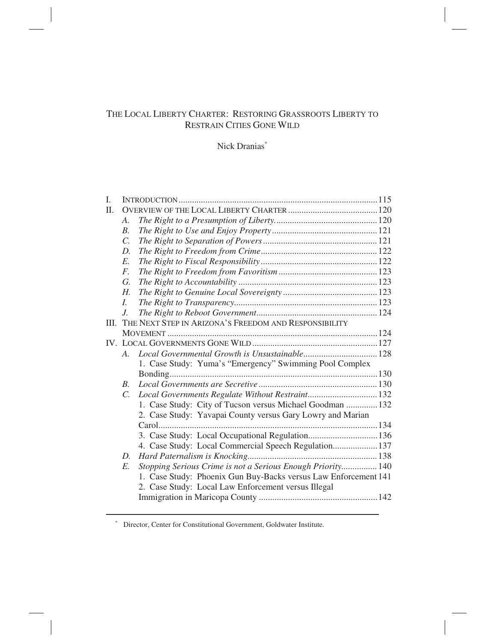# THE LOCAL LIBERTY CHARTER: RESTORING GRASSROOTS LIBERTY TO RESTRAIN CITIES GONE WILD

# Nick Dranias<sup>\*</sup>

| I. |                 |                                                                 |  |
|----|-----------------|-----------------------------------------------------------------|--|
| Π. |                 |                                                                 |  |
|    | A.              |                                                                 |  |
|    | $B$ .           |                                                                 |  |
|    | $\mathcal{C}$ . |                                                                 |  |
|    | D.              |                                                                 |  |
|    | $E$ .           |                                                                 |  |
|    | $F_{\cdot}$     |                                                                 |  |
|    | G.              |                                                                 |  |
|    | Н.              |                                                                 |  |
|    | L               |                                                                 |  |
|    | $J_{\cdot}$     |                                                                 |  |
| Ш. |                 | THE NEXT STEP IN ARIZONA'S FREEDOM AND RESPONSIBILITY           |  |
|    |                 |                                                                 |  |
|    |                 |                                                                 |  |
|    | $A_{-}$         |                                                                 |  |
|    |                 | 1. Case Study: Yuma's "Emergency" Swimming Pool Complex         |  |
|    |                 |                                                                 |  |
|    | B.              |                                                                 |  |
|    | $C_{\cdot}$     | Local Governments Regulate Without Restraint 132                |  |
|    |                 | 1. Case Study: City of Tucson versus Michael Goodman  132       |  |
|    |                 | 2. Case Study: Yavapai County versus Gary Lowry and Marian      |  |
|    |                 |                                                                 |  |
|    |                 | 3. Case Study: Local Occupational Regulation136                 |  |
|    |                 | 4. Case Study: Local Commercial Speech Regulation 137           |  |
|    | D.              |                                                                 |  |
|    | $E$ .           | Stopping Serious Crime is not a Serious Enough Priority 140     |  |
|    |                 | 1. Case Study: Phoenix Gun Buy-Backs versus Law Enforcement 141 |  |
|    |                 | 2. Case Study: Local Law Enforcement versus Illegal             |  |
|    |                 |                                                                 |  |
|    |                 |                                                                 |  |

∗ Director, Center for Constitutional Government, Goldwater Institute.

 $\overline{a}$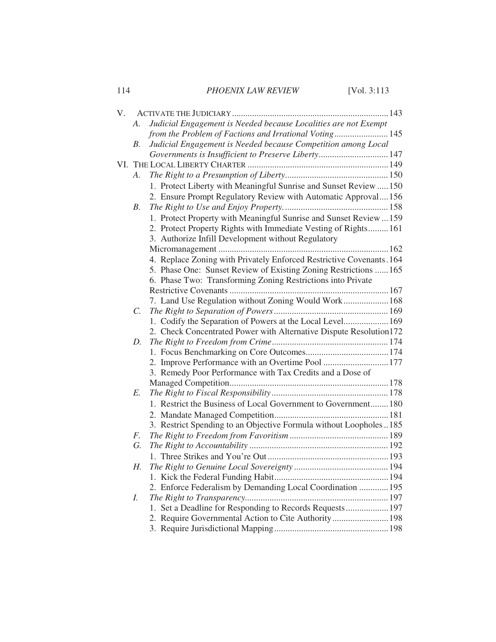| 114 | PHOENIX LAW REVIEW | [Vol. $3:113$ ] |
|-----|--------------------|-----------------|
|     |                    |                 |

| V. |                 |                                                                      |  |
|----|-----------------|----------------------------------------------------------------------|--|
|    | А.              | Judicial Engagement is Needed because Localities are not Exempt      |  |
|    |                 | from the Problem of Factions and Irrational Voting 145               |  |
|    | <i>B</i> .      | Judicial Engagement is Needed because Competition among Local        |  |
|    |                 | Governments is Insufficient to Preserve Liberty 147                  |  |
|    |                 |                                                                      |  |
|    | A.              |                                                                      |  |
|    |                 | 1. Protect Liberty with Meaningful Sunrise and Sunset Review  150    |  |
|    |                 | 2. Ensure Prompt Regulatory Review with Automatic Approval156        |  |
|    | <i>B</i> .      |                                                                      |  |
|    |                 | 1. Protect Property with Meaningful Sunrise and Sunset Review  159   |  |
|    |                 | 2. Protect Property Rights with Immediate Vesting of Rights161       |  |
|    |                 | 3. Authorize Infill Development without Regulatory                   |  |
|    |                 |                                                                      |  |
|    |                 | 4. Replace Zoning with Privately Enforced Restrictive Covenants. 164 |  |
|    |                 | 5. Phase One: Sunset Review of Existing Zoning Restrictions  165     |  |
|    |                 | 6. Phase Two: Transforming Zoning Restrictions into Private          |  |
|    |                 |                                                                      |  |
|    |                 | 7. Land Use Regulation without Zoning Would Work  168                |  |
|    | $\mathcal{C}$ . |                                                                      |  |
|    |                 | 1. Codify the Separation of Powers at the Local Level 169            |  |
|    |                 | 2. Check Concentrated Power with Alternative Dispute Resolution172   |  |
|    | D.              |                                                                      |  |
|    |                 |                                                                      |  |
|    |                 | 2. Improve Performance with an Overtime Pool  177                    |  |
|    |                 | 3. Remedy Poor Performance with Tax Credits and a Dose of            |  |
|    |                 |                                                                      |  |
|    | E.              |                                                                      |  |
|    |                 | 1. Restrict the Business of Local Government to Government 180       |  |
|    |                 |                                                                      |  |
|    |                 | 3. Restrict Spending to an Objective Formula without Loopholes185    |  |
|    | F.              |                                                                      |  |
|    | G.              |                                                                      |  |
|    |                 |                                                                      |  |
|    | Н.              |                                                                      |  |
|    |                 |                                                                      |  |
|    |                 | 2. Enforce Federalism by Demanding Local Coordination  195           |  |
|    | I.              |                                                                      |  |
|    |                 | 1. Set a Deadline for Responding to Records Requests  197            |  |
|    |                 | 2. Require Governmental Action to Cite Authority 198                 |  |
|    |                 |                                                                      |  |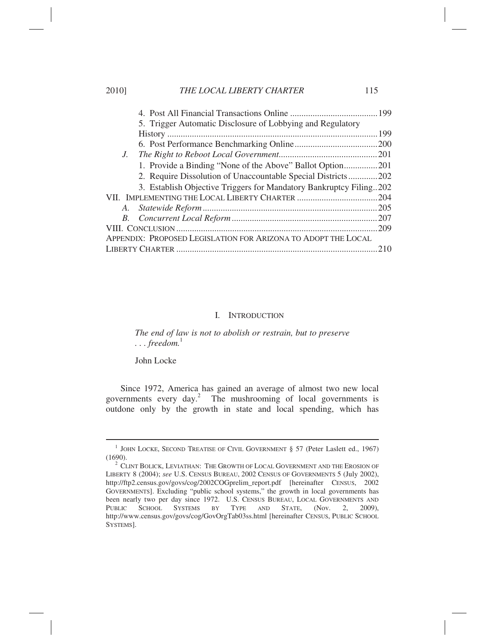| 20101       | THE LOCAL LIBENTT CHANTEN                                          | $\blacksquare$ |  |  |
|-------------|--------------------------------------------------------------------|----------------|--|--|
|             |                                                                    |                |  |  |
|             | 5. Trigger Automatic Disclosure of Lobbying and Regulatory         |                |  |  |
|             |                                                                    |                |  |  |
|             |                                                                    |                |  |  |
| $J_{\cdot}$ |                                                                    |                |  |  |
|             | 1. Provide a Binding "None of the Above" Ballot Option201          |                |  |  |
|             | 2. Require Dissolution of Unaccountable Special Districts202       |                |  |  |
|             | 3. Establish Objective Triggers for Mandatory Bankruptcy Filing202 |                |  |  |
|             |                                                                    |                |  |  |
|             |                                                                    |                |  |  |
|             |                                                                    |                |  |  |
|             |                                                                    |                |  |  |
|             | APPENDIX: PROPOSED LEGISLATION FOR ARIZONA TO ADOPT THE LOCAL      |                |  |  |
|             |                                                                    | .210           |  |  |

#### I. INTRODUCTION

*The end of law is not to abolish or restrain, but to preserve*   $\ldots$  *freedom*.<sup>1</sup>

John Locke

l,

Since 1972, America has gained an average of almost two new local governments every day.<sup>2</sup> The mushrooming of local governments is outdone only by the growth in state and local spending, which has

2010] *THE LOCAL LIBERTY CHARTER* 115

<sup>&</sup>lt;sup>1</sup> JOHN LOCKE, SECOND TREATISE OF CIVIL GOVERNMENT § 57 (Peter Laslett ed., 1967)  $(1690).$ 

 $^2$  CLINT BOLICK, LEVIATHAN: THE GROWTH OF LOCAL GOVERNMENT AND THE EROSION OF LIBERTY 8 (2004); *see* U.S. CENSUS BUREAU, 2002 CENSUS OF GOVERNMENTS 5 (July 2002), http://ftp2.census.gov/govs/cog/2002COGprelim\_report.pdf [hereinafter CENSUS, 2002 GOVERNMENTS]. Excluding "public school systems," the growth in local governments has been nearly two per day since 1972. U.S. CENSUS BUREAU, LOCAL GOVERNMENTS AND PUBLIC SCHOOL SYSTEMS BY TYPE AND STATE, (Nov. 2, 2009), PUBLIC SCHOOL SYSTEMS BY TYPE AND STATE, (Nov. 2, 2009), http://www.census.gov/govs/cog/GovOrgTab03ss.html [hereinafter CENSUS, PUBLIC SCHOOL SYSTEMS].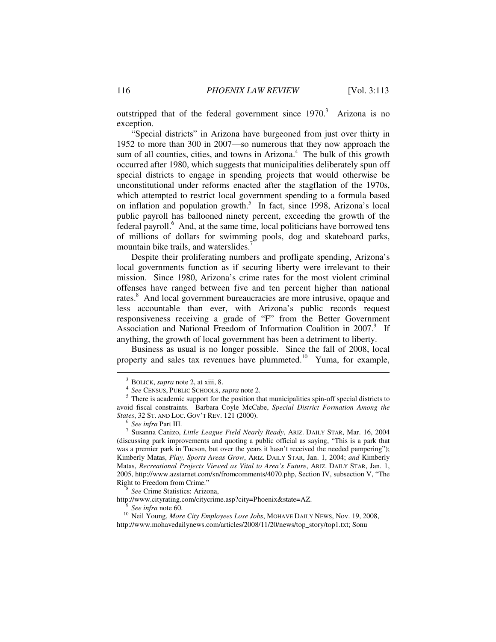outstripped that of the federal government since  $1970$ .<sup>3</sup> Arizona is no exception.

"Special districts" in Arizona have burgeoned from just over thirty in 1952 to more than 300 in 2007—so numerous that they now approach the sum of all counties, cities, and towns in Arizona.<sup>4</sup> The bulk of this growth occurred after 1980, which suggests that municipalities deliberately spun off special districts to engage in spending projects that would otherwise be unconstitutional under reforms enacted after the stagflation of the 1970s, which attempted to restrict local government spending to a formula based on inflation and population growth.<sup>5</sup> In fact, since 1998, Arizona's local public payroll has ballooned ninety percent, exceeding the growth of the federal payroll.<sup>6</sup> And, at the same time, local politicians have borrowed tens of millions of dollars for swimming pools, dog and skateboard parks, mountain bike trails, and waterslides.<sup>7</sup>

Despite their proliferating numbers and profligate spending, Arizona's local governments function as if securing liberty were irrelevant to their mission. Since 1980, Arizona's crime rates for the most violent criminal offenses have ranged between five and ten percent higher than national rates.<sup>8</sup> And local government bureaucracies are more intrusive, opaque and less accountable than ever, with Arizona's public records request responsiveness receiving a grade of "F" from the Better Government Association and National Freedom of Information Coalition in 2007.<sup>9</sup> If anything, the growth of local government has been a detriment to liberty.

Business as usual is no longer possible. Since the fall of 2008, local property and sales tax revenues have plummeted.<sup>10</sup> Yuma, for example,

http://www.cityrating.com/citycrime.asp?city=Phoenix&state=AZ.<br><sup>9</sup> See infra note 60.

<sup>&</sup>lt;sup>3</sup> BOLICK, *supra* note 2, at xiii, 8.

*See* CENSUS, PUBLIC SCHOOLS, *supra* note 2. 5

 $5$  There is academic support for the position that municipalities spin-off special districts to avoid fiscal constraints. Barbara Coyle McCabe, *Special District Formation Among the States*, 32 ST. AND LOC. GOV'T REV. 121 (2000).<br><sup>6</sup> See infra Part III.

<sup>&</sup>lt;sup>7</sup> Susanna Canizo, *Little League Field Nearly Ready*, ARIZ. DAILY STAR, Mar. 16, 2004 (discussing park improvements and quoting a public official as saying, "This is a park that was a premier park in Tucson, but over the years it hasn't received the needed pampering"); Kimberly Matas, *Play, Sports Areas Grow*, ARIZ. DAILY STAR, Jan. 1, 2004; *and* Kimberly Matas, *Recreational Projects Viewed as Vital to Area's Future*, ARIZ. DAILY STAR, Jan. 1, 2005, http://www.azstarnet.com/sn/fromcomments/4070.php, Section IV, subsection V, "The Right to Freedom from Crime." 8

*See* Crime Statistics: Arizona,

<sup>&</sup>lt;sup>10</sup> Neil Young, *More City Employees Lose Jobs*, MOHAVE DAILY NEWS, Nov. 19, 2008, http://www.mohavedailynews.com/articles/2008/11/20/news/top\_story/top1.txt; Sonu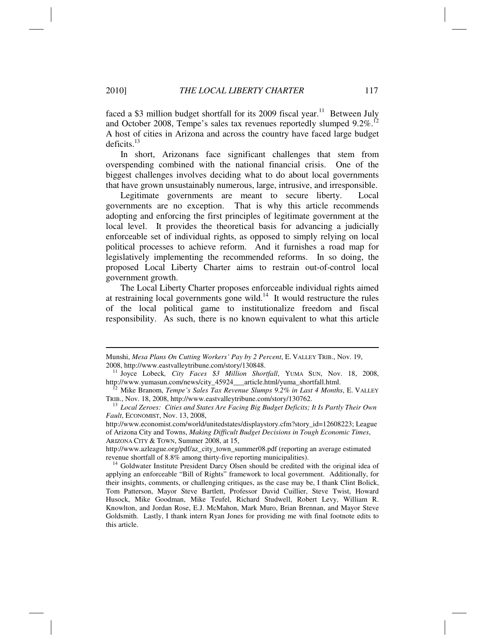faced a \$3 million budget shortfall for its 2009 fiscal year.<sup>11</sup> Between July and October 2008, Tempe's sales tax revenues reportedly slumped  $9.2\%$ <sup>12</sup> A host of cities in Arizona and across the country have faced large budget deficits. $13$ 

In short, Arizonans face significant challenges that stem from overspending combined with the national financial crisis. One of the biggest challenges involves deciding what to do about local governments that have grown unsustainably numerous, large, intrusive, and irresponsible.

Legitimate governments are meant to secure liberty. Local governments are no exception. That is why this article recommends adopting and enforcing the first principles of legitimate government at the local level. It provides the theoretical basis for advancing a judicially enforceable set of individual rights, as opposed to simply relying on local political processes to achieve reform. And it furnishes a road map for legislatively implementing the recommended reforms. In so doing, the proposed Local Liberty Charter aims to restrain out-of-control local government growth.

The Local Liberty Charter proposes enforceable individual rights aimed at restraining local governments gone wild.<sup>14</sup> It would restructure the rules of the local political game to institutionalize freedom and fiscal responsibility. As such, there is no known equivalent to what this article

Munshi, *Mesa Plans On Cutting Workers' Pay by 2 Percent*, E. VALLEY TRIB., Nov. 19,

<sup>2008,</sup> http://www.eastvalleytribune.com/story/130848. 11 Joyce Lobeck*, City Faces \$3 Million Shortfall*, YUMA SUN, Nov. 18, 2008,

http://www.yumasun.com/news/city\_45924\_\_article.html/yuma\_shortfall.html.<br><sup>12</sup> Mike Branom, *Tempe's Sales Tax Revenue Slumps 9.2% in Last 4 Months*, E. VALLEY<br>TRIB., Nov. 18, 2008, http://www.eastvalleytribune.com/story/1

<sup>&</sup>lt;sup>13</sup> Local Zeroes: Cities and States Are Facing Big Budget Deficits; It Is Partly Their Own *Fault*, ECONOMIST, Nov. 13, 2008,

http://www.economist.com/world/unitedstates/displaystory.cfm?story\_id=12608223; League of Arizona City and Towns, *Making Difficult Budget Decisions in Tough Economic Times*, ARIZONA CITY & TOWN, Summer 2008, at 15,

http://www.azleague.org/pdf/az\_city\_town\_summer08.pdf (reporting an average estimated

revenue shortfall of 8.8% among thirty-five reporting municipalities).<br><sup>14</sup> Goldwater Institute President Darcy Olsen should be credited with the original idea of applying an enforceable "Bill of Rights" framework to local government. Additionally, for their insights, comments, or challenging critiques, as the case may be, I thank Clint Bolick, Tom Patterson, Mayor Steve Bartlett, Professor David Cuillier, Steve Twist, Howard Husock, Mike Goodman, Mike Teufel, Richard Studwell, Robert Levy, William R. Knowlton, and Jordan Rose, E.J. McMahon, Mark Muro, Brian Brennan, and Mayor Steve Goldsmith. Lastly, I thank intern Ryan Jones for providing me with final footnote edits to this article.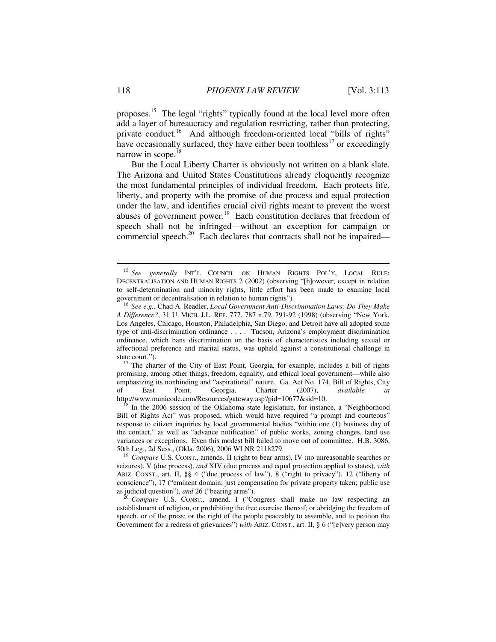proposes.15 The legal "rights" typically found at the local level more often add a layer of bureaucracy and regulation restricting, rather than protecting, private conduct.<sup>16</sup> And although freedom-oriented local "bills of rights" have occasionally surfaced, they have either been toothless<sup>17</sup> or exceedingly narrow in scope.<sup>18</sup>

But the Local Liberty Charter is obviously not written on a blank slate. The Arizona and United States Constitutions already eloquently recognize the most fundamental principles of individual freedom. Each protects life, liberty, and property with the promise of due process and equal protection under the law, and identifies crucial civil rights meant to prevent the worst abuses of government power.<sup>19</sup> Each constitution declares that freedom of speech shall not be infringed—without an exception for campaign or commercial speech.<sup>20</sup> Each declares that contracts shall not be impaired—

state court.").<br><sup>17</sup> The charter of the City of East Point, Georgia, for example, includes a bill of rights promising, among other things, freedom, equality, and ethical local government—while also emphasizing its nonbinding and "aspirational" nature. Ga. Act No. 174, Bill of Rights, City<br>of East Point, Georgia, Charter (2007), *available at* of East Point, Georgia, Charter (2007), *available at* http://www.municode.com/Resources/gateway.asp?pid=10677&sid=10. <sup>18</sup> In the 2006 session of the Oklahoma state legislature, for instance, a "Neighborhood

Bill of Rights Act" was proposed, which would have required "a prompt and courteous" response to citizen inquiries by local governmental bodies "within one (1) business day of the contact," as well as "advance notification" of public works, zoning changes, land use variances or exceptions. Even this modest bill failed to move out of committee. H.B. 3086, 50th Leg., 2d Sess., (Okla. 2006), 2006 WLNR 2118279.<br><sup>19</sup> *Compare* U.S. CONST., amends. II (right to bear arms), IV (no unreasonable searches or

seizures), V (due process), *and* XIV (due process and equal protection applied to states), *with* ARIZ. CONST., art. II, §§ 4 ("due process of law"), 8 ("right to privacy"), 12 ("liberty of conscience"), 17 ("eminent domain; just compensation for private property taken; public use as judicial question"), *and* 26 ("bearing arms"). 20 *Compare* U.S. CONST., amend. I ("Congress shall make no law respecting an

establishment of religion, or prohibiting the free exercise thereof; or abridging the freedom of speech, or of the press; or the right of the people peaceably to assemble, and to petition the Government for a redress of grievances") *with* ARIZ. CONST., art. II, § 6 ("[e]very person may

<sup>15</sup> *See generally* INT'L COUNCIL ON HUMAN RIGHTS POL'Y, LOCAL RULE: DECENTRALISATION AND HUMAN RIGHTS 2 (2002) (observing "[h]owever, except in relation to self-determination and minority rights, little effort has been made to examine local

<sup>&</sup>lt;sup>16</sup> See e.g., Chad A. Readler, *Local Government Anti-Discrimination Laws: Do They Make A Difference?*, 31 U. MICH. J.L. REF. 777, 787 n.79, 791-92 (1998) (observing "New York, Los Angeles, Chicago, Houston, Philadelphia, San Diego, and Detroit have all adopted some type of anti-discrimination ordinance . . . . Tucson, Arizona's employment discrimination ordinance, which bans discrimination on the basis of characteristics including sexual or affectional preference and marital status, was upheld against a constitutional challenge in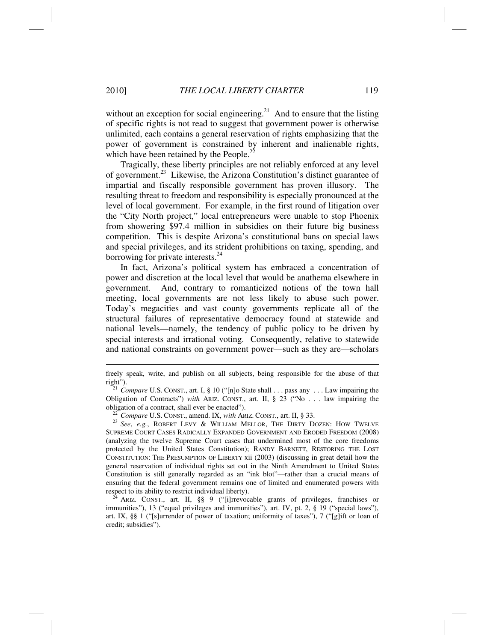without an exception for social engineering.<sup>21</sup> And to ensure that the listing of specific rights is not read to suggest that government power is otherwise unlimited, each contains a general reservation of rights emphasizing that the power of government is constrained by inherent and inalienable rights, which have been retained by the People.<sup>22</sup>

Tragically, these liberty principles are not reliably enforced at any level of government.23 Likewise, the Arizona Constitution's distinct guarantee of impartial and fiscally responsible government has proven illusory. The resulting threat to freedom and responsibility is especially pronounced at the level of local government. For example, in the first round of litigation over the "City North project," local entrepreneurs were unable to stop Phoenix from showering \$97.4 million in subsidies on their future big business competition. This is despite Arizona's constitutional bans on special laws and special privileges, and its strident prohibitions on taxing, spending, and borrowing for private interests.<sup>24</sup>

In fact, Arizona's political system has embraced a concentration of power and discretion at the local level that would be anathema elsewhere in government. And, contrary to romanticized notions of the town hall meeting, local governments are not less likely to abuse such power. Today's megacities and vast county governments replicate all of the structural failures of representative democracy found at statewide and national levels—namely, the tendency of public policy to be driven by special interests and irrational voting. Consequently, relative to statewide and national constraints on government power—such as they are—scholars

obligation of a contract, shall ever be enacted").<br><sup>22</sup> *Compare* U.S. CONST., amend. IX, *with* ARIZ. CONST., art. II, § 33.<br><sup>23</sup> *See*, *e.g.*, ROBERT LEVY & WILLIAM MELLOR, THE DIRTY DOZEN: HOW TWELVE SUPREME COURT CASES RADICALLY EXPANDED GOVERNMENT AND ERODED FREEDOM (2008) (analyzing the twelve Supreme Court cases that undermined most of the core freedoms protected by the United States Constitution); RANDY BARNETT, RESTORING THE LOST CONSTITUTION: THE PRESUMPTION OF LIBERTY xii (2003) (discussing in great detail how the general reservation of individual rights set out in the Ninth Amendment to United States Constitution is still generally regarded as an "ink blot"—rather than a crucial means of ensuring that the federal government remains one of limited and enumerated powers with<br>respect to its ability to restrict individual liberty).<br> $\frac{24 \text{ A}{RT}}{20 \times 10^{14}}$ 

ARIZ. CONST., art. II, §§ 9 ("[i]rrevocable grants of privileges, franchises or immunities"), 13 ("equal privileges and immunities"), art. IV, pt. 2, § 19 ("special laws"), art. IX, §§ 1 ("[s]urrender of power of taxation; uniformity of taxes"), 7 ("[g]ift or loan of credit; subsidies").

freely speak, write, and publish on all subjects, being responsible for the abuse of that right"). 21 *Compare* U.S. CONST., art. I, § 10 ("[n]o State shall . . . pass any . . . Law impairing the

Obligation of Contracts") *with* ARIZ. CONST., art. II, § 23 ("No . . . law impairing the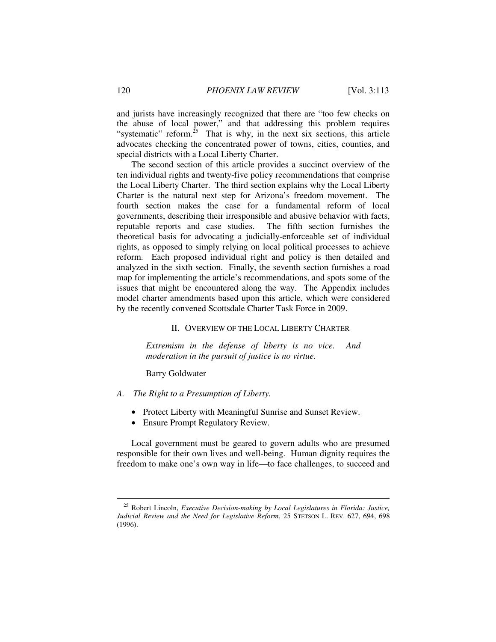and jurists have increasingly recognized that there are "too few checks on the abuse of local power," and that addressing this problem requires "systematic" reform.<sup>25</sup> That is why, in the next six sections, this article advocates checking the concentrated power of towns, cities, counties, and special districts with a Local Liberty Charter.

The second section of this article provides a succinct overview of the ten individual rights and twenty-five policy recommendations that comprise the Local Liberty Charter. The third section explains why the Local Liberty Charter is the natural next step for Arizona's freedom movement. The fourth section makes the case for a fundamental reform of local governments, describing their irresponsible and abusive behavior with facts, reputable reports and case studies. The fifth section furnishes the theoretical basis for advocating a judicially-enforceable set of individual rights, as opposed to simply relying on local political processes to achieve reform. Each proposed individual right and policy is then detailed and analyzed in the sixth section. Finally, the seventh section furnishes a road map for implementing the article's recommendations, and spots some of the issues that might be encountered along the way. The Appendix includes model charter amendments based upon this article, which were considered by the recently convened Scottsdale Charter Task Force in 2009.

#### II. OVERVIEW OF THE LOCAL LIBERTY CHARTER

*Extremism in the defense of liberty is no vice. And moderation in the pursuit of justice is no virtue.* 

Barry Goldwater

- *A. The Right to a Presumption of Liberty.* 
	- Protect Liberty with Meaningful Sunrise and Sunset Review.
	- Ensure Prompt Regulatory Review.

Local government must be geared to govern adults who are presumed responsible for their own lives and well-being. Human dignity requires the freedom to make one's own way in life—to face challenges, to succeed and

<sup>25</sup> Robert Lincoln, *Executive Decision-making by Local Legislatures in Florida: Justice, Judicial Review and the Need for Legislative Reform*, 25 STETSON L. REV. 627, 694, 698 (1996).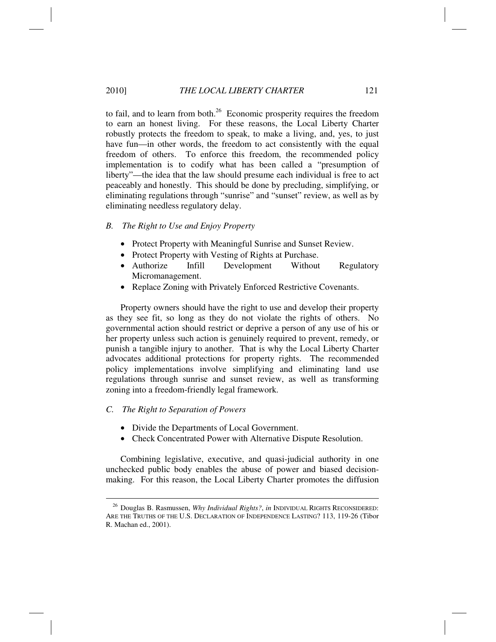#### 2010] *THE LOCAL LIBERTY CHARTER* 121

to fail, and to learn from both. $^{26}$  Economic prosperity requires the freedom to earn an honest living. For these reasons, the Local Liberty Charter robustly protects the freedom to speak, to make a living, and, yes, to just have fun—in other words, the freedom to act consistently with the equal freedom of others. To enforce this freedom, the recommended policy implementation is to codify what has been called a "presumption of liberty"—the idea that the law should presume each individual is free to act peaceably and honestly. This should be done by precluding, simplifying, or eliminating regulations through "sunrise" and "sunset" review, as well as by eliminating needless regulatory delay.

#### *B. The Right to Use and Enjoy Property*

- Protect Property with Meaningful Sunrise and Sunset Review.
- Protect Property with Vesting of Rights at Purchase.
- Authorize Infill Development Without Regulatory Micromanagement.
- Replace Zoning with Privately Enforced Restrictive Covenants.

Property owners should have the right to use and develop their property as they see fit, so long as they do not violate the rights of others. No governmental action should restrict or deprive a person of any use of his or her property unless such action is genuinely required to prevent, remedy, or punish a tangible injury to another. That is why the Local Liberty Charter advocates additional protections for property rights. The recommended policy implementations involve simplifying and eliminating land use regulations through sunrise and sunset review, as well as transforming zoning into a freedom-friendly legal framework.

#### *C. The Right to Separation of Powers*

- Divide the Departments of Local Government.
- Check Concentrated Power with Alternative Dispute Resolution.

Combining legislative, executive, and quasi-judicial authority in one unchecked public body enables the abuse of power and biased decisionmaking. For this reason, the Local Liberty Charter promotes the diffusion

<sup>&</sup>lt;sup>26</sup> Douglas B. Rasmussen, *Why Individual Rights?*, *in* INDIVIDUAL RIGHTS RECONSIDERED: ARE THE TRUTHS OF THE U.S. DECLARATION OF INDEPENDENCE LASTING? 113, 119-26 (Tibor R. Machan ed., 2001).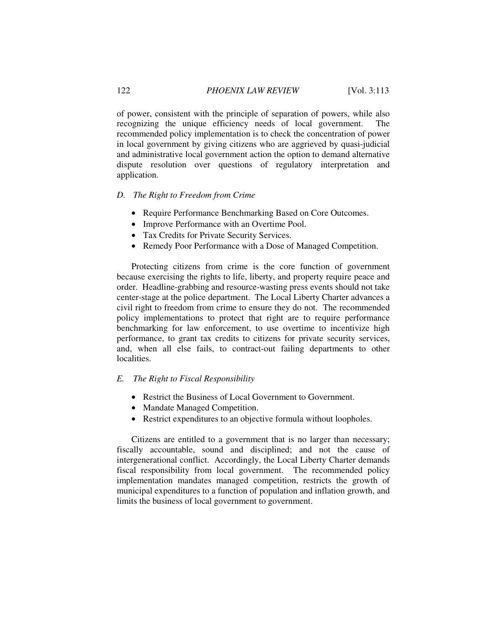of power, consistent with the principle of separation of powers, while also recognizing the unique efficiency needs of local government. The recommended policy implementation is to check the concentration of power in local government by giving citizens who are aggrieved by quasi-judicial and administrative local government action the option to demand alternative dispute resolution over questions of regulatory interpretation and application.

## *D. The Right to Freedom from Crime*

- Require Performance Benchmarking Based on Core Outcomes.
- Improve Performance with an Overtime Pool.
- Tax Credits for Private Security Services.
- Remedy Poor Performance with a Dose of Managed Competition.

Protecting citizens from crime is the core function of government because exercising the rights to life, liberty, and property require peace and order. Headline-grabbing and resource-wasting press events should not take center-stage at the police department. The Local Liberty Charter advances a civil right to freedom from crime to ensure they do not. The recommended policy implementations to protect that right are to require performance benchmarking for law enforcement, to use overtime to incentivize high performance, to grant tax credits to citizens for private security services, and, when all else fails, to contract-out failing departments to other localities.

## *E. The Right to Fiscal Responsibility*

- Restrict the Business of Local Government to Government.
- Mandate Managed Competition.
- Restrict expenditures to an objective formula without loopholes.

Citizens are entitled to a government that is no larger than necessary; fiscally accountable, sound and disciplined; and not the cause of intergenerational conflict. Accordingly, the Local Liberty Charter demands fiscal responsibility from local government. The recommended policy implementation mandates managed competition, restricts the growth of municipal expenditures to a function of population and inflation growth, and limits the business of local government to government.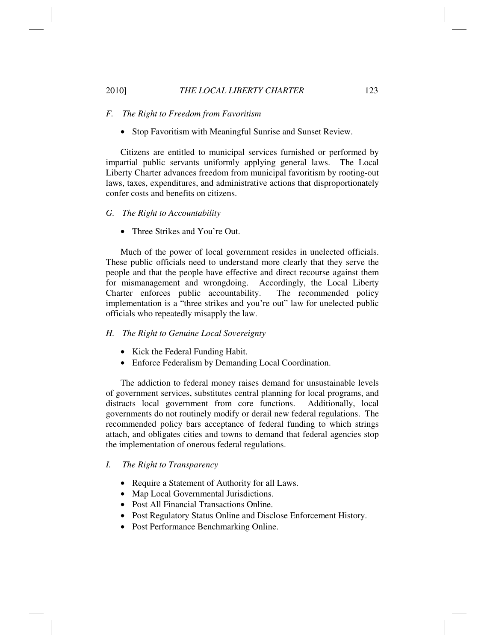## 2010] *THE LOCAL LIBERTY CHARTER* 123

#### *F. The Right to Freedom from Favoritism*

• Stop Favoritism with Meaningful Sunrise and Sunset Review.

Citizens are entitled to municipal services furnished or performed by impartial public servants uniformly applying general laws. The Local Liberty Charter advances freedom from municipal favoritism by rooting-out laws, taxes, expenditures, and administrative actions that disproportionately confer costs and benefits on citizens.

#### *G. The Right to Accountability*

• Three Strikes and You're Out.

Much of the power of local government resides in unelected officials. These public officials need to understand more clearly that they serve the people and that the people have effective and direct recourse against them for mismanagement and wrongdoing. Accordingly, the Local Liberty Charter enforces public accountability. The recommended policy implementation is a "three strikes and you're out" law for unelected public officials who repeatedly misapply the law.

## *H. The Right to Genuine Local Sovereignty*

- Kick the Federal Funding Habit.
- Enforce Federalism by Demanding Local Coordination.

The addiction to federal money raises demand for unsustainable levels of government services, substitutes central planning for local programs, and distracts local government from core functions. Additionally, local governments do not routinely modify or derail new federal regulations. The recommended policy bars acceptance of federal funding to which strings attach, and obligates cities and towns to demand that federal agencies stop the implementation of onerous federal regulations.

## *I. The Right to Transparency*

- Require a Statement of Authority for all Laws.
- Map Local Governmental Jurisdictions.
- Post All Financial Transactions Online.
- Post Regulatory Status Online and Disclose Enforcement History.
- Post Performance Benchmarking Online.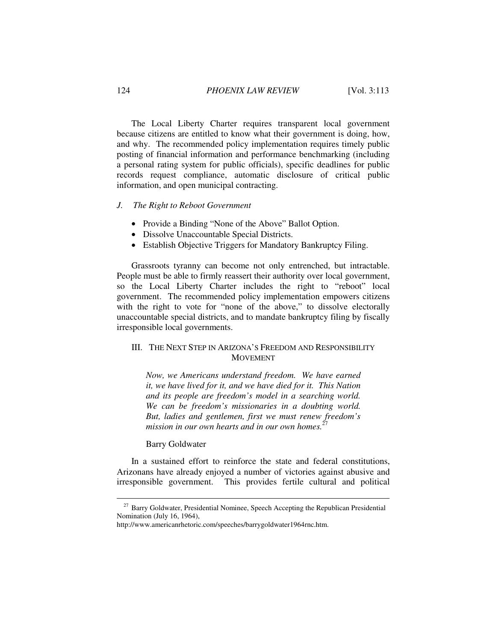The Local Liberty Charter requires transparent local government because citizens are entitled to know what their government is doing, how, and why. The recommended policy implementation requires timely public posting of financial information and performance benchmarking (including a personal rating system for public officials), specific deadlines for public records request compliance, automatic disclosure of critical public information, and open municipal contracting.

## *J. The Right to Reboot Government*

- Provide a Binding "None of the Above" Ballot Option.
- Dissolve Unaccountable Special Districts.
- Establish Objective Triggers for Mandatory Bankruptcy Filing.

Grassroots tyranny can become not only entrenched, but intractable. People must be able to firmly reassert their authority over local government, so the Local Liberty Charter includes the right to "reboot" local government. The recommended policy implementation empowers citizens with the right to vote for "none of the above," to dissolve electorally unaccountable special districts, and to mandate bankruptcy filing by fiscally irresponsible local governments.

# III. THE NEXT STEP IN ARIZONA'S FREEDOM AND RESPONSIBILITY MOVEMENT

*Now, we Americans understand freedom. We have earned it, we have lived for it, and we have died for it. This Nation and its people are freedom's model in a searching world. We can be freedom's missionaries in a doubting world. But, ladies and gentlemen, first we must renew freedom's mission in our own hearts and in our own homes.*<sup>27</sup>

## Barry Goldwater

In a sustained effort to reinforce the state and federal constitutions, Arizonans have already enjoyed a number of victories against abusive and irresponsible government. This provides fertile cultural and political

<sup>&</sup>lt;sup>27</sup> Barry Goldwater, Presidential Nominee, Speech Accepting the Republican Presidential Nomination (July 16, 1964),

http://www.americanrhetoric.com/speeches/barrygoldwater1964rnc.htm.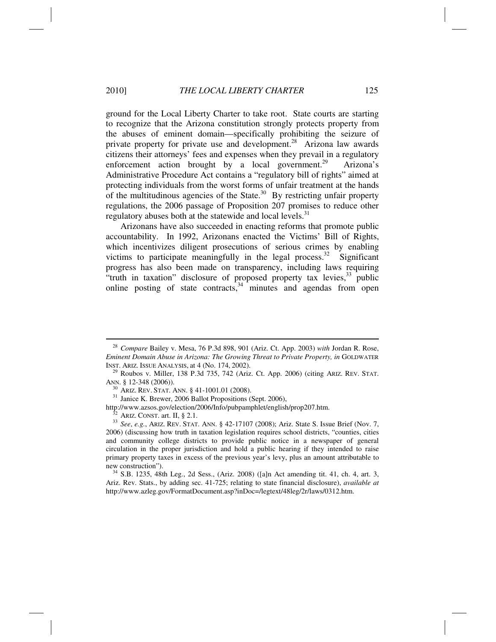#### 2010] *THE LOCAL LIBERTY CHARTER* 125

ground for the Local Liberty Charter to take root. State courts are starting to recognize that the Arizona constitution strongly protects property from the abuses of eminent domain—specifically prohibiting the seizure of private property for private use and development.<sup>28</sup> Arizona law awards citizens their attorneys' fees and expenses when they prevail in a regulatory enforcement action brought by a local government.<sup>29</sup> Arizona's Administrative Procedure Act contains a "regulatory bill of rights" aimed at protecting individuals from the worst forms of unfair treatment at the hands of the multitudinous agencies of the State.<sup>30</sup> By restricting unfair property regulations, the 2006 passage of Proposition 207 promises to reduce other regulatory abuses both at the statewide and local levels.<sup>31</sup>

Arizonans have also succeeded in enacting reforms that promote public accountability. In 1992, Arizonans enacted the Victims' Bill of Rights, which incentivizes diligent prosecutions of serious crimes by enabling victims to participate meaningfully in the legal process. $32$  Significant progress has also been made on transparency, including laws requiring "truth in taxation" disclosure of proposed property tax levies,  $33$  public online posting of state contracts,  $34$  minutes and agendas from open

<sup>30</sup> ARIZ. REV. STAT. ANN. § 41-1001.01 (2008).<br><sup>31</sup> Janice K. Brewer, 2006 Ballot Propositions (Sept. 2006),<br>http://www.azsos.gov/election/2006/Info/pubpamphlet/english/prop207.htm.

new construction").<br><sup>34</sup> S.B. 1235, 48th Leg., 2d Sess., (Ariz. 2008) ([a]n Act amending tit. 41, ch. 4, art. 3, Ariz. Rev. Stats., by adding sec. 41-725; relating to state financial disclosure), *available at* http://www.azleg.gov/FormatDocument.asp?inDoc=/legtext/48leg/2r/laws/0312.htm.

<sup>28</sup> *Compare* Bailey v. Mesa, 76 P.3d 898, 901 (Ariz. Ct. App. 2003) *with* Jordan R. Rose, *Eminent Domain Abuse in Arizona: The Growing Threat to Private Property, in* GOLDWATER

INST. ARIZ. ISSUE ANALYSIS, at 4 (No. 174, 2002).<br><sup>29</sup> Roubos v. Miller, 138 P.3d 735, 742 (Ariz. Ct. App. 2006) (citing ARIZ. REV. STAT.<br>ANN. § 12-348 (2006)).

<sup>&</sup>lt;sup>32</sup> Ariz. Const. art. II, § 2.1.<br><sup>33</sup> See, e.g., Ariz. Rev. Stat. Ann. § 42-17107 (2008); Ariz. State S. Issue Brief (Nov. 7, 2006) (discussing how truth in taxation legislation requires school districts, "counties, cities and community college districts to provide public notice in a newspaper of general circulation in the proper jurisdiction and hold a public hearing if they intended to raise primary property taxes in excess of the previous year's levy, plus an amount attributable to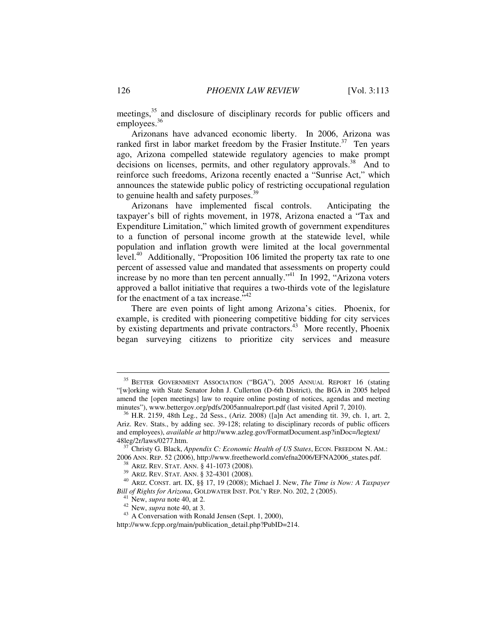meetings,<sup>35</sup> and disclosure of disciplinary records for public officers and employees.<sup>36</sup>

Arizonans have advanced economic liberty. In 2006, Arizona was ranked first in labor market freedom by the Frasier Institute.<sup>37</sup> Ten years ago, Arizona compelled statewide regulatory agencies to make prompt decisions on licenses, permits, and other regulatory approvals.<sup>38</sup> And to reinforce such freedoms, Arizona recently enacted a "Sunrise Act," which announces the statewide public policy of restricting occupational regulation to genuine health and safety purposes.<sup>39</sup>

Arizonans have implemented fiscal controls. Anticipating the taxpayer's bill of rights movement, in 1978, Arizona enacted a "Tax and Expenditure Limitation," which limited growth of government expenditures to a function of personal income growth at the statewide level, while population and inflation growth were limited at the local governmental level.<sup>40</sup> Additionally, "Proposition 106 limited the property tax rate to one percent of assessed value and mandated that assessments on property could increase by no more than ten percent annually.<sup> $34$ </sup> In 1992, "Arizona voters" approved a ballot initiative that requires a two-thirds vote of the legislature for the enactment of a tax increase."<sup>42</sup>

There are even points of light among Arizona's cities. Phoenix, for example, is credited with pioneering competitive bidding for city services by existing departments and private contractors.<sup>43</sup> More recently, Phoenix began surveying citizens to prioritize city services and measure

http://www.fcpp.org/main/publication\_detail.php?PubID=214.

<sup>35</sup> BETTER GOVERNMENT ASSOCIATION ("BGA"), 2005 ANNUAL REPORT 16 (stating "[w]orking with State Senator John J. Cullerton (D-6th District), the BGA in 2005 helped amend the [open meetings] law to require online posting of notices, agendas and meeting minutes"), www.bettergov.org/pdfs/2005annualreport.pdf (last visited April 7, 2010).<br><sup>36</sup> H.R. 2159, 48th Leg., 2d Sess., (Ariz. 2008) ([a]n Act amending tit. 39, ch. 1, art. 2,

Ariz. Rev. Stats., by adding sec. 39-128; relating to disciplinary records of public officers and employees), *available at* http://www.azleg.gov/FormatDocument.asp?inDoc=/legtext/

<sup>&</sup>lt;sup>37</sup> Christy G. Black, *Appendix C: Economic Health of US States*, ECON. FREEDOM N. AM.: 2006 ANN. REP. 52 (2006), http://www.freetheworld.com/efna2006/EFNA2006\_states.pdf.

<sup>&</sup>lt;sup>38</sup> ARIZ. REV. STAT. ANN. § 41-1073 (2008).<br><sup>39</sup> ARIZ. REV. STAT. ANN. § 32-4301 (2008).<br><sup>40</sup> ARIZ. CONST. art. IX, §§ 17, 19 (2008); Michael J. New, *The Time is Now: A Taxpayer Bill of Rights for Arizona*, GOLDWATER INST. POL'Y REP. NO. 202, 2 (2005).<br><sup>41</sup> New, *supra* note 40, at 2.<br><sup>42</sup> New, *supra* note 40, at 3.<br><sup>43</sup> A Conversation with Ronald Jensen (Sept. 1, 2000),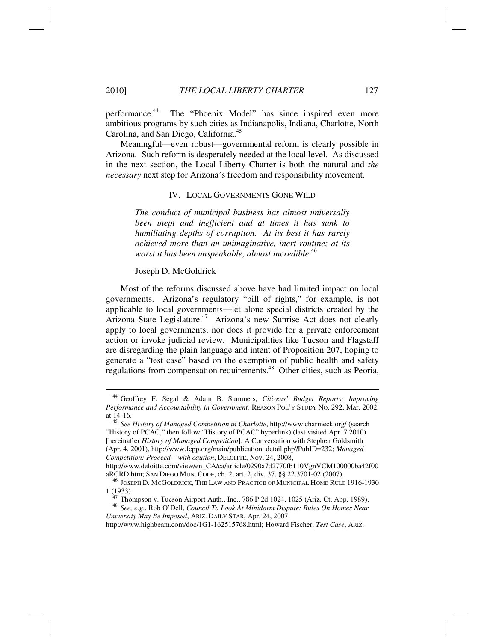performance.<sup>44</sup> The "Phoenix Model" has since inspired even more ambitious programs by such cities as Indianapolis, Indiana, Charlotte, North Carolina, and San Diego, California.45

Meaningful—even robust—governmental reform is clearly possible in Arizona. Such reform is desperately needed at the local level. As discussed in the next section, the Local Liberty Charter is both the natural and *the necessary* next step for Arizona's freedom and responsibility movement.

### IV. LOCAL GOVERNMENTS GONE WILD

*The conduct of municipal business has almost universally been inept and inefficient and at times it has sunk to humiliating depths of corruption. At its best it has rarely achieved more than an unimaginative, inert routine; at its worst it has been unspeakable, almost incredible.*<sup>46</sup>

#### Joseph D. McGoldrick

Most of the reforms discussed above have had limited impact on local governments. Arizona's regulatory "bill of rights," for example, is not applicable to local governments—let alone special districts created by the Arizona State Legislature.<sup>47</sup> Arizona's new Sunrise Act does not clearly apply to local governments, nor does it provide for a private enforcement action or invoke judicial review. Municipalities like Tucson and Flagstaff are disregarding the plain language and intent of Proposition 207, hoping to generate a "test case" based on the exemption of public health and safety regulations from compensation requirements.48 Other cities, such as Peoria,

<sup>44</sup> Geoffrey F. Segal & Adam B. Summers, *Citizens' Budget Reports: Improving Performance and Accountability in Government,* REASON POL'Y STUDY NO. 292, Mar. 2002,

at 14-16. 45 *See History of Managed Competition in Charlotte*, http://www.charmeck.org/ (search "History of PCAC," then follow "History of PCAC" hyperlink) (last visited Apr. 7 2010) [hereinafter *History of Managed Competition*]; A Conversation with Stephen Goldsmith (Apr. 4, 2001), http://www.fcpp.org/main/publication\_detail.php?PubID=232; *Managed Competition: Proceed – with caution*, DELOITTE, Nov. 24, 2008,

http://www.deloitte.com/view/en\_CA/ca/article/0290a7d2770fb110VgnVCM100000ba42f00

aRCRD.htm; SAN DIEGO MUN. CODE, ch. 2, art. 2, div. 37, §§ 22.3701-02 (2007).<br><sup>46</sup> JOSEPH D. MCGOLDRICK, THE LAW AND PRACTICE OF MUNICIPAL HOME RULE 1916-1930<br>1 (1933).

 $17$  Thompson v. Tucson Airport Auth., Inc., 786 P.2d 1024, 1025 (Ariz. Ct. App. 1989).

<sup>48</sup> *See, e.g*., Rob O'Dell, *Council To Look At Minidorm Dispute: Rules On Homes Near University May Be Imposed*, ARIZ. DAILY STAR, Apr. 24, 2007,

http://www.highbeam.com/doc/1G1-162515768.html; Howard Fischer, *Test Case*, ARIZ.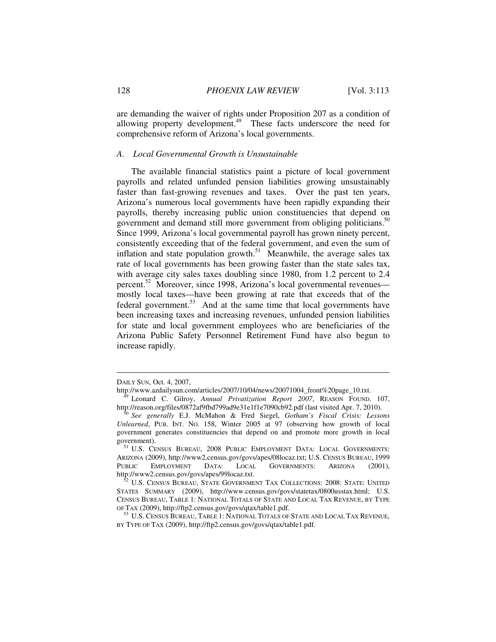are demanding the waiver of rights under Proposition 207 as a condition of allowing property development. $49$  These facts underscore the need for comprehensive reform of Arizona's local governments.

#### *A. Local Governmental Growth is Unsustainable*

The available financial statistics paint a picture of local government payrolls and related unfunded pension liabilities growing unsustainably faster than fast-growing revenues and taxes. Over the past ten years, Arizona's numerous local governments have been rapidly expanding their payrolls, thereby increasing public union constituencies that depend on government and demand still more government from obliging politicians.<sup>50</sup> Since 1999, Arizona's local governmental payroll has grown ninety percent, consistently exceeding that of the federal government, and even the sum of inflation and state population growth.<sup>51</sup> Meanwhile, the average sales tax rate of local governments has been growing faster than the state sales tax, with average city sales taxes doubling since 1980, from 1.2 percent to 2.4 percent.<sup>52</sup> Moreover, since 1998, Arizona's local governmental revenues mostly local taxes—have been growing at rate that exceeds that of the federal government.<sup>53</sup> And at the same time that local governments have been increasing taxes and increasing revenues, unfunded pension liabilities for state and local government employees who are beneficiaries of the Arizona Public Safety Personnel Retirement Fund have also begun to increase rapidly.

DAILY SUN, Oct. 4, 2007,<br>http://www.azdailysun.com/articles/2007/10/04/news/20071004\_front%20page\_10.txt.

<sup>&</sup>lt;sup>49</sup> Leonard C. Gilroy, *Annual Privatization Report 2007*, REASON FOUND. 107, http://reason.org/files/0872af9fbd799ad9e31e1f1e7090cb92.pdf (last visited Apr. 7, 2010).

http://reason.org/files/0872af9fbd799ad9e31e1f1e7090cb92.pdf (last visited Apr. 7, 2010). 50 *See generally* E.J. McMahon & Fred Siegel, *Gotham's Fiscal Crisis: Lessons Unlearned*, PUB. INT. NO. 158, Winter 2005 at 97 (observing how growth of local government generates constituencies that depend on and promote more growth in local government).  $51$  U.S. Census Bureau, 2008 Public Employment Data: Local Governments:

ARIZONA (2009), http://www2.census.gov/govs/apes/08locaz.txt; U.S. CENSUS BUREAU, 1999 PUBLIC EMPLOYMENT DATA: LOCAL GOVERNMENTS: ARIZONA (2001), http://www2.census.gov/govs/apes/99locaz.txt.

 $52$  U.S. Census Bureau, State Government Tax Collections: 2008: State: United STATES SUMMARY (2009), http://www.census.gov/govs/statetax/0800usstax.html; U.S. CENSUS BUREAU, TABLE 1: NATIONAL TOTALS OF STATE AND LOCAL TAX REVENUE, BY TYPE OF TAX (2009), http://ftp2.census.gov/govs/qtax/table1.pdf.

<sup>&</sup>lt;sup>53</sup> U.S. Census Bureau, Table 1: National Totals of State and Local Tax Revenue, BY TYPE OF TAX (2009), http://ftp2.census.gov/govs/qtax/table1.pdf.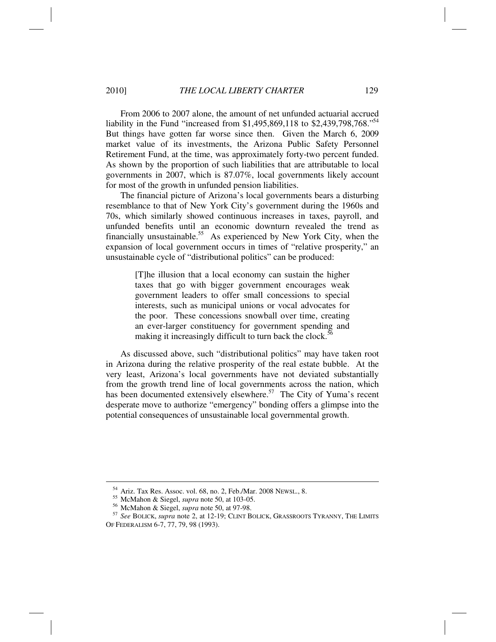#### 2010] *THE LOCAL LIBERTY CHARTER* 129

From 2006 to 2007 alone, the amount of net unfunded actuarial accrued liability in the Fund "increased from \$1,495,869,118 to \$2,439,798,768."<sup>54</sup> But things have gotten far worse since then. Given the March 6, 2009 market value of its investments, the Arizona Public Safety Personnel Retirement Fund, at the time, was approximately forty-two percent funded. As shown by the proportion of such liabilities that are attributable to local governments in 2007, which is 87.07%, local governments likely account for most of the growth in unfunded pension liabilities.

The financial picture of Arizona's local governments bears a disturbing resemblance to that of New York City's government during the 1960s and 70s, which similarly showed continuous increases in taxes, payroll, and unfunded benefits until an economic downturn revealed the trend as financially unsustainable.<sup>55</sup> As experienced by New York City, when the expansion of local government occurs in times of "relative prosperity," an unsustainable cycle of "distributional politics" can be produced:

> [T]he illusion that a local economy can sustain the higher taxes that go with bigger government encourages weak government leaders to offer small concessions to special interests, such as municipal unions or vocal advocates for the poor. These concessions snowball over time, creating an ever-larger constituency for government spending and making it increasingly difficult to turn back the clock.<sup>56</sup>

As discussed above, such "distributional politics" may have taken root in Arizona during the relative prosperity of the real estate bubble. At the very least, Arizona's local governments have not deviated substantially from the growth trend line of local governments across the nation, which has been documented extensively elsewhere.<sup>57</sup> The City of Yuma's recent desperate move to authorize "emergency" bonding offers a glimpse into the potential consequences of unsustainable local governmental growth.

<sup>&</sup>lt;sup>54</sup> Ariz. Tax Res. Assoc. vol. 68, no. 2, Feb./Mar. 2008 Newsl., 8.<br><sup>55</sup> McMahon & Siegel, *supra* note 50, at 103-05.<br><sup>56</sup> McMahon & Siegel, *supra* note 50, at 97-98.<br><sup>57</sup> *See* BOLICK, *supra* note 2, at 12-19; CLINT OF FEDERALISM 6-7, 77, 79, 98 (1993).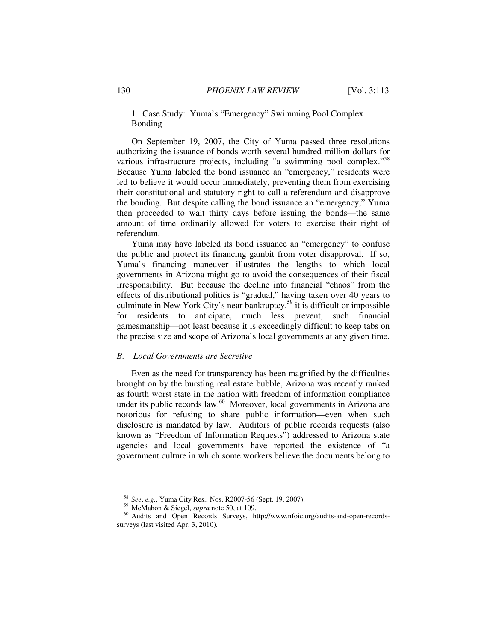# 1. Case Study: Yuma's "Emergency" Swimming Pool Complex Bonding

On September 19, 2007, the City of Yuma passed three resolutions authorizing the issuance of bonds worth several hundred million dollars for various infrastructure projects, including "a swimming pool complex."<sup>58</sup> Because Yuma labeled the bond issuance an "emergency," residents were led to believe it would occur immediately, preventing them from exercising their constitutional and statutory right to call a referendum and disapprove the bonding. But despite calling the bond issuance an "emergency," Yuma then proceeded to wait thirty days before issuing the bonds—the same amount of time ordinarily allowed for voters to exercise their right of referendum.

Yuma may have labeled its bond issuance an "emergency" to confuse the public and protect its financing gambit from voter disapproval. If so, Yuma's financing maneuver illustrates the lengths to which local governments in Arizona might go to avoid the consequences of their fiscal irresponsibility. But because the decline into financial "chaos" from the effects of distributional politics is "gradual," having taken over 40 years to culminate in New York City's near bankruptcy,<sup>59</sup> it is difficult or impossible for residents to anticipate, much less prevent, such financial gamesmanship—not least because it is exceedingly difficult to keep tabs on the precise size and scope of Arizona's local governments at any given time.

#### *B. Local Governments are Secretive*

Even as the need for transparency has been magnified by the difficulties brought on by the bursting real estate bubble, Arizona was recently ranked as fourth worst state in the nation with freedom of information compliance under its public records law. $60$  Moreover, local governments in Arizona are notorious for refusing to share public information—even when such disclosure is mandated by law. Auditors of public records requests (also known as "Freedom of Information Requests") addressed to Arizona state agencies and local governments have reported the existence of "a government culture in which some workers believe the documents belong to

<sup>&</sup>lt;sup>58</sup> See, e.g., Yuma City Res., Nos. R2007-56 (Sept. 19, 2007).<br><sup>59</sup> McMahon & Siegel, *supra* note 50, at 109.<br><sup>60</sup> Audits and Open Records Surveys, http://www.nfoic.org/audits-and-open-recordssurveys (last visited Apr. 3, 2010).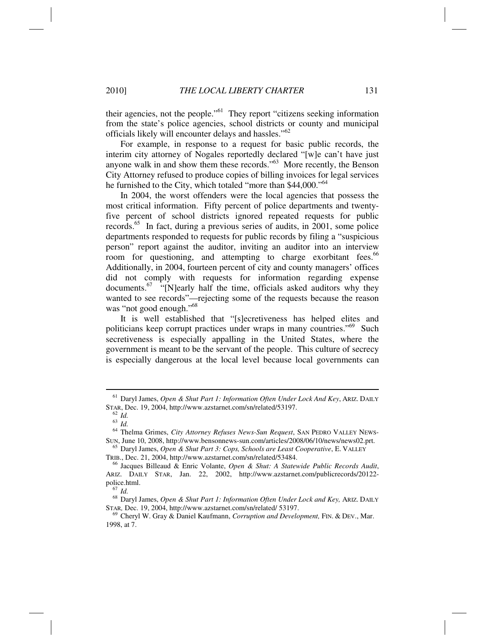their agencies, not the people."61 They report "citizens seeking information from the state's police agencies, school districts or county and municipal officials likely will encounter delays and hassles."<sup>62</sup>

For example, in response to a request for basic public records, the interim city attorney of Nogales reportedly declared "[w]e can't have just anyone walk in and show them these records."63 More recently, the Benson City Attorney refused to produce copies of billing invoices for legal services he furnished to the City, which totaled "more than \$44,000."<sup>64</sup>

In 2004, the worst offenders were the local agencies that possess the most critical information. Fifty percent of police departments and twentyfive percent of school districts ignored repeated requests for public records.<sup>65</sup> In fact, during a previous series of audits, in 2001, some police departments responded to requests for public records by filing a "suspicious person" report against the auditor, inviting an auditor into an interview room for questioning, and attempting to charge exorbitant fees.<sup>66</sup> Additionally, in 2004, fourteen percent of city and county managers' offices did not comply with requests for information regarding expense documents.<sup>67</sup> "[N]early half the time, officials asked auditors why they wanted to see records"—rejecting some of the requests because the reason was "not good enough."<sup>68</sup>

It is well established that "[s]ecretiveness has helped elites and politicians keep corrupt practices under wraps in many countries."<sup>69</sup> Such secretiveness is especially appalling in the United States, where the government is meant to be the servant of the people. This culture of secrecy is especially dangerous at the local level because local governments can

<sup>61</sup> Daryl James, *Open & Shut Part 1: Information Often Under Lock And Key*, ARIZ. DAILY STAR, Dec. 19, 2004, http://www.azstarnet.com/sn/related/53197.<br><sup>62</sup> *Id.* 

<sup>63</sup> *Id.*

<sup>&</sup>lt;sup>64</sup> Thelma Grimes, *City Attorney Refuses News-Sun Request*, SAN PEDRO VALLEY NEWS-<br>SUN, June 10, 2008, http://www.bensonnews-sun.com/articles/2008/06/10/news/news02.prt.

<sup>&</sup>lt;sup>65</sup> Daryl James, *Open & Shut Part 3: Cops, Schools are Least Cooperative*, E. VALLEY TRIB., Dec. 21, 2004, http://www.azstarnet.com/sn/related/53484. 66 Jacques Billeaud & Enric Volante, *Open & Shut: A Statewide Public Records Audit*,

ARIZ. DAILY STAR, Jan. 22, 2002, http://www.azstarnet.com/publicrecords/20122 police.html. 67 *Id.*

<sup>&</sup>lt;sup>68</sup> Daryl James, *Open & Shut Part 1: Information Often Under Lock and Key*, ARIZ. DAILY STAR, Dec. 19, 2004, http://www.azstarnet.com/sn/related/ 53197.

<sup>&</sup>lt;sup>69</sup> Cheryl W. Gray & Daniel Kaufmann, *Corruption and Development*, FIN. & DEV., Mar. 1998, at 7.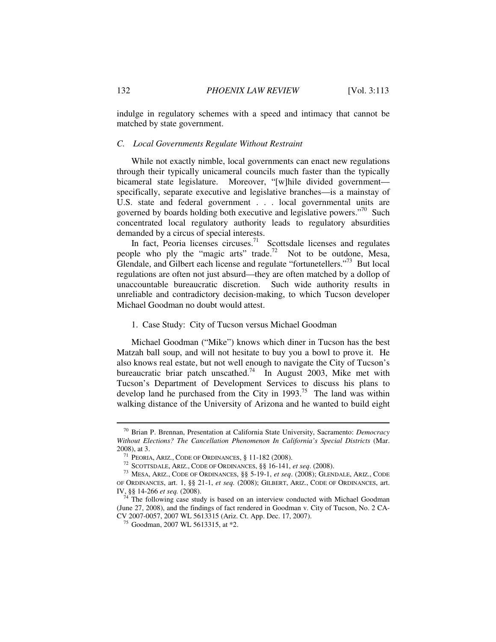indulge in regulatory schemes with a speed and intimacy that cannot be matched by state government.

#### *C. Local Governments Regulate Without Restraint*

While not exactly nimble, local governments can enact new regulations through their typically unicameral councils much faster than the typically bicameral state legislature. Moreover, "[w]hile divided government specifically, separate executive and legislative branches—is a mainstay of U.S. state and federal government . . . local governmental units are governed by boards holding both executive and legislative powers."<sup>70</sup> Such concentrated local regulatory authority leads to regulatory absurdities demanded by a circus of special interests.

In fact, Peoria licenses circuses.<sup>71</sup> Scottsdale licenses and regulates people who ply the "magic arts" trade.<sup>72</sup> Not to be outdone, Mesa, Glendale, and Gilbert each license and regulate "fortunetellers."<sup>73</sup> But local regulations are often not just absurd—they are often matched by a dollop of unaccountable bureaucratic discretion. Such wide authority results in unreliable and contradictory decision-making, to which Tucson developer Michael Goodman no doubt would attest.

## 1. Case Study: City of Tucson versus Michael Goodman

Michael Goodman ("Mike") knows which diner in Tucson has the best Matzah ball soup, and will not hesitate to buy you a bowl to prove it. He also knows real estate, but not well enough to navigate the City of Tucson's bureaucratic briar patch unscathed.<sup>74</sup> In August 2003, Mike met with Tucson's Department of Development Services to discuss his plans to develop land he purchased from the City in  $1993$ .<sup>75</sup> The land was within walking distance of the University of Arizona and he wanted to build eight

<sup>70</sup> Brian P. Brennan, Presentation at California State University, Sacramento: *Democracy Without Elections? The Cancellation Phenomenon In California's Special Districts* (Mar. 2008), at 3.<br><sup>71</sup> Peoria, Ariz., Code of Ordinances, § 11-182 (2008).<br><sup>72</sup> Scottsdale, Ariz., Code of Ordinances, §§ 16-141, *et seq.* (2008).<br><sup>73</sup> Mesa, Ariz., Code of Ordinances, §§ 5-19-1, *et seq.* (2008); Glendale, A

OF ORDINANCES, art. 1, §§ 21-1, *et seq.* (2008); GILBERT, ARIZ., CODE OF ORDINANCES, art.

IV, §§ 14-266 *et seq.* (2008).<br><sup>74</sup> The following case study is based on an interview conducted with Michael Goodman (June 27, 2008), and the findings of fact rendered in Goodman v. City of Tucson, No. 2 CA-CV 2007-0057, 2007 WL 5613315 (Ariz. Ct. App. Dec. 17, 2007). 75 Goodman, 2007 WL 5613315, at \*2.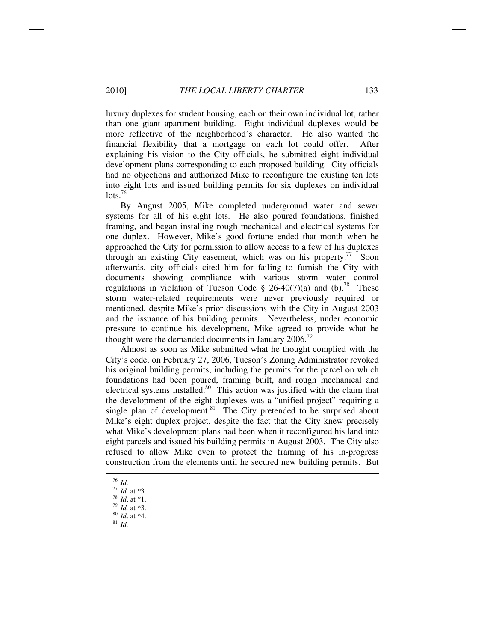luxury duplexes for student housing, each on their own individual lot, rather than one giant apartment building. Eight individual duplexes would be more reflective of the neighborhood's character. He also wanted the financial flexibility that a mortgage on each lot could offer. After explaining his vision to the City officials, he submitted eight individual development plans corresponding to each proposed building. City officials had no objections and authorized Mike to reconfigure the existing ten lots into eight lots and issued building permits for six duplexes on individual  $\mathrm{lots.}^{76}$ 

By August 2005, Mike completed underground water and sewer systems for all of his eight lots. He also poured foundations, finished framing, and began installing rough mechanical and electrical systems for one duplex. However, Mike's good fortune ended that month when he approached the City for permission to allow access to a few of his duplexes through an existing City easement, which was on his property.<sup>77</sup> Soon afterwards, city officials cited him for failing to furnish the City with documents showing compliance with various storm water control regulations in violation of Tucson Code § 26-40(7)(a) and (b).<sup>78</sup> These storm water-related requirements were never previously required or mentioned, despite Mike's prior discussions with the City in August 2003 and the issuance of his building permits. Nevertheless, under economic pressure to continue his development, Mike agreed to provide what he thought were the demanded documents in January 2006.<sup>79</sup>

Almost as soon as Mike submitted what he thought complied with the City's code, on February 27, 2006, Tucson's Zoning Administrator revoked his original building permits, including the permits for the parcel on which foundations had been poured, framing built, and rough mechanical and electrical systems installed.<sup>80</sup> This action was justified with the claim that the development of the eight duplexes was a "unified project" requiring a single plan of development.<sup>81</sup> The City pretended to be surprised about Mike's eight duplex project, despite the fact that the City knew precisely what Mike's development plans had been when it reconfigured his land into eight parcels and issued his building permits in August 2003. The City also refused to allow Mike even to protect the framing of his in-progress construction from the elements until he secured new building permits. But

 $\frac{76}{77}$  *Id.* at \*3.

<sup>77</sup> *Id.* at \*3. 78 *Id*. at \*1. 79 *Id.* at \*3. 80 *Id*. at \*4. 81 *Id.*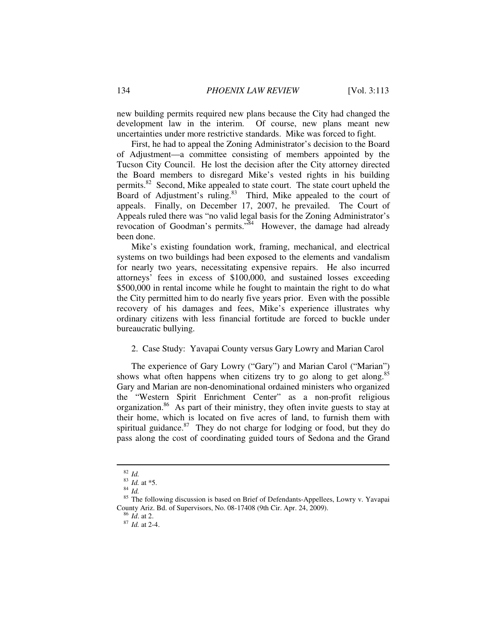new building permits required new plans because the City had changed the development law in the interim. Of course, new plans meant new uncertainties under more restrictive standards. Mike was forced to fight.

First, he had to appeal the Zoning Administrator's decision to the Board of Adjustment—a committee consisting of members appointed by the Tucson City Council. He lost the decision after the City attorney directed the Board members to disregard Mike's vested rights in his building permits.<sup>82</sup> Second, Mike appealed to state court. The state court upheld the Board of Adjustment's ruling.<sup>83</sup> Third, Mike appealed to the court of appeals. Finally, on December 17, 2007, he prevailed. The Court of Appeals ruled there was "no valid legal basis for the Zoning Administrator's revocation of Goodman's permits."<sup>84</sup> However, the damage had already been done.

Mike's existing foundation work, framing, mechanical, and electrical systems on two buildings had been exposed to the elements and vandalism for nearly two years, necessitating expensive repairs. He also incurred attorneys' fees in excess of \$100,000, and sustained losses exceeding \$500,000 in rental income while he fought to maintain the right to do what the City permitted him to do nearly five years prior. Even with the possible recovery of his damages and fees, Mike's experience illustrates why ordinary citizens with less financial fortitude are forced to buckle under bureaucratic bullying.

#### 2. Case Study: Yavapai County versus Gary Lowry and Marian Carol

The experience of Gary Lowry ("Gary") and Marian Carol ("Marian") shows what often happens when citizens try to go along to get along.<sup>85</sup> Gary and Marian are non-denominational ordained ministers who organized the "Western Spirit Enrichment Center" as a non-profit religious organization.86 As part of their ministry, they often invite guests to stay at their home, which is located on five acres of land, to furnish them with spiritual guidance. $87$  They do not charge for lodging or food, but they do pass along the cost of coordinating guided tours of Sedona and the Grand

<sup>82</sup> *Id.*

<sup>83</sup> *Id.* at \*5. 84 *Id.* 

<sup>&</sup>lt;sup>85</sup> The following discussion is based on Brief of Defendants-Appellees, Lowry v. Yavapai County Ariz. Bd. of Supervisors, No. 08-17408 (9th Cir. Apr. 24, 2009). 86 *Id*. at 2. 87 *Id.* at 2-4.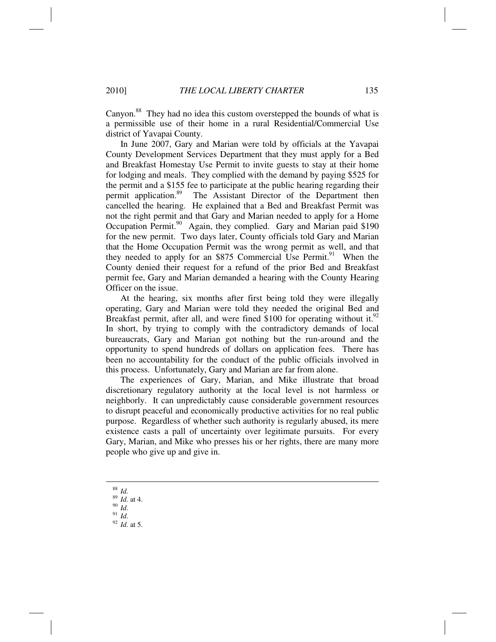Canyon.88 They had no idea this custom overstepped the bounds of what is a permissible use of their home in a rural Residential/Commercial Use district of Yavapai County.

In June 2007, Gary and Marian were told by officials at the Yavapai County Development Services Department that they must apply for a Bed and Breakfast Homestay Use Permit to invite guests to stay at their home for lodging and meals. They complied with the demand by paying \$525 for the permit and a \$155 fee to participate at the public hearing regarding their permit application.<sup>89</sup> The Assistant Director of the Department then cancelled the hearing. He explained that a Bed and Breakfast Permit was not the right permit and that Gary and Marian needed to apply for a Home Occupation Permit.<sup>90</sup> Again, they complied. Gary and Marian paid \$190 for the new permit. Two days later, County officials told Gary and Marian that the Home Occupation Permit was the wrong permit as well, and that they needed to apply for an \$875 Commercial Use Permit.<sup>91</sup> When the County denied their request for a refund of the prior Bed and Breakfast permit fee, Gary and Marian demanded a hearing with the County Hearing Officer on the issue.

At the hearing, six months after first being told they were illegally operating, Gary and Marian were told they needed the original Bed and Breakfast permit, after all, and were fined \$100 for operating without it.<sup>92</sup> In short, by trying to comply with the contradictory demands of local bureaucrats, Gary and Marian got nothing but the run-around and the opportunity to spend hundreds of dollars on application fees. There has been no accountability for the conduct of the public officials involved in this process. Unfortunately, Gary and Marian are far from alone.

The experiences of Gary, Marian, and Mike illustrate that broad discretionary regulatory authority at the local level is not harmless or neighborly. It can unpredictably cause considerable government resources to disrupt peaceful and economically productive activities for no real public purpose. Regardless of whether such authority is regularly abused, its mere existence casts a pall of uncertainty over legitimate pursuits. For every Gary, Marian, and Mike who presses his or her rights, there are many more people who give up and give in.

- <sup>88</sup> *Id.*
- <sup>89</sup> *Id.* at 4. 90 *Id.*
- 
- <sup>91</sup> *Id.* <sup>92</sup> *Id.* at 5.
-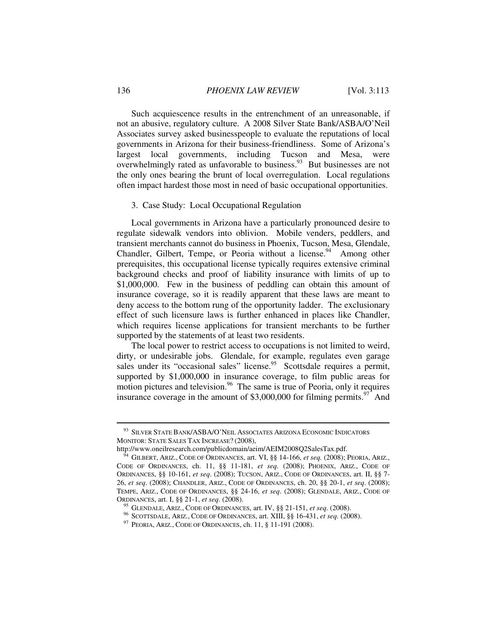Such acquiescence results in the entrenchment of an unreasonable, if not an abusive, regulatory culture. A 2008 Silver State Bank/ASBA/O'Neil Associates survey asked businesspeople to evaluate the reputations of local governments in Arizona for their business-friendliness. Some of Arizona's largest local governments, including Tucson and Mesa, were overwhelmingly rated as unfavorable to business.<sup>93</sup> But businesses are not the only ones bearing the brunt of local overregulation. Local regulations often impact hardest those most in need of basic occupational opportunities.

#### 3. Case Study: Local Occupational Regulation

Local governments in Arizona have a particularly pronounced desire to regulate sidewalk vendors into oblivion. Mobile venders, peddlers, and transient merchants cannot do business in Phoenix, Tucson, Mesa, Glendale, Chandler, Gilbert, Tempe, or Peoria without a license.<sup>94</sup> Among other prerequisites, this occupational license typically requires extensive criminal background checks and proof of liability insurance with limits of up to \$1,000,000. Few in the business of peddling can obtain this amount of insurance coverage, so it is readily apparent that these laws are meant to deny access to the bottom rung of the opportunity ladder. The exclusionary effect of such licensure laws is further enhanced in places like Chandler, which requires license applications for transient merchants to be further supported by the statements of at least two residents.

The local power to restrict access to occupations is not limited to weird, dirty, or undesirable jobs. Glendale, for example, regulates even garage sales under its "occasional sales" license.<sup>95</sup> Scottsdale requires a permit, supported by \$1,000,000 in insurance coverage, to film public areas for motion pictures and television.<sup>96</sup> The same is true of Peoria, only it requires insurance coverage in the amount of \$3,000,000 for filming permits.<sup>97</sup> And

<sup>93</sup> SILVER STATE BANK/ASBA/O'NEIL ASSOCIATES ARIZONA ECONOMIC INDICATORS MONITOR: STATE SALES TAX INCREASE? (2008),

http://www.oneilresearch.com/publicdomain/aeim/AEIM2008Q2SalesTax.pdf. 94 GILBERT, ARIZ., CODE OF ORDINANCES, art. VI, §§ 14-166, *et seq.* (2008); PEORIA, ARIZ., CODE OF ORDINANCES, ch. 11, §§ 11-181, *et seq.* (2008); PHOENIX, ARIZ., CODE OF ORDINANCES, §§ 10-161, *et seq*. (2008); TUCSON, ARIZ., CODE OF ORDINANCES, art. II, §§ 7- 26, *et seq*. (2008); CHANDLER, ARIZ., CODE OF ORDINANCES, ch. 20, §§ 20-1, *et seq*. (2008); TEMPE, ARIZ., CODE OF ORDINANCES, §§ 24-16, *et seq*. (2008); GLENDALE, ARIZ., CODE OF ORDINANCES, art. I, §§ 21-1, *et seq.* (2008).<br><sup>95</sup> GLENDALE, ARIZ., CODE OF ORDINANCES, art. IV, §§ 21-151, *et seq.* (2008).<br><sup>96</sup> SCOTTSDALE, ARIZ., CODE OF ORDINANCES, art. XIII, §§ 16-431, *et seq.* (2008).<br><sup>97</sup> PEORI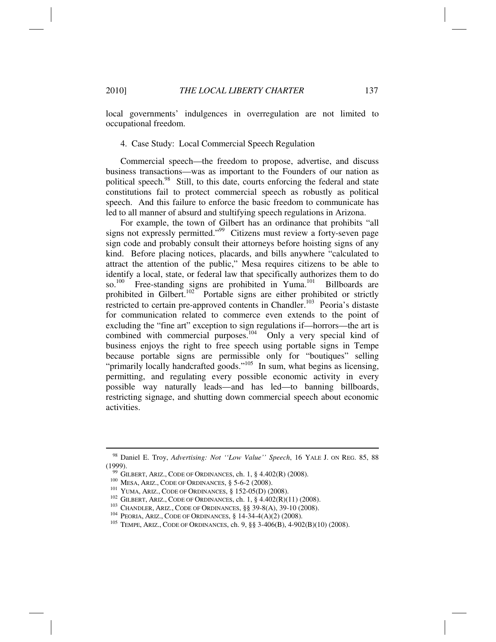local governments' indulgences in overregulation are not limited to occupational freedom.

#### 4. Case Study: Local Commercial Speech Regulation

Commercial speech—the freedom to propose, advertise, and discuss business transactions—was as important to the Founders of our nation as political speech.<sup>98</sup> Still, to this date, courts enforcing the federal and state constitutions fail to protect commercial speech as robustly as political speech. And this failure to enforce the basic freedom to communicate has led to all manner of absurd and stultifying speech regulations in Arizona.

For example, the town of Gilbert has an ordinance that prohibits "all signs not expressly permitted."<sup>99</sup> Citizens must review a forty-seven page sign code and probably consult their attorneys before hoisting signs of any kind. Before placing notices, placards, and bills anywhere "calculated to attract the attention of the public," Mesa requires citizens to be able to identify a local, state, or federal law that specifically authorizes them to do so.<sup>100</sup> Free-standing signs are prohibited in Yuma.<sup>101</sup> Billboards are prohibited in Gilbert.<sup>102</sup> Portable signs are either prohibited or strictly restricted to certain pre-approved contents in Chandler.<sup>103</sup> Peoria's distaste for communication related to commerce even extends to the point of excluding the "fine art" exception to sign regulations if—horrors—the art is combined with commercial purposes.<sup>104</sup> Only a very special kind of business enjoys the right to free speech using portable signs in Tempe because portable signs are permissible only for "boutiques" selling "primarily locally handcrafted goods."<sup>105</sup> In sum, what begins as licensing, permitting, and regulating every possible economic activity in every possible way naturally leads—and has led—to banning billboards, restricting signage, and shutting down commercial speech about economic activities.

<sup>98</sup> Daniel E. Troy, *Advertising: Not ''Low Value'' Speech*, 16 YALE J. ON REG. 85, 88 (1999).<br>  $^{99}$  GILBERT, ARIZ., CODE OF ORDINANCES, ch. 1, § 4.402(R) (2008).<br>  $^{100}$  MESA, ARIZ., CODE OF ORDINANCES, § 5-6-2 (2008).<br>  $^{101}$  YUMA, ARIZ., CODE OF ORDINANCES, § 152-05(D) (2008).<br>  $^{102}$  GILBERT, ARIZ.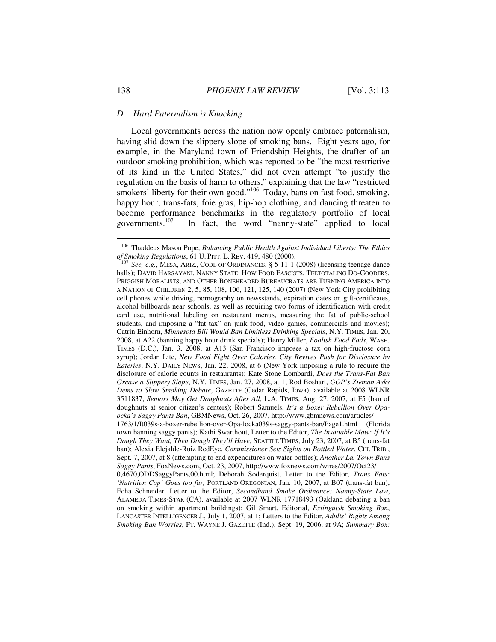#### *D. Hard Paternalism is Knocking*

Local governments across the nation now openly embrace paternalism, having slid down the slippery slope of smoking bans. Eight years ago, for example, in the Maryland town of Friendship Heights, the drafter of an outdoor smoking prohibition, which was reported to be "the most restrictive of its kind in the United States," did not even attempt "to justify the regulation on the basis of harm to others," explaining that the law "restricted smokers' liberty for their own good."<sup>106</sup> Today, bans on fast food, smoking, happy hour, trans-fats, foie gras, hip-hop clothing, and dancing threaten to become performance benchmarks in the regulatory portfolio of local governments.<sup>107</sup> In fact, the word "nanny-state" applied to local In fact, the word "nanny-state" applied to local

<sup>106</sup> Thaddeus Mason Pope, *Balancing Public Health Against Individual Liberty: The Ethics of Smoking Regulations*, 61 U. PITT. L. REV. 419, 480 (2000).<br><sup>107</sup> *See, e.g.*, MESA, ARIZ., CODE OF ORDINANCES, § 5-11-1 (2008) (licensing teenage dance

halls); DAVID HARSAYANI, NANNY STATE: HOW FOOD FASCISTS, TEETOTALING DO-GOODERS, PRIGGISH MORALISTS, AND OTHER BONEHEADED BUREAUCRATS ARE TURNING AMERICA INTO A NATION OF CHILDREN 2, 5, 85, 108, 106, 121, 125, 140 (2007) (New York City prohibiting cell phones while driving, pornography on newsstands, expiration dates on gift-certificates, alcohol billboards near schools, as well as requiring two forms of identification with credit card use, nutritional labeling on restaurant menus, measuring the fat of public-school students, and imposing a "fat tax" on junk food, video games, commercials and movies); Catrin Einhorn, *Minnesota Bill Would Ban Limitless Drinking Specials*, N.Y. TIMES, Jan. 20, 2008, at A22 (banning happy hour drink specials); Henry Miller, *Foolish Food Fads*, WASH. TIMES (D.C.), Jan. 3, 2008, at A13 (San Francisco imposes a tax on high-fructose corn syrup); Jordan Lite, *New Food Fight Over Calories. City Revives Push for Disclosure by Eateries*, N.Y. DAILY NEWS, Jan. 22, 2008, at 6 (New York imposing a rule to require the disclosure of calorie counts in restaurants); Kate Stone Lombardi, *Does the Trans-Fat Ban Grease a Slippery Slope*, N.Y. TIMES, Jan. 27, 2008, at 1; Rod Boshart, *GOP's Zieman Asks Dems to Slow Smoking Debate*, GAZETTE (Cedar Rapids, Iowa), available at 2008 WLNR 3511837; *Seniors May Get Doughnuts After All*, L.A. TIMES, Aug. 27, 2007, at F5 (ban of doughnuts at senior citizen's centers); Robert Samuels, *It's a Boxer Rebellion Over Opaocka's Saggy Pants Ban*, GBMNews, Oct. 26, 2007, http://www.gbmnews.com/articles/ 1763/1/It039s-a-boxer-rebellion-over-Opa-locka039s-saggy-pants-ban/Page1.html (Florida town banning saggy pants); Kathi Swarthout, Letter to the Editor, *The Insatiable Maw: If It's Dough They Want, Then Dough They'll Have*, SEATTLE TIMES, July 23, 2007, at B5 (trans-fat ban); Alexia Elejalde-Ruiz RedEye, *Commissioner Sets Sights on Bottled Water*, CHI. TRIB., Sept. 7, 2007, at 8 (attempting to end expenditures on water bottles); *Another La. Town Bans Saggy Pants*, FoxNews.com, Oct. 23, 2007, http://www.foxnews.com/wires/2007/Oct23/

<sup>0,4670,</sup>ODDSaggyPants,00.html; Deborah Soderquist, Letter to the Editor, *Trans Fats: 'Nutrition Cop' Goes too far,* PORTLAND OREGONIAN, Jan. 10, 2007, at B07 (trans-fat ban); Echa Schneider, Letter to the Editor, *Secondhand Smoke Ordinance: Nanny-State Law*, ALAMEDA TIMES-STAR (CA), available at 2007 WLNR 17718493 (Oakland debating a ban on smoking within apartment buildings); Gil Smart, Editorial, *Extinguish Smoking Ban*, LANCASTER INTELLIGENCER J., July 1, 2007, at 1; Letters to the Editor, *Adults' Rights Among Smoking Ban Worries*, FT. WAYNE J. GAZETTE (Ind.), Sept. 19, 2006, at 9A; *Summary Box:*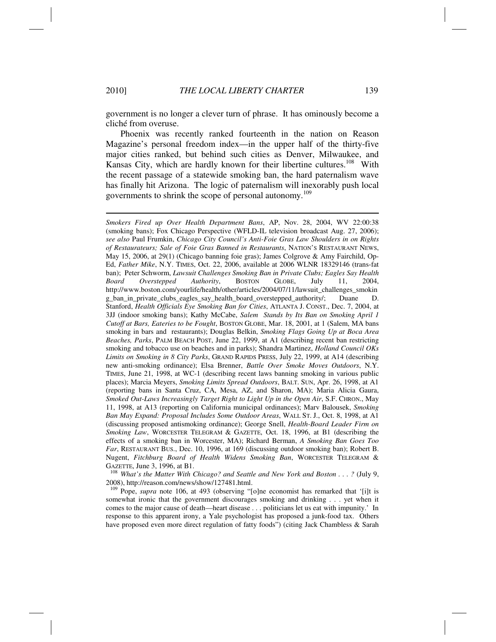government is no longer a clever turn of phrase. It has ominously become a cliché from overuse.

Phoenix was recently ranked fourteenth in the nation on Reason Magazine's personal freedom index—in the upper half of the thirty-five major cities ranked, but behind such cities as Denver, Milwaukee, and Kansas City, which are hardly known for their libertine cultures.<sup>108</sup> With the recent passage of a statewide smoking ban, the hard paternalism wave has finally hit Arizona. The logic of paternalism will inexorably push local governments to shrink the scope of personal autonomy.<sup>109</sup>

*Smokers Fired up Over Health Department Bans*, AP, Nov. 28, 2004, WV 22:00:38 (smoking bans); Fox Chicago Perspective (WFLD-IL television broadcast Aug. 27, 2006); *see also* Paul Frumkin, *Chicago City Council's Anti-Foie Gras Law Shoulders in on Rights of Restaurateurs; Sale of Foie Gras Banned in Restaurants*, NATION'S RESTAURANT NEWS, May 15, 2006, at 29(1) (Chicago banning foie gras); James Colgrove & Amy Fairchild, Op-Ed, *Father Mike*, N.Y. TIMES, Oct. 22, 2006, available at 2006 WLNR 18329146 (trans-fat ban); Peter Schworm, *Lawsuit Challenges Smoking Ban in Private Clubs; Eagles Say Health Board Overstepped Authority*, BOSTON GLOBE, July 11, 2004, http://www.boston.com/yourlife/health/other/articles/2004/07/11/lawsuit\_challenges\_smokin g\_ban\_in\_private\_clubs\_eagles\_say\_health\_board\_overstepped\_authority/; Duane D. Stanford, *Health Officials Eye Smoking Ban for Cities*, ATLANTA J. CONST., Dec. 7, 2004, at 3JJ (indoor smoking bans); Kathy McCabe, *Salem Stands by Its Ban on Smoking April 1 Cutoff at Bars, Eateries to be Fought*, BOSTON GLOBE, Mar. 18, 2001, at 1 (Salem, MA bans smoking in bars and restaurants); Douglas Belkin, *Smoking Flags Going Up at Boca Area Beaches, Parks*, PALM BEACH POST, June 22, 1999, at A1 (describing recent ban restricting smoking and tobacco use on beaches and in parks); Shandra Martinez, *Holland Council OKs Limits on Smoking in 8 City Parks*, GRAND RAPIDS PRESS, July 22, 1999, at A14 (describing new anti-smoking ordinance); Elsa Brenner, *Battle Over Smoke Moves Outdoors*, N.Y. TIMES, June 21, 1998, at WC-1 (describing recent laws banning smoking in various public places); Marcia Meyers, *Smoking Limits Spread Outdoors*, BALT. SUN, Apr. 26, 1998, at A1 (reporting bans in Santa Cruz, CA, Mesa, AZ, and Sharon, MA); Maria Alicia Gaura, *Smoked Out-Laws Increasingly Target Right to Light Up in the Open Air*, S.F. CHRON., May 11, 1998, at A13 (reporting on California municipal ordinances); Marv Balousek, *Smoking Ban May Expand: Proposal Includes Some Outdoor Areas*, WALL ST. J., Oct. 8, 1998, at A1 (discussing proposed antismoking ordinance); George Snell, *Health-Board Leader Firm on Smoking Law*, WORCESTER TELEGRAM & GAZETTE, Oct. 18, 1996, at B1 (describing the effects of a smoking ban in Worcester, MA); Richard Berman, *A Smoking Ban Goes Too Far*, RESTAURANT BUS., Dec. 10, 1996, at 169 (discussing outdoor smoking ban); Robert B. Nugent, *Fitchburg Board of Health Widens Smoking Ban*, WORCESTER TELEGRAM &

GAZETTE, June 3, 1996, at B1.<br><sup>108</sup> What's the Matter With Chicago? and Seattle and New York and Boston . . . ? (July 9, 2008), http://reason.com/news/show/127481.html.

<sup>109</sup> Pope, *supra* note 106, at 493 (observing "[o]ne economist has remarked that '[i]t is somewhat ironic that the government discourages smoking and drinking . . . yet when it comes to the major cause of death—heart disease . . . politicians let us eat with impunity.' In response to this apparent irony, a Yale psychologist has proposed a junk-food tax. Others have proposed even more direct regulation of fatty foods") (citing Jack Chambless & Sarah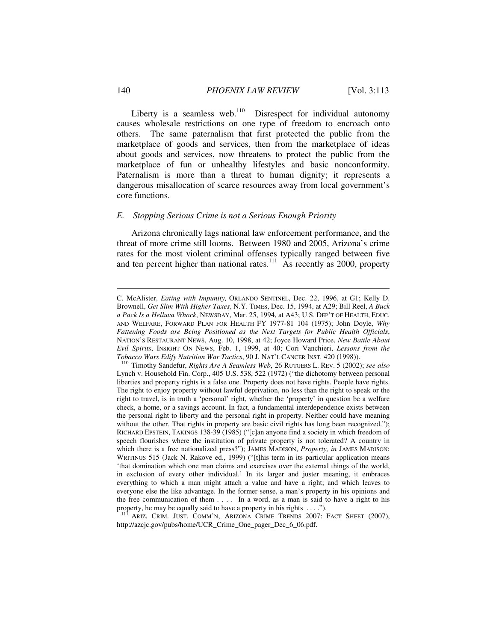Liberty is a seamless web.<sup>110</sup> Disrespect for individual autonomy causes wholesale restrictions on one type of freedom to encroach onto others. The same paternalism that first protected the public from the marketplace of goods and services, then from the marketplace of ideas about goods and services, now threatens to protect the public from the marketplace of fun or unhealthy lifestyles and basic nonconformity. Paternalism is more than a threat to human dignity; it represents a dangerous misallocation of scarce resources away from local government's core functions.

#### *E. Stopping Serious Crime is not a Serious Enough Priority*

Arizona chronically lags national law enforcement performance, and the threat of more crime still looms. Between 1980 and 2005, Arizona's crime rates for the most violent criminal offenses typically ranged between five and ten percent higher than national rates.<sup>111</sup> As recently as 2000, property

<sup>111</sup> ARIZ. CRIM. JUST. COMM'N, ARIZONA CRIME TRENDS 2007: FACT SHEET (2007), http://azcjc.gov/pubs/home/UCR\_Crime\_One\_pager\_Dec\_6\_06.pdf.

C. McAlister, *Eating with Impunity,* ORLANDO SENTINEL, Dec. 22, 1996, at G1; Kelly D. Brownell, *Get Slim With Higher Taxes*, N.Y. TIMES, Dec. 15, 1994, at A29; Bill Reel, *A Buck a Pack Is a Helluva Whack*, NEWSDAY, Mar. 25, 1994, at A43; U.S. DEP'T OF HEALTH, EDUC. AND WELFARE, FORWARD PLAN FOR HEALTH FY 1977-81 104 (1975); John Doyle, *Why Fattening Foods are Being Positioned as the Next Targets for Public Health Officials*, NATION'S RESTAURANT NEWS, Aug. 10, 1998, at 42; Joyce Howard Price, *New Battle About Evil Spirits*, INSIGHT ON NEWS, Feb. 1, 1999, at 40; Cori Vanchieri, *Lessons from the Tobacco Wars Edify Nutrition War Tactics*, 90 J. NAT'L CANCER INST. 420 (1998)). 110 Timothy Sandefur, *Rights Are A Seamless Web*, 26 RUTGERS L. REV. 5 (2002); *see also*

Lynch v. Household Fin. Corp., 405 U.S. 538, 522 (1972) ("the dichotomy between personal liberties and property rights is a false one. Property does not have rights. People have rights. The right to enjoy property without lawful deprivation, no less than the right to speak or the right to travel, is in truth a 'personal' right, whether the 'property' in question be a welfare check, a home, or a savings account. In fact, a fundamental interdependence exists between the personal right to liberty and the personal right in property. Neither could have meaning without the other. That rights in property are basic civil rights has long been recognized."); RICHARD EPSTEIN, TAKINGS 138-39 (1985) ("[c]an anyone find a society in which freedom of speech flourishes where the institution of private property is not tolerated? A country in which there is a free nationalized press?"); JAMES MADISON, *Property, in* JAMES MADISON: WRITINGS 515 (Jack N. Rakove ed., 1999) ("[t]his term in its particular application means 'that domination which one man claims and exercises over the external things of the world, in exclusion of every other individual.' In its larger and juster meaning, it embraces everything to which a man might attach a value and have a right; and which leaves to everyone else the like advantage. In the former sense, a man's property in his opinions and the free communication of them . . . . In a word, as a man is said to have a right to his property, he may be equally said to have a property in his rights . . . .").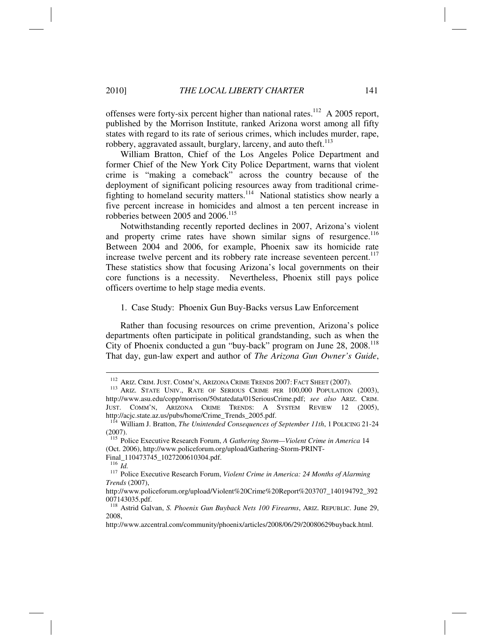offenses were forty-six percent higher than national rates.<sup>112</sup> A 2005 report, published by the Morrison Institute, ranked Arizona worst among all fifty states with regard to its rate of serious crimes, which includes murder, rape, robbery, aggravated assault, burglary, larceny, and auto theft. $113$ 

William Bratton, Chief of the Los Angeles Police Department and former Chief of the New York City Police Department, warns that violent crime is "making a comeback" across the country because of the deployment of significant policing resources away from traditional crimefighting to homeland security matters.<sup>114</sup> National statistics show nearly a five percent increase in homicides and almost a ten percent increase in robberies between 2005 and 2006.<sup>115</sup>

Notwithstanding recently reported declines in 2007, Arizona's violent and property crime rates have shown similar signs of resurgence.<sup>116</sup> Between 2004 and 2006, for example, Phoenix saw its homicide rate increase twelve percent and its robbery rate increase seventeen percent.<sup>117</sup> These statistics show that focusing Arizona's local governments on their core functions is a necessity. Nevertheless, Phoenix still pays police officers overtime to help stage media events.

1. Case Study: Phoenix Gun Buy-Backs versus Law Enforcement

Rather than focusing resources on crime prevention, Arizona's police departments often participate in political grandstanding, such as when the City of Phoenix conducted a gun "buy-back" program on June 28, 2008.<sup>118</sup> That day, gun-law expert and author of *The Arizona Gun Owner's Guide*,

Final\_110473745\_1027200610304.pdf.<br> $\frac{116}{10}$ 

<sup>&</sup>lt;sup>112</sup> ARIZ. CRIM. JUST. COMM'N, ARIZONA CRIME TRENDS 2007: FACT SHEET (2007).<br><sup>113</sup> ARIZ. STATE UNIV., RATE OF SERIOUS CRIME PER 100,000 POPULATION (2003), http://www.asu.edu/copp/morrison/50statedata/01SeriousCrime.pdf; *see also* ARIZ. CRIM. JUST. COMM'N, ARIZONA CRIME TRENDS: A SYSTEM REVIEW 12 (2005), http://acjc.state.az.us/pubs/home/Crime\_Trends\_2005.pdf.

<sup>114</sup> William J. Bratton, *The Unintended Consequences of September 11th*, 1 POLICING 21-24 (2007).

<sup>115</sup> Police Executive Research Forum, *A Gathering Storm—Violent Crime in America* 14 (Oct. 2006), http://www.policeforum.org/upload/Gathering-Storm-PRINT-

<sup>&</sup>lt;sup>117</sup> Police Executive Research Forum, *Violent Crime in America: 24 Months of Alarming Trends* (2007),

http://www.policeforum.org/upload/Violent%20Crime%20Report%203707\_140194792\_392 007143035.pdf.

<sup>118</sup> Astrid Galvan, *S. Phoenix Gun Buyback Nets 100 Firearms*, ARIZ. REPUBLIC. June 29, 2008,

http://www.azcentral.com/community/phoenix/articles/2008/06/29/20080629buyback.html.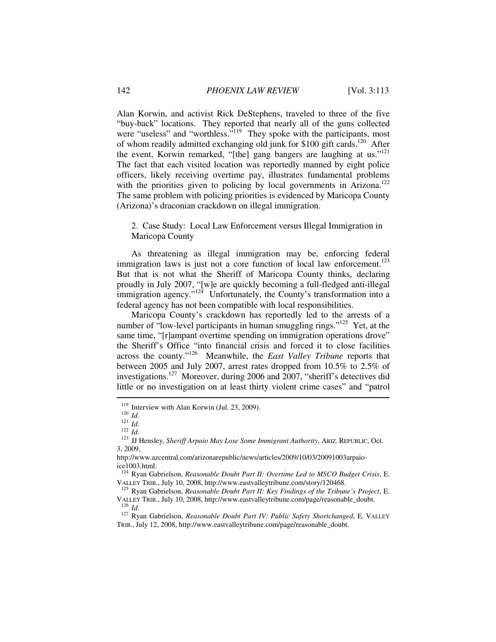Alan Korwin, and activist Rick DeStephens, traveled to three of the five "buy-back" locations. They reported that nearly all of the guns collected were "useless" and "worthless."<sup>119</sup> They spoke with the participants, most of whom readily admitted exchanging old junk for \$100 gift cards.<sup>120</sup> After the event, Korwin remarked, "[the] gang bangers are laughing at us."<sup>121</sup> The fact that each visited location was reportedly manned by eight police officers, likely receiving overtime pay, illustrates fundamental problems with the priorities given to policing by local governments in Arizona.<sup>122</sup> The same problem with policing priorities is evidenced by Maricopa County (Arizona)'s draconian crackdown on illegal immigration.

2. Case Study: Local Law Enforcement versus Illegal Immigration in Maricopa County

As threatening as illegal immigration may be, enforcing federal immigration laws is just not a core function of local law enforcement.<sup>123</sup> But that is not what the Sheriff of Maricopa County thinks, declaring proudly in July 2007, "[w]e are quickly becoming a full-fledged anti-illegal immigration agency."<sup>124</sup> Unfortunately, the County's transformation into a federal agency has not been compatible with local responsibilities.

Maricopa County's crackdown has reportedly led to the arrests of a number of "low-level participants in human smuggling rings."<sup>125</sup> Yet, at the same time, "[r]ampant overtime spending on immigration operations drove" the Sheriff's Office "into financial crisis and forced it to close facilities across the county."126 Meanwhile, the *East Valley Tribune* reports that between 2005 and July 2007, arrest rates dropped from 10.5% to 2.5% of investigations.<sup>127</sup> Moreover, during 2006 and  $2007$ , "sheriff's detectives did little or no investigation on at least thirty violent crime cases" and "patrol

<sup>119</sup> Interview with Alan Korwin (Jul. 23, 2009).<br>
120 *Id.*<br>
121 *Id.* 122 *Id.* 123 JJ Hensley, *Sheriff Arpaio May Lose Some Immigrant Authority*, ARIZ. REPUBLIC, Oct. 3, 2009,

http://www.azcentral.com/arizonarepublic/news/articles/2009/10/03/20091003arpaioice1003.html.

<sup>&</sup>lt;sup>124</sup> Ryan Gabrielson, *Reasonable Doubt Part II: Overtime Led to MSCO Budget Crisis*, E. VALLEY TRIB., July 10, 2008, http://www.eastvalleytribune.com/story/120468.

<sup>&</sup>lt;sup>125</sup> Ryan Gabrielson, *Reasonable Doubt Part II: Key Findings of the Tribune's Project*, E. VALLEY TRIB., July 10, 2008, http://www.eastvalleytribune.com/page/reasonable\_doubt.<br><sup>126</sup> *Id.* 127 Ryan Gabrielson, *Reasonable Doubt Part IV: Public Safety Shortchanged*, E. VALLEY

TRIB., July 12, 2008, http://www.eastvalleytribune.com/page/reasonable\_doubt.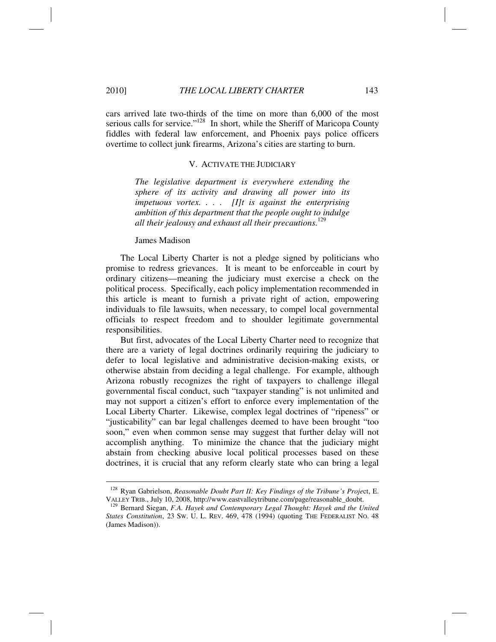cars arrived late two-thirds of the time on more than 6,000 of the most serious calls for service."<sup>128</sup> In short, while the Sheriff of Maricopa County fiddles with federal law enforcement, and Phoenix pays police officers overtime to collect junk firearms, Arizona's cities are starting to burn.

#### V. ACTIVATE THE JUDICIARY

*The legislative department is everywhere extending the sphere of its activity and drawing all power into its impetuous vortex. . . . [I]t is against the enterprising ambition of this department that the people ought to indulge all their jealousy and exhaust all their precautions.*<sup>129</sup>

James Madison

The Local Liberty Charter is not a pledge signed by politicians who promise to redress grievances. It is meant to be enforceable in court by ordinary citizens—meaning the judiciary must exercise a check on the political process. Specifically, each policy implementation recommended in this article is meant to furnish a private right of action, empowering individuals to file lawsuits, when necessary, to compel local governmental officials to respect freedom and to shoulder legitimate governmental responsibilities.

But first, advocates of the Local Liberty Charter need to recognize that there are a variety of legal doctrines ordinarily requiring the judiciary to defer to local legislative and administrative decision-making exists, or otherwise abstain from deciding a legal challenge. For example, although Arizona robustly recognizes the right of taxpayers to challenge illegal governmental fiscal conduct, such "taxpayer standing" is not unlimited and may not support a citizen's effort to enforce every implementation of the Local Liberty Charter. Likewise, complex legal doctrines of "ripeness" or "justicability" can bar legal challenges deemed to have been brought "too soon," even when common sense may suggest that further delay will not accomplish anything. To minimize the chance that the judiciary might abstain from checking abusive local political processes based on these doctrines, it is crucial that any reform clearly state who can bring a legal

<sup>128</sup> Ryan Gabrielson, *Reasonable Doubt Part II: Key Findings of the Tribune's Proje*ct, E. VALLEY TRIB., July 10, 2008, http://www.eastvalleytribune.com/page/reasonable\_doubt. 129 Bernard Siegan, *F.A. Hayek and Contemporary Legal Thought: Hayek and the United* 

*States Constitution*, 23 SW. U. L. REV. 469, 478 (1994) (quoting THE FEDERALIST NO. 48 (James Madison)).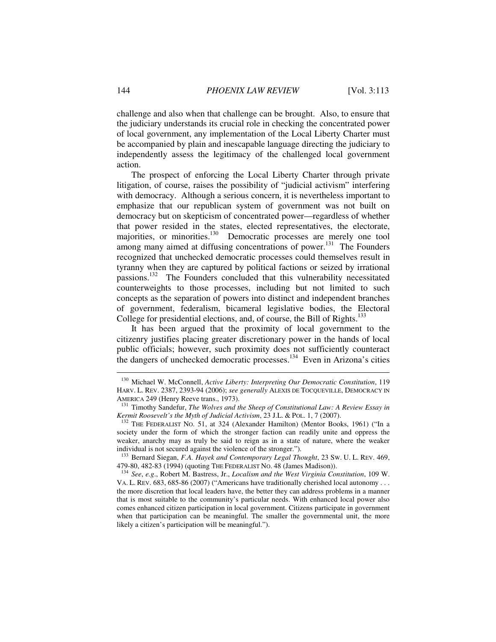challenge and also when that challenge can be brought. Also, to ensure that the judiciary understands its crucial role in checking the concentrated power of local government, any implementation of the Local Liberty Charter must be accompanied by plain and inescapable language directing the judiciary to independently assess the legitimacy of the challenged local government action.

The prospect of enforcing the Local Liberty Charter through private litigation, of course, raises the possibility of "judicial activism" interfering with democracy. Although a serious concern, it is nevertheless important to emphasize that our republican system of government was not built on democracy but on skepticism of concentrated power—regardless of whether that power resided in the states, elected representatives, the electorate, majorities, or minorities.<sup>130</sup> Democratic processes are merely one tool among many aimed at diffusing concentrations of power.<sup>131</sup> The Founders recognized that unchecked democratic processes could themselves result in tyranny when they are captured by political factions or seized by irrational passions.132 The Founders concluded that this vulnerability necessitated counterweights to those processes, including but not limited to such concepts as the separation of powers into distinct and independent branches of government, federalism, bicameral legislative bodies, the Electoral College for presidential elections, and, of course, the Bill of Rights.<sup>133</sup>

It has been argued that the proximity of local government to the citizenry justifies placing greater discretionary power in the hands of local public officials; however, such proximity does not sufficiently counteract the dangers of unchecked democratic processes.<sup>134</sup> Even in Arizona's cities

<sup>130</sup> Michael W. McConnell, *Active Liberty: Interpreting Our Democratic Constitution*, 119 HARV. L. REV. 2387, 2393-94 (2006); *see generally* ALEXIS DE TOCQUEVILLE, DEMOCRACY IN

AMERICA 249 (Henry Reeve trans., 1973). 131 Timothy Sandefur, *The Wolves and the Sheep of Constitutional Law: A Review Essay in Kermit Roosevelt's the Myth of Judicial Activism*, 23 J.L. & POL. 1, 7 (2007).<br><sup>132</sup> THE FEDERALIST NO. 51, at 324 (Alexander Hamilton) (Mentor Books, 1961) ("In a

society under the form of which the stronger faction can readily unite and oppress the weaker, anarchy may as truly be said to reign as in a state of nature, where the weaker individual is not secured against the violence of the stronger.").

<sup>&</sup>lt;sup>133</sup> Bernard Siegan, *F.A. Hayek and Contemporary Legal Thought*, 23 Sw. U. L. REV. 469, 479-80, 482-83 (1994) (quoting THE FEDERALIST No. 48 (James Madison)).

<sup>&</sup>lt;sup>134</sup> See, e.g., Robert M. Bastress, Jr., *Localism and the West Virginia Constitution*, 109 W. VA. L. REV. 683, 685-86 (2007) ("Americans have traditionally cherished local autonomy . . . the more discretion that local leaders have, the better they can address problems in a manner that is most suitable to the community's particular needs. With enhanced local power also comes enhanced citizen participation in local government. Citizens participate in government when that participation can be meaningful. The smaller the governmental unit, the more likely a citizen's participation will be meaningful.").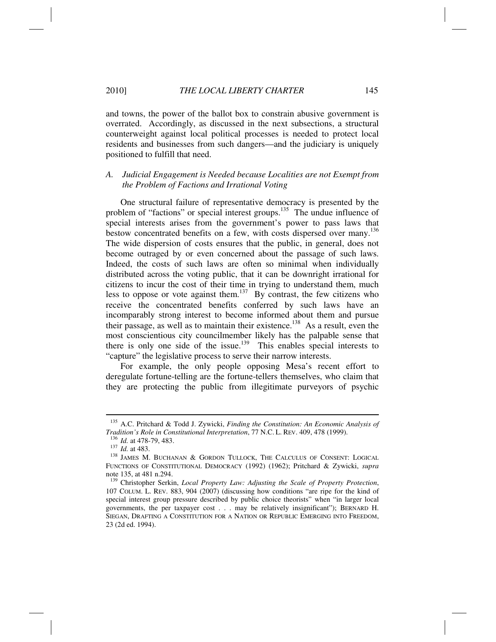and towns, the power of the ballot box to constrain abusive government is overrated. Accordingly, as discussed in the next subsections, a structural counterweight against local political processes is needed to protect local residents and businesses from such dangers—and the judiciary is uniquely positioned to fulfill that need.

## *A. Judicial Engagement is Needed because Localities are not Exempt from the Problem of Factions and Irrational Voting*

One structural failure of representative democracy is presented by the problem of "factions" or special interest groups.<sup>135</sup> The undue influence of special interests arises from the government's power to pass laws that bestow concentrated benefits on a few, with costs dispersed over many.<sup>136</sup> The wide dispersion of costs ensures that the public, in general, does not become outraged by or even concerned about the passage of such laws. Indeed, the costs of such laws are often so minimal when individually distributed across the voting public, that it can be downright irrational for citizens to incur the cost of their time in trying to understand them, much less to oppose or vote against them.<sup>137</sup> By contrast, the few citizens who receive the concentrated benefits conferred by such laws have an incomparably strong interest to become informed about them and pursue their passage, as well as to maintain their existence.<sup>138</sup> As a result, even the most conscientious city councilmember likely has the palpable sense that there is only one side of the issue.<sup>139</sup> This enables special interests to "capture" the legislative process to serve their narrow interests.

For example, the only people opposing Mesa's recent effort to deregulate fortune-telling are the fortune-tellers themselves, who claim that they are protecting the public from illegitimate purveyors of psychic

<sup>&</sup>lt;sup>135</sup> A.C. Pritchard & Todd J. Zywicki, *Finding the Constitution: An Economic Analysis of Tradition's Role in Constitutional Interpretation, 77 N.C. L. REV. 409, 478 (1999).* 

<sup>&</sup>lt;sup>136</sup> Id. at 478-79, 483.<br><sup>137</sup> Id. at 483. <br><sup>138</sup> JAMES M. BUCHANAN & GORDON TULLOCK, THE CALCULUS OF CONSENT: LOGICAL FUNCTIONS OF CONSTITUTIONAL DEMOCRACY (1992) (1962); Pritchard & Zywicki, *supra*  note 135, at 481 n.294.

<sup>139</sup> Christopher Serkin, *Local Property Law: Adjusting the Scale of Property Protection*, 107 COLUM. L. REV. 883, 904 (2007) (discussing how conditions "are ripe for the kind of special interest group pressure described by public choice theorists" when "in larger local governments, the per taxpayer cost . . . may be relatively insignificant"); BERNARD H. SIEGAN, DRAFTING A CONSTITUTION FOR A NATION OR REPUBLIC EMERGING INTO FREEDOM, 23 (2d ed. 1994).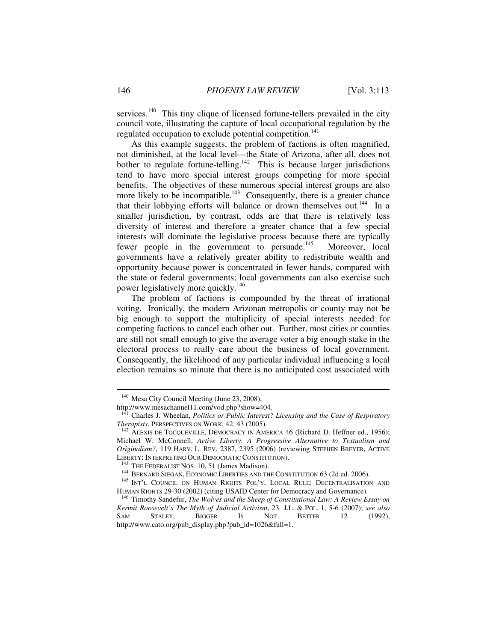services.<sup>140</sup> This tiny clique of licensed fortune-tellers prevailed in the city council vote, illustrating the capture of local occupational regulation by the regulated occupation to exclude potential competition.<sup>141</sup>

As this example suggests, the problem of factions is often magnified, not diminished, at the local level—the State of Arizona, after all, does not bother to regulate fortune-telling.<sup>142</sup> This is because larger jurisdictions tend to have more special interest groups competing for more special benefits. The objectives of these numerous special interest groups are also more likely to be incompatible.<sup>143</sup> Consequently, there is a greater chance that their lobbying efforts will balance or drown themselves out.<sup>144</sup> In a smaller jurisdiction, by contrast, odds are that there is relatively less diversity of interest and therefore a greater chance that a few special interests will dominate the legislative process because there are typically fewer people in the government to persuade.<sup>145</sup> Moreover, local governments have a relatively greater ability to redistribute wealth and opportunity because power is concentrated in fewer hands, compared with the state or federal governments; local governments can also exercise such power legislatively more quickly.<sup>146</sup>

The problem of factions is compounded by the threat of irrational voting. Ironically, the modern Arizonan metropolis or county may not be big enough to support the multiplicity of special interests needed for competing factions to cancel each other out. Further, most cities or counties are still not small enough to give the average voter a big enough stake in the electoral process to really care about the business of local government. Consequently, the likelihood of any particular individual influencing a local election remains so minute that there is no anticipated cost associated with

<sup>&</sup>lt;sup>140</sup> Mesa City Council Meeting (June 23, 2008),

http://www.mesachannel11.com/vod.php?show=404.

<sup>&</sup>lt;sup>141</sup> Charles J. Wheelan, *Politics or Public Interest? Licensing and the Case of Respiratory Therapists*, PERSPECTIVES ON WORK, 42, 43 (2005).

<sup>&</sup>lt;sup>142</sup> ALEXIS DE TOCQUEVILLE, DEMOCRACY IN AMERICA 46 (Richard D. Heffner ed., 1956); Michael W. McConnell, *Active Liberty*: *A Progressive Alternative to Textualism and Originalism?*, 119 HARV. L. REV. 2387, 2395 (2006) (reviewing STEPHEN BREYER, ACTIVE

LIBERTY: INTERPRETING OUR DEMOCRATIC CONSTITUTION).<br><sup>143</sup> THE FEDERALIST NOS. 10, 51 (James Madison).<br><sup>144</sup> BERNARD SIEGAN, ECONOMIC LIBERTIES AND THE CONSTITUTION 63 (2d ed. 2006).<br><sup>145</sup> INT'L COUNCIL ON HUMAN RIGHTS POL'

<sup>&</sup>lt;sup>146</sup> Timothy Sandefur, *The Wolves and the Sheep of Constitutional Law: A Review Essay on Kermit Roosevelt's The Myth of Judicial Activism*, 23 J.L. & POL. 1, 5-6 (2007); *see also* SAM STALEY, BIGGER IS NOT BETTER 12 (1992), http://www.cato.org/pub\_display.php?pub\_id=1026&full=1.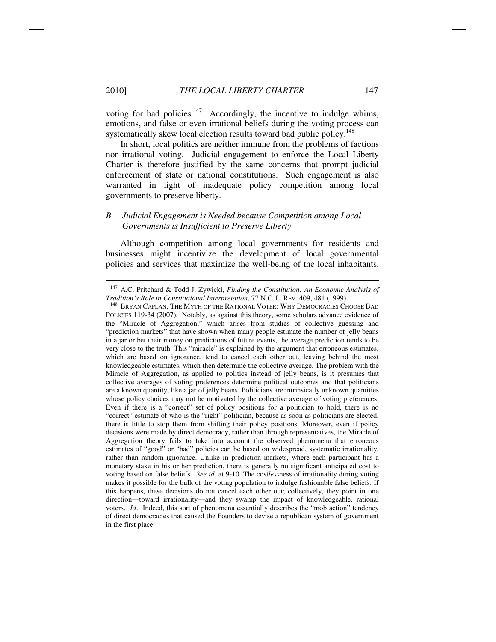#### 2010] *THE LOCAL LIBERTY CHARTER* 147

voting for bad policies. $147$  Accordingly, the incentive to indulge whims, emotions, and false or even irrational beliefs during the voting process can systematically skew local election results toward bad public policy.<sup>148</sup>

In short, local politics are neither immune from the problems of factions nor irrational voting. Judicial engagement to enforce the Local Liberty Charter is therefore justified by the same concerns that prompt judicial enforcement of state or national constitutions. Such engagement is also warranted in light of inadequate policy competition among local governments to preserve liberty.

# *B. Judicial Engagement is Needed because Competition among Local Governments is Insufficient to Preserve Liberty*

Although competition among local governments for residents and businesses might incentivize the development of local governmental policies and services that maximize the well-being of the local inhabitants,

<sup>&</sup>lt;sup>147</sup> A.C. Pritchard & Todd J. Zywicki, *Finding the Constitution: An Economic Analysis of Tradition's Role in Constitutional Interpretation, 77 N.C. L. REV. 409, 481 (1999).* 

<sup>&</sup>lt;sup>148</sup> BRYAN CAPLAN, THE MYTH OF THE RATIONAL VOTER: WHY DEMOCRACIES CHOOSE BAD POLICIES 119-34 (2007). Notably, as against this theory, some scholars advance evidence of the "Miracle of Aggregation," which arises from studies of collective guessing and "prediction markets" that have shown when many people estimate the number of jelly beans in a jar or bet their money on predictions of future events, the average prediction tends to be very close to the truth. This "miracle" is explained by the argument that erroneous estimates, which are based on ignorance, tend to cancel each other out, leaving behind the most knowledgeable estimates, which then determine the collective average. The problem with the Miracle of Aggregation, as applied to politics instead of jelly beans, is it presumes that collective averages of voting preferences determine political outcomes and that politicians are a known quantity, like a jar of jelly beans. Politicians are intrinsically unknown quantities whose policy choices may not be motivated by the collective average of voting preferences. Even if there is a "correct" set of policy positions for a politician to hold, there is no "correct" estimate of who is the "right" politician, because as soon as politicians are elected, there is little to stop them from shifting their policy positions. Moreover, even if policy decisions were made by direct democracy, rather than through representatives, the Miracle of Aggregation theory fails to take into account the observed phenomena that erroneous estimates of "good" or "bad" policies can be based on widespread, systematic irrationality, rather than random ignorance. Unlike in prediction markets, where each participant has a monetary stake in his or her prediction, there is generally no significant anticipated cost to voting based on false beliefs. *See id.* at 9-10. The cost*less*ness of irrationality during voting makes it possible for the bulk of the voting population to indulge fashionable false beliefs. If this happens, these decisions do not cancel each other out; collectively, they point in one direction—toward irrationality—and they swamp the impact of knowledgeable, rational voters. *Id*. Indeed, this sort of phenomena essentially describes the "mob action" tendency of direct democracies that caused the Founders to devise a republican system of government in the first place.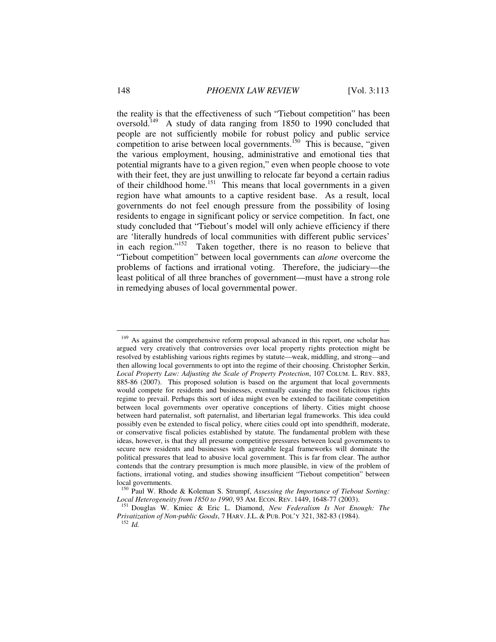the reality is that the effectiveness of such "Tiebout competition" has been oversold.<sup>149</sup> A study of data ranging from 1850 to 1990 concluded that people are not sufficiently mobile for robust policy and public service competition to arise between local governments.<sup>150</sup> This is because, "given the various employment, housing, administrative and emotional ties that potential migrants have to a given region," even when people choose to vote with their feet, they are just unwilling to relocate far beyond a certain radius of their childhood home.<sup>151</sup> This means that local governments in a given region have what amounts to a captive resident base. As a result, local governments do not feel enough pressure from the possibility of losing residents to engage in significant policy or service competition. In fact, one study concluded that "Tiebout's model will only achieve efficiency if there are 'literally hundreds of local communities with different public services' in each region."<sup>152</sup> Taken together, there is no reason to believe that "Tiebout competition" between local governments can *alone* overcome the problems of factions and irrational voting. Therefore, the judiciary—the least political of all three branches of government—must have a strong role in remedying abuses of local governmental power.

<sup>&</sup>lt;sup>149</sup> As against the comprehensive reform proposal advanced in this report, one scholar has argued very creatively that controversies over local property rights protection might be resolved by establishing various rights regimes by statute—weak, middling, and strong—and then allowing local governments to opt into the regime of their choosing. Christopher Serkin, *Local Property Law: Adjusting the Scale of Property Protection*, 107 COLUM. L. REV. 883, 885-86 (2007). This proposed solution is based on the argument that local governments would compete for residents and businesses, eventually causing the most felicitous rights regime to prevail. Perhaps this sort of idea might even be extended to facilitate competition between local governments over operative conceptions of liberty. Cities might choose between hard paternalist, soft paternalist, and libertarian legal frameworks. This idea could possibly even be extended to fiscal policy, where cities could opt into spendthrift, moderate, or conservative fiscal policies established by statute. The fundamental problem with these ideas, however, is that they all presume competitive pressures between local governments to secure new residents and businesses with agreeable legal frameworks will dominate the political pressures that lead to abusive local government. This is far from clear. The author contends that the contrary presumption is much more plausible, in view of the problem of factions, irrational voting, and studies showing insufficient "Tiebout competition" between local governments.

<sup>150</sup> Paul W. Rhode & Koleman S. Strumpf, *Assessing the Importance of Tiebout Sorting: Local Heterogeneity from 1850 to 1990*, 93 AM. ECON. REV. 1449, 1648-77 (2003). 151 Douglas W. Kmiec & Eric L. Diamond, *New Federalism Is Not Enough: The* 

*Privatization of Non-public Goods*, 7 HARV. J.L. & PUB. POL'Y 321, 382-83 (1984). 152 *Id.*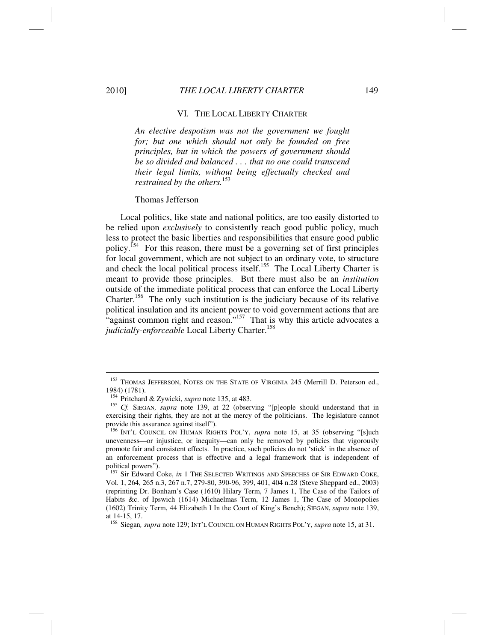### VI. THE LOCAL LIBERTY CHARTER

*An elective despotism was not the government we fought for; but one which should not only be founded on free principles, but in which the powers of government should be so divided and balanced . . . that no one could transcend their legal limits, without being effectually checked and restrained by the others.*<sup>153</sup>

### Thomas Jefferson

Local politics, like state and national politics, are too easily distorted to be relied upon *exclusively* to consistently reach good public policy, much less to protect the basic liberties and responsibilities that ensure good public policy.<sup>154</sup> For this reason, there must be a governing set of first principles for local government, which are not subject to an ordinary vote, to structure and check the local political process itself.<sup>155</sup> The Local Liberty Charter is meant to provide those principles. But there must also be an *institution* outside of the immediate political process that can enforce the Local Liberty Charter.<sup>156</sup> The only such institution is the judiciary because of its relative political insulation and its ancient power to void government actions that are "against common right and reason."<sup>157</sup> That is why this article advocates a judicially-enforceable Local Liberty Charter.<sup>158</sup>

<sup>&</sup>lt;sup>153</sup> THOMAS JEFFERSON, NOTES ON THE STATE OF VIRGINIA 245 (Merrill D. Peterson ed., 1984) (1781).<br><sup>154</sup> Pritchard & Zywicki, *supra* note 135, at 483.

<sup>155</sup> *Cf.* SIEGAN, *supra* note 139, at 22 (observing "[p]eople should understand that in exercising their rights, they are not at the mercy of the politicians. The legislature cannot provide this assurance against itself").

<sup>&</sup>lt;sup>156</sup> INT'L COUNCIL ON HUMAN RIGHTS POL'Y, *supra* note 15, at 35 (observing "[s]uch unevenness—or injustice, or inequity—can only be removed by policies that vigorously promote fair and consistent effects. In practice, such policies do not 'stick' in the absence of an enforcement process that is effective and a legal framework that is independent of political powers").

<sup>&</sup>lt;sup>157</sup> Sir Edward Coke, *in* 1 THE SELECTED WRITINGS AND SPEECHES OF SIR EDWARD COKE, Vol. 1, 264, 265 n.3, 267 n.7, 279-80, 390-96, 399, 401, 404 n.28 (Steve Sheppard ed., 2003) (reprinting Dr. Bonham's Case (1610) Hilary Term, 7 James 1, The Case of the Tailors of Habits &c. of Ipswich (1614) Michaelmas Term, 12 James 1, The Case of Monopolies (1602) Trinity Term, 44 Elizabeth I In the Court of King's Bench); SIEGAN, *supra* note 139, at 14-15, 17.

<sup>158</sup> Siegan*, supra* note 129; INT'L COUNCIL ON HUMAN RIGHTS POL'Y, *supra* note 15, at 31.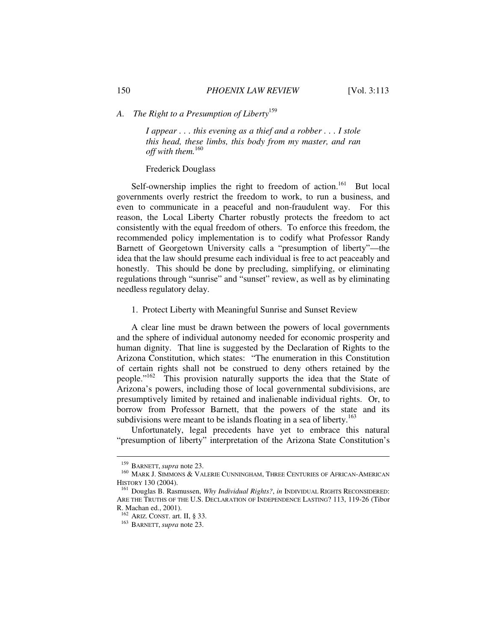# *A. The Right to a Presumption of Liberty*<sup>159</sup>

*I appear . . . this evening as a thief and a robber . . . I stole this head, these limbs, this body from my master, and ran off with them.*<sup>160</sup>

# Frederick Douglass

Self-ownership implies the right to freedom of action.<sup>161</sup> But local governments overly restrict the freedom to work, to run a business, and even to communicate in a peaceful and non-fraudulent way. For this reason, the Local Liberty Charter robustly protects the freedom to act consistently with the equal freedom of others. To enforce this freedom, the recommended policy implementation is to codify what Professor Randy Barnett of Georgetown University calls a "presumption of liberty"—the idea that the law should presume each individual is free to act peaceably and honestly. This should be done by precluding, simplifying, or eliminating regulations through "sunrise" and "sunset" review, as well as by eliminating needless regulatory delay.

### 1. Protect Liberty with Meaningful Sunrise and Sunset Review

A clear line must be drawn between the powers of local governments and the sphere of individual autonomy needed for economic prosperity and human dignity. That line is suggested by the Declaration of Rights to the Arizona Constitution, which states: "The enumeration in this Constitution of certain rights shall not be construed to deny others retained by the people."162 This provision naturally supports the idea that the State of Arizona's powers, including those of local governmental subdivisions, are presumptively limited by retained and inalienable individual rights. Or, to borrow from Professor Barnett, that the powers of the state and its subdivisions were meant to be islands floating in a sea of liberty.<sup>163</sup>

Unfortunately, legal precedents have yet to embrace this natural "presumption of liberty" interpretation of the Arizona State Constitution's

<sup>&</sup>lt;sup>159</sup> BARNETT, *supra* note 23.<br><sup>160</sup> Mark J. Simmons & Valerie Cunningham, Three Centuries of African-American HISTORY 130 (2004).<br><sup>161</sup> Douglas B. Rasmussen, *Why Individual Rights?*, *in* INDIVIDUAL RIGHTS RECONSIDERED:

ARE THE TRUTHS OF THE U.S. DECLARATION OF INDEPENDENCE LASTING? 113, 119-26 (Tibor R. Machan ed., 2001).<br><sup>162</sup> ARIZ. CONST. art. II, § 33.

<sup>&</sup>lt;sup>163</sup> BARNETT, *supra* note 23.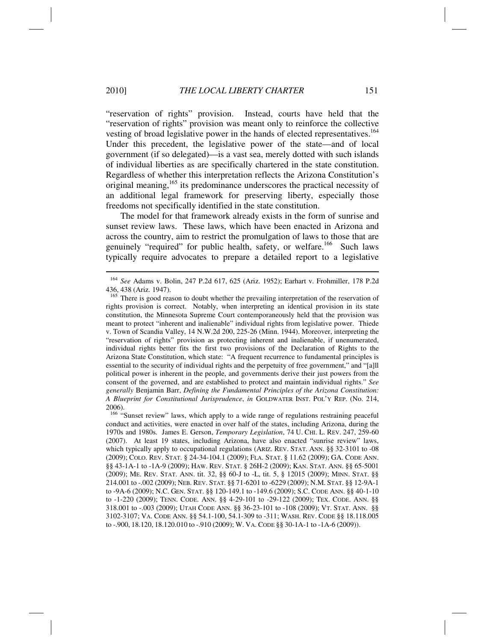"reservation of rights" provision. Instead, courts have held that the "reservation of rights" provision was meant only to reinforce the collective vesting of broad legislative power in the hands of elected representatives.<sup>164</sup> Under this precedent, the legislative power of the state—and of local government (if so delegated)—is a vast sea, merely dotted with such islands of individual liberties as are specifically chartered in the state constitution. Regardless of whether this interpretation reflects the Arizona Constitution's original meaning,<sup>165</sup> its predominance underscores the practical necessity of an additional legal framework for preserving liberty, especially those freedoms not specifically identified in the state constitution.

The model for that framework already exists in the form of sunrise and sunset review laws. These laws, which have been enacted in Arizona and across the country, aim to restrict the promulgation of laws to those that are genuinely "required" for public health, safety, or welfare.<sup>166</sup> Such laws typically require advocates to prepare a detailed report to a legislative

<sup>164</sup> *See* Adams v. Bolin, 247 P.2d 617, 625 (Ariz. 1952); Earhart v. Frohmiller, 178 P.2d 436, 438 (Ariz. 1947).

<sup>&</sup>lt;sup>165</sup> There is good reason to doubt whether the prevailing interpretation of the reservation of rights provision is correct. Notably, when interpreting an identical provision in its state constitution, the Minnesota Supreme Court contemporaneously held that the provision was meant to protect "inherent and inalienable" individual rights from legislative power. Thiede v. Town of Scandia Valley, 14 N.W.2d 200, 225-26 (Minn. 1944). Moreover, interpreting the "reservation of rights" provision as protecting inherent and inalienable, if unenumerated, individual rights better fits the first two provisions of the Declaration of Rights to the Arizona State Constitution, which state: "A frequent recurrence to fundamental principles is essential to the security of individual rights and the perpetuity of free government," and "[a]ll political power is inherent in the people, and governments derive their just powers from the consent of the governed, and are established to protect and maintain individual rights." *See generally* Benjamin Barr, *Defining the Fundamental Principles of the Arizona Constitution: A Blueprint for Constitutional Jurisprudence*, *in* GOLDWATER INST. POL'Y REP. (No. 214, 2006).

<sup>&</sup>lt;sup>166</sup> "Sunset review" laws, which apply to a wide range of regulations restraining peaceful conduct and activities, were enacted in over half of the states, including Arizona, during the 1970s and 1980s. James E. Gerson, *Temporary Legislation*, 74 U. CHI. L. REV. 247, 259-60 (2007). At least 19 states, including Arizona, have also enacted "sunrise review" laws, which typically apply to occupational regulations (ARIZ. REV. STAT. ANN. §§ 32-3101 to -08 (2009); COLO. REV. STAT. § 24-34-104.1 (2009); FLA. STAT. § 11.62 (2009); GA. CODE ANN. §§ 43-1A-1 to -1A-9 (2009); HAW. REV. STAT. § 26H-2 (2009); KAN. STAT. ANN. §§ 65-5001 (2009); ME. REV. STAT. ANN. tit. 32, §§ 60-J to -L, tit. 5, § 12015 (2009); MINN. STAT. §§ 214.001 to -.002 (2009); NEB. REV. STAT. §§ 71-6201 to -6229 (2009); N.M. STAT. §§ 12-9A-1 to -9A-6 (2009); N.C. GEN. STAT. §§ 120-149.1 to -149.6 (2009); S.C. CODE ANN. §§ 40-1-10 to -1-220 (2009); TENN. CODE. ANN. §§ 4-29-101 to -29-122 (2009); TEX. CODE. ANN. §§ 318.001 to -.003 (2009); UTAH CODE ANN. §§ 36-23-101 to -108 (2009); VT. STAT. ANN. §§ 3102-3107; VA. CODE ANN. §§ 54.1-100, 54.1-309 to -311; WASH. REV. CODE §§ 18.118.005 to -.900, 18.120, 18.120.010 to -.910 (2009); W. VA. CODE §§ 30-1A-1 to -1A-6 (2009)).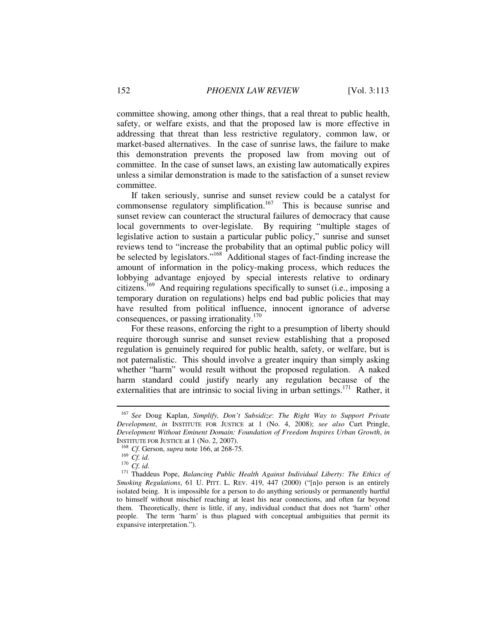committee showing, among other things, that a real threat to public health, safety, or welfare exists, and that the proposed law is more effective in addressing that threat than less restrictive regulatory, common law, or market-based alternatives. In the case of sunrise laws, the failure to make this demonstration prevents the proposed law from moving out of committee. In the case of sunset laws, an existing law automatically expires unless a similar demonstration is made to the satisfaction of a sunset review committee.

If taken seriously, sunrise and sunset review could be a catalyst for commonsense regulatory simplification.<sup>167</sup> This is because sunrise and sunset review can counteract the structural failures of democracy that cause local governments to over-legislate. By requiring "multiple stages of legislative action to sustain a particular public policy," sunrise and sunset reviews tend to "increase the probability that an optimal public policy will be selected by legislators."<sup>168</sup> Additional stages of fact-finding increase the amount of information in the policy-making process, which reduces the lobbying advantage enjoyed by special interests relative to ordinary citizens.<sup>169</sup> And requiring regulations specifically to sunset (i.e., imposing a temporary duration on regulations) helps end bad public policies that may have resulted from political influence, innocent ignorance of adverse consequences, or passing irrationality.<sup>170</sup>

For these reasons, enforcing the right to a presumption of liberty should require thorough sunrise and sunset review establishing that a proposed regulation is genuinely required for public health, safety, or welfare, but is not paternalistic. This should involve a greater inquiry than simply asking whether "harm" would result without the proposed regulation. A naked harm standard could justify nearly any regulation because of the externalities that are intrinsic to social living in urban settings.<sup>171</sup> Rather, it

<sup>167</sup> *See* Doug Kaplan, *Simplify, Don't Subsidize*: *The Right Way to Support Private Development*, *in* INSTITUTE FOR JUSTICE at 1 (No. 4, 2008); *see also* Curt Pringle, *Development Without Eminent Domain: Foundation of Freedom Inspires Urban Growth*, *in* 

<sup>&</sup>lt;sup>168</sup> *Cf.* Gerson, *supra* note 166, at 268-75.<br><sup>169</sup> *Cf. id.*<br><sup>170</sup> *Cf. id.*<br><sup>171</sup> Thaddeus Pope, *Balancing Public Health Against Individual Liberty: The Ethics of Smoking Regulations*, 61 U. PITT. L. REV. 419, 447 (2000) ("[n]o person is an entirely isolated being. It is impossible for a person to do anything seriously or permanently hurtful to himself without mischief reaching at least his near connections, and often far beyond them. Theoretically, there is little, if any, individual conduct that does not 'harm' other people. The term 'harm' is thus plagued with conceptual ambiguities that permit its expansive interpretation.").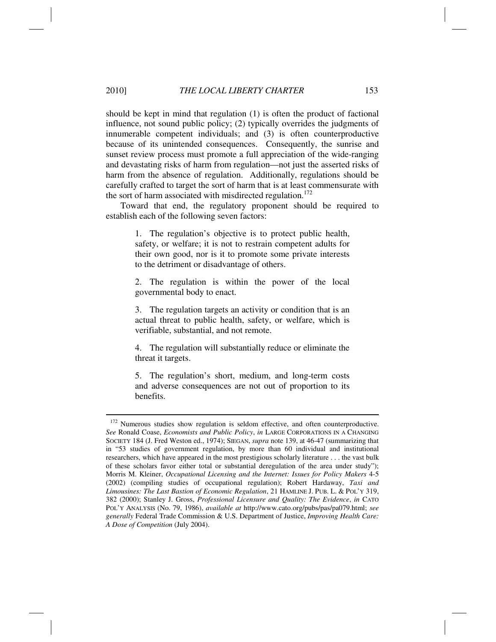should be kept in mind that regulation (1) is often the product of factional influence, not sound public policy; (2) typically overrides the judgments of innumerable competent individuals; and (3) is often counterproductive because of its unintended consequences. Consequently, the sunrise and sunset review process must promote a full appreciation of the wide-ranging and devastating risks of harm from regulation—not just the asserted risks of harm from the absence of regulation. Additionally, regulations should be carefully crafted to target the sort of harm that is at least commensurate with the sort of harm associated with misdirected regulation.<sup>172</sup>

Toward that end, the regulatory proponent should be required to establish each of the following seven factors:

> 1. The regulation's objective is to protect public health, safety, or welfare; it is not to restrain competent adults for their own good, nor is it to promote some private interests to the detriment or disadvantage of others.

> 2. The regulation is within the power of the local governmental body to enact.

> 3. The regulation targets an activity or condition that is an actual threat to public health, safety, or welfare, which is verifiable, substantial, and not remote.

> 4. The regulation will substantially reduce or eliminate the threat it targets.

> 5. The regulation's short, medium, and long-term costs and adverse consequences are not out of proportion to its benefits.

<sup>&</sup>lt;sup>172</sup> Numerous studies show regulation is seldom effective, and often counterproductive. *See* Ronald Coase, *Economists and Public Policy*, *in* LARGE CORPORATIONS IN A CHANGING SOCIETY 184 (J. Fred Weston ed., 1974); SIEGAN, *supra* note 139, at 46-47 (summarizing that in "53 studies of government regulation, by more than 60 individual and institutional researchers, which have appeared in the most prestigious scholarly literature . . . the vast bulk of these scholars favor either total or substantial deregulation of the area under study"); Morris M. Kleiner, *Occupational Licensing and the Internet: Issues for Policy Makers* 4-5 (2002) (compiling studies of occupational regulation); Robert Hardaway, *Taxi and Limousines: The Last Bastion of Economic Regulation*, 21 HAMLINE J. PUB. L. & POL'Y 319, 382 (2000); Stanley J. Gross, *Professional Licensure and Quality: The Evidence*, *in* CATO POL'Y ANALYSIS (No. 79, 1986), *available at* http://www.cato.org/pubs/pas/pa079.html; *see generally* Federal Trade Commission & U.S. Department of Justice, *Improving Health Care: A Dose of Competition* (July 2004).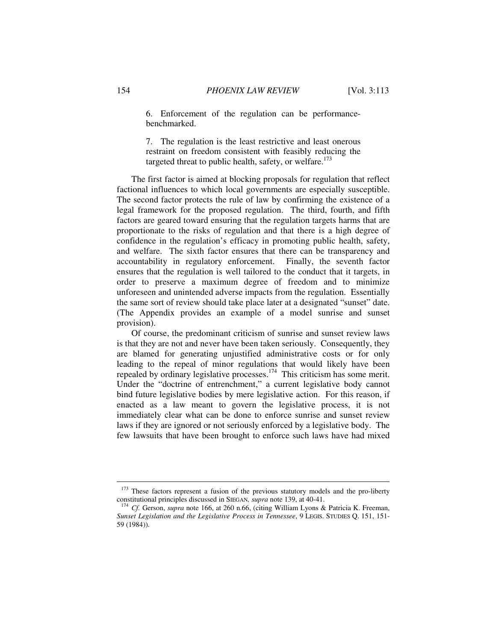6. Enforcement of the regulation can be performancebenchmarked.

7. The regulation is the least restrictive and least onerous restraint on freedom consistent with feasibly reducing the targeted threat to public health, safety, or welfare.<sup>173</sup>

The first factor is aimed at blocking proposals for regulation that reflect factional influences to which local governments are especially susceptible. The second factor protects the rule of law by confirming the existence of a legal framework for the proposed regulation. The third, fourth, and fifth factors are geared toward ensuring that the regulation targets harms that are proportionate to the risks of regulation and that there is a high degree of confidence in the regulation's efficacy in promoting public health, safety, and welfare. The sixth factor ensures that there can be transparency and accountability in regulatory enforcement. Finally, the seventh factor ensures that the regulation is well tailored to the conduct that it targets, in order to preserve a maximum degree of freedom and to minimize unforeseen and unintended adverse impacts from the regulation. Essentially the same sort of review should take place later at a designated "sunset" date. (The Appendix provides an example of a model sunrise and sunset provision).

Of course, the predominant criticism of sunrise and sunset review laws is that they are not and never have been taken seriously. Consequently, they are blamed for generating unjustified administrative costs or for only leading to the repeal of minor regulations that would likely have been repealed by ordinary legislative processes.<sup>174</sup> This criticism has some merit. Under the "doctrine of entrenchment," a current legislative body cannot bind future legislative bodies by mere legislative action. For this reason, if enacted as a law meant to govern the legislative process, it is not immediately clear what can be done to enforce sunrise and sunset review laws if they are ignored or not seriously enforced by a legislative body. The few lawsuits that have been brought to enforce such laws have had mixed

 $173$  These factors represent a fusion of the previous statutory models and the pro-liberty constitutional principles discussed in SIEGAN, *supra* note 139, at 40-41.

<sup>&</sup>lt;sup>174</sup> Cf. Gerson, *supra* note 166, at 260 n.66, (citing William Lyons & Patricia K. Freeman, *Sunset Legislation and the Legislative Process in Tennessee*, 9 LEGIS. STUDIES Q. 151, 151- 59 (1984)).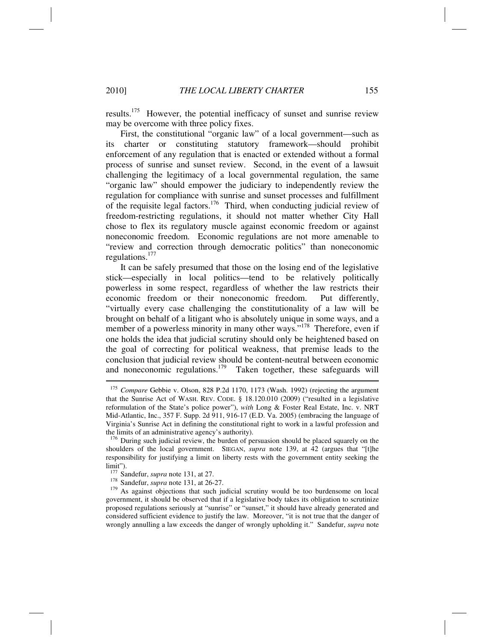results.175 However, the potential inefficacy of sunset and sunrise review may be overcome with three policy fixes.

First, the constitutional "organic law" of a local government—such as its charter or constituting statutory framework—should prohibit enforcement of any regulation that is enacted or extended without a formal process of sunrise and sunset review. Second, in the event of a lawsuit challenging the legitimacy of a local governmental regulation, the same "organic law" should empower the judiciary to independently review the regulation for compliance with sunrise and sunset processes and fulfillment of the requisite legal factors.<sup>176</sup> Third, when conducting judicial review of freedom-restricting regulations, it should not matter whether City Hall chose to flex its regulatory muscle against economic freedom or against noneconomic freedom. Economic regulations are not more amenable to "review and correction through democratic politics" than noneconomic regulations.<sup>177</sup>

It can be safely presumed that those on the losing end of the legislative stick—especially in local politics—tend to be relatively politically powerless in some respect, regardless of whether the law restricts their economic freedom or their noneconomic freedom. Put differently, "virtually every case challenging the constitutionality of a law will be brought on behalf of a litigant who is absolutely unique in some ways, and a member of a powerless minority in many other ways."<sup>178</sup> Therefore, even if one holds the idea that judicial scrutiny should only be heightened based on the goal of correcting for political weakness, that premise leads to the conclusion that judicial review should be content-neutral between economic and noneconomic regulations.<sup>179</sup> Taken together, these safeguards will

<sup>175</sup> *Compare* Gebbie v. Olson, 828 P.2d 1170, 1173 (Wash. 1992) (rejecting the argument that the Sunrise Act of WASH. REV. CODE. § 18.120.010 (2009) ("resulted in a legislative reformulation of the State's police power"), *with* Long & Foster Real Estate, Inc. v. NRT Mid-Atlantic, Inc., 357 F. Supp. 2d 911, 916-17 (E.D. Va. 2005) (embracing the language of Virginia's Sunrise Act in defining the constitutional right to work in a lawful profession and the limits of an administrative agency's authority).

<sup>&</sup>lt;sup>176</sup> During such judicial review, the burden of persuasion should be placed squarely on the shoulders of the local government. SIEGAN, *supra* note 139, at 42 (argues that "[t]he responsibility for justifying a limit on liberty rests with the government entity seeking the limit").<br> $177$  Sandefur, *supra* note 131, at 27.

<sup>&</sup>lt;sup>178</sup> Sandefur, *supra* note 131, at 26-27.<br><sup>179</sup> As against objections that such judicial scrutiny would be too burdensome on local government, it should be observed that if a legislative body takes its obligation to scrutinize proposed regulations seriously at "sunrise" or "sunset," it should have already generated and considered sufficient evidence to justify the law. Moreover, "it is not true that the danger of wrongly annulling a law exceeds the danger of wrongly upholding it." Sandefur, *supra* note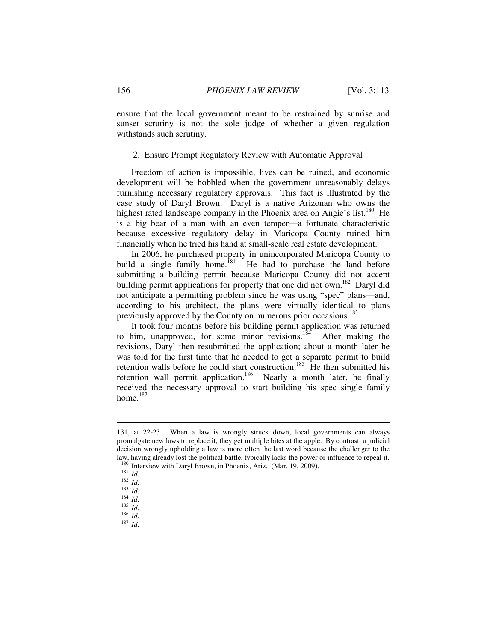ensure that the local government meant to be restrained by sunrise and sunset scrutiny is not the sole judge of whether a given regulation withstands such scrutiny.

# 2. Ensure Prompt Regulatory Review with Automatic Approval

Freedom of action is impossible, lives can be ruined, and economic development will be hobbled when the government unreasonably delays furnishing necessary regulatory approvals. This fact is illustrated by the case study of Daryl Brown. Daryl is a native Arizonan who owns the highest rated landscape company in the Phoenix area on Angie's list.<sup>180</sup> He is a big bear of a man with an even temper—a fortunate characteristic because excessive regulatory delay in Maricopa County ruined him financially when he tried his hand at small-scale real estate development.

In 2006, he purchased property in unincorporated Maricopa County to build a single family home.<sup>[81</sup>] He had to purchase the land before submitting a building permit because Maricopa County did not accept building permit applications for property that one did not own.<sup>182</sup> Daryl did not anticipate a permitting problem since he was using "spec" plans—and, according to his architect, the plans were virtually identical to plans previously approved by the County on numerous prior occasions.<sup>183</sup>

It took four months before his building permit application was returned to him, unapproved, for some minor revisions.<sup>184</sup> After making the revisions, Daryl then resubmitted the application; about a month later he was told for the first time that he needed to get a separate permit to build retention walls before he could start construction.<sup>185</sup> He then submitted his retention wall permit application.<sup>186</sup> Nearly a month later, he finally received the necessary approval to start building his spec single family home.<sup>187</sup>

<sup>131,</sup> at 22-23. When a law is wrongly struck down, local governments can always promulgate new laws to replace it; they get multiple bites at the apple. By contrast, a judicial decision wrongly upholding a law is more often the last word because the challenger to the law, having already lost the political battle, typically lacks the power or influence to repeal it.

<sup>180</sup> Interview with Daryl Brown, in Phoenix, Ariz. (Mar. 19, 2009).<br>
181 *Id.*<br>
182 *Id.*<br>
184 *Id.*<br>
185 *Id.*<br>
186 *Id.*<br>
186 *Id.*<br>
187 *Id*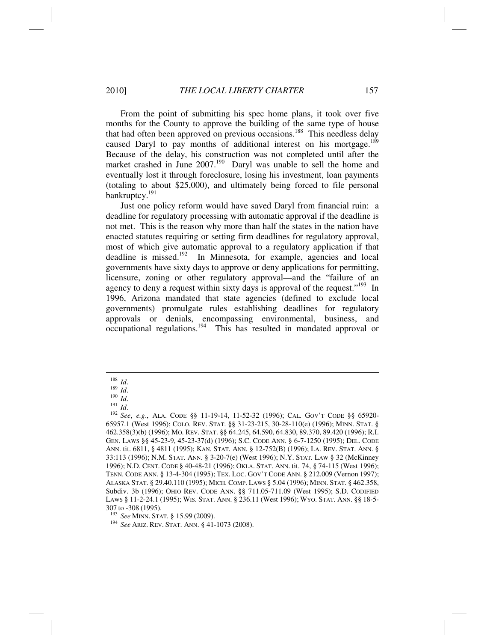From the point of submitting his spec home plans, it took over five months for the County to approve the building of the same type of house that had often been approved on previous occasions.<sup>188</sup> This needless delay caused Daryl to pay months of additional interest on his mortgage.<sup>189</sup>

Because of the delay, his construction was not completed until after the market crashed in June  $2007$ <sup>190</sup> Daryl was unable to sell the home and eventually lost it through foreclosure, losing his investment, loan payments (totaling to about \$25,000), and ultimately being forced to file personal bankruptcy.<sup>191</sup>

Just one policy reform would have saved Daryl from financial ruin: a deadline for regulatory processing with automatic approval if the deadline is not met. This is the reason why more than half the states in the nation have enacted statutes requiring or setting firm deadlines for regulatory approval, most of which give automatic approval to a regulatory application if that deadline is missed.<sup>192</sup> In Minnesota, for example, agencies and local governments have sixty days to approve or deny applications for permitting, licensure, zoning or other regulatory approval—and the "failure of an agency to deny a request within sixty days is approval of the request."<sup>193</sup> In 1996, Arizona mandated that state agencies (defined to exclude local governments) promulgate rules establishing deadlines for regulatory approvals or denials, encompassing environmental, business, and occupational regulations.194 This has resulted in mandated approval or

<sup>188</sup> *Id.*<br>
<sup>189</sup> *Id.*<br>
<sup>191</sup> *Id.*<br>
<sup>192</sup> *See*, *e.g.*, ALA. CODE §§ 11-19-14, 11-52-32 (1996); CAL. GOV'T CODE §§ 65920-65957.1 (West 1996); COLO. REV. STAT. §§ 31-23-215, 30-28-110(e) (1996); MINN. STAT. § 462.358(3)(b) (1996); MO. REV. STAT. §§ 64.245, 64.590, 64.830, 89.370, 89.420 (1996); R.I. GEN. LAWS §§ 45-23-9, 45-23-37(d) (1996); S.C. CODE ANN. § 6-7-1250 (1995); DEL. CODE ANN. tit. 6811, § 4811 (1995); KAN. STAT. ANN. § 12-752(B) (1996); LA. REV. STAT. ANN. § 33:113 (1996); N.M. STAT. ANN. § 3-20-7(e) (West 1996); N.Y. STAT. LAW § 32 (McKinney 1996); N.D. CENT. CODE § 40-48-21 (1996); OKLA. STAT. ANN. tit. 74, § 74-115 (West 1996); TENN. CODE ANN. § 13-4-304 (1995); TEX. LOC. GOV'T CODE ANN. § 212.009 (Vernon 1997); ALASKA STAT. § 29.40.110 (1995); MICH. COMP. LAWS § 5.04 (1996); MINN. STAT. § 462.358, Subdiv. 3b (1996); OHIO REV. CODE ANN. §§ 711.05-711.09 (West 1995); S.D. CODIFIED LAWS § 11-2-24.1 (1995); WIS. STAT. ANN. § 236.11 (West 1996); WYO. STAT. ANN. §§ 18-5-

<sup>307</sup> to -308 (1995).<br><sup>193</sup> See MINN. STAT. § 15.99 (2009).

<sup>&</sup>lt;sup>194</sup> See ARIZ. REV. STAT. ANN. § 41-1073 (2008).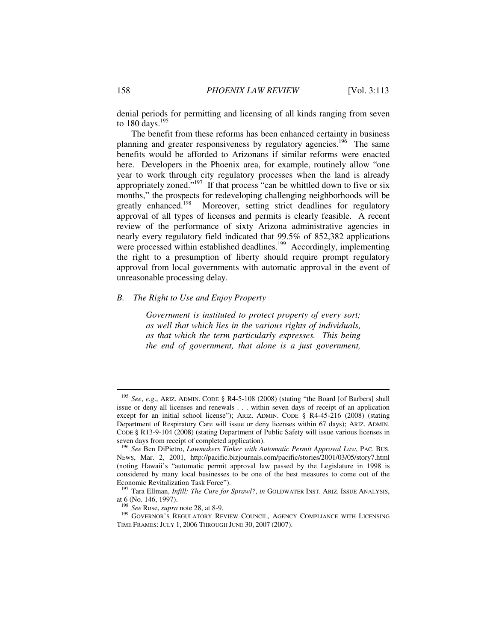denial periods for permitting and licensing of all kinds ranging from seven to  $180 \text{ days}$ .<sup>195</sup>

The benefit from these reforms has been enhanced certainty in business planning and greater responsiveness by regulatory agencies.<sup>196</sup> The same benefits would be afforded to Arizonans if similar reforms were enacted here. Developers in the Phoenix area, for example, routinely allow "one year to work through city regulatory processes when the land is already appropriately zoned."<sup>197</sup> If that process "can be whittled down to five or six months," the prospects for redeveloping challenging neighborhoods will be greatly enhanced.<sup>198</sup> Moreover, setting strict deadlines for regulatory approval of all types of licenses and permits is clearly feasible. A recent review of the performance of sixty Arizona administrative agencies in nearly every regulatory field indicated that 99.5% of 852,382 applications were processed within established deadlines.<sup>199</sup> Accordingly, implementing the right to a presumption of liberty should require prompt regulatory approval from local governments with automatic approval in the event of unreasonable processing delay.

# *B. The Right to Use and Enjoy Property*

*Government is instituted to protect property of every sort; as well that which lies in the various rights of individuals, as that which the term particularly expresses. This being the end of government, that alone is a just government,* 

<sup>195</sup> *See*, *e.g*., ARIZ. ADMIN. CODE § R4-5-108 (2008) (stating "the Board [of Barbers] shall issue or deny all licenses and renewals . . . within seven days of receipt of an application except for an initial school license"); ARIZ. ADMIN. CODE § R4-45-216 (2008) (stating Department of Respiratory Care will issue or deny licenses within 67 days); ARIZ. ADMIN. CODE § R13-9-104 (2008) (stating Department of Public Safety will issue various licenses in seven days from receipt of completed application).

<sup>196</sup> *See* Ben DiPietro, *Lawmakers Tinker with Automatic Permit Approval Law*, PAC. BUS. NEWS, Mar. 2, 2001, http://pacific.bizjournals.com/pacific/stories/2001/03/05/story7.html (noting Hawaii's "automatic permit approval law passed by the Legislature in 1998 is considered by many local businesses to be one of the best measures to come out of the Economic Revitalization Task Force").<br><sup>197</sup> Tara Ellman, *Infill: The Cure for Sprawl?*, *in* GOLDWATER INST. ARIZ. ISSUE ANALYSIS,

at 6 (No. 146, 1997).<br><sup>198</sup> *See* Rose, *supra* note 28, at 8-9.

<sup>&</sup>lt;sup>199</sup> GOVERNOR'S REGULATORY REVIEW COUNCIL, AGENCY COMPLIANCE WITH LICENSING TIME FRAMES: JULY 1, 2006 THROUGH JUNE 30, 2007 (2007).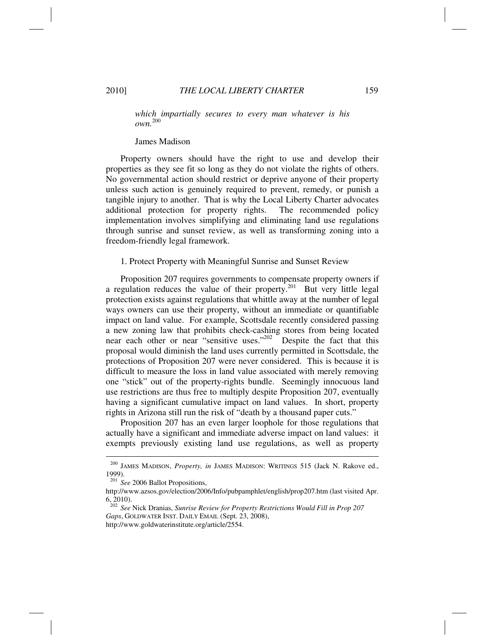*which impartially secures to every man whatever is his own.* 200

#### James Madison

Property owners should have the right to use and develop their properties as they see fit so long as they do not violate the rights of others. No governmental action should restrict or deprive anyone of their property unless such action is genuinely required to prevent, remedy, or punish a tangible injury to another. That is why the Local Liberty Charter advocates additional protection for property rights. The recommended policy implementation involves simplifying and eliminating land use regulations through sunrise and sunset review, as well as transforming zoning into a freedom-friendly legal framework.

#### 1. Protect Property with Meaningful Sunrise and Sunset Review

Proposition 207 requires governments to compensate property owners if a regulation reduces the value of their property.<sup>201</sup> But very little legal protection exists against regulations that whittle away at the number of legal ways owners can use their property, without an immediate or quantifiable impact on land value. For example, Scottsdale recently considered passing a new zoning law that prohibits check-cashing stores from being located near each other or near "sensitive uses."<sup>202</sup> Despite the fact that this proposal would diminish the land uses currently permitted in Scottsdale, the protections of Proposition 207 were never considered. This is because it is difficult to measure the loss in land value associated with merely removing one "stick" out of the property-rights bundle. Seemingly innocuous land use restrictions are thus free to multiply despite Proposition 207, eventually having a significant cumulative impact on land values. In short, property rights in Arizona still run the risk of "death by a thousand paper cuts."

Proposition 207 has an even larger loophole for those regulations that actually have a significant and immediate adverse impact on land values: it exempts previously existing land use regulations, as well as property

<sup>200</sup> JAMES MADISON, *Property, in* JAMES MADISON: WRITINGS 515 (Jack N. Rakove ed., 1999).

<sup>201</sup> *See* 2006 Ballot Propositions,

http://www.azsos.gov/election/2006/Info/pubpamphlet/english/prop207.htm (last visited Apr. 6, 2010).

<sup>202</sup> *See* Nick Dranias, *Sunrise Review for Property Restrictions Would Fill in Prop 207 Gaps*, GOLDWATER INST. DAILY EMAIL (Sept. 23, 2008), http://www.goldwaterinstitute.org/article/2554.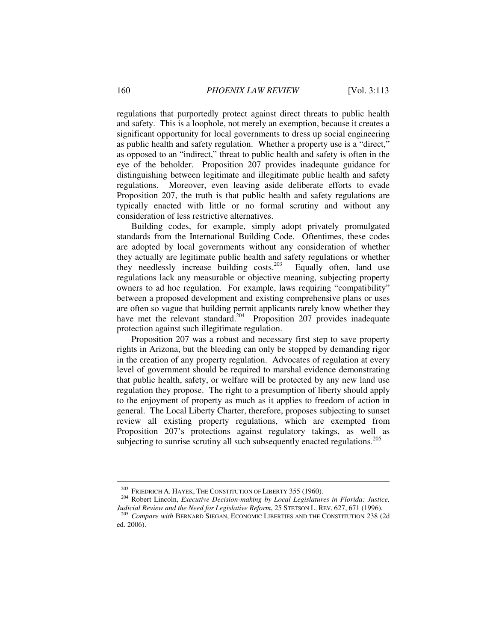regulations that purportedly protect against direct threats to public health and safety. This is a loophole, not merely an exemption, because it creates a significant opportunity for local governments to dress up social engineering as public health and safety regulation. Whether a property use is a "direct," as opposed to an "indirect," threat to public health and safety is often in the eye of the beholder. Proposition 207 provides inadequate guidance for distinguishing between legitimate and illegitimate public health and safety regulations. Moreover, even leaving aside deliberate efforts to evade Proposition 207, the truth is that public health and safety regulations are typically enacted with little or no formal scrutiny and without any consideration of less restrictive alternatives.

Building codes, for example, simply adopt privately promulgated standards from the International Building Code. Oftentimes, these codes are adopted by local governments without any consideration of whether they actually are legitimate public health and safety regulations or whether they needlessly increase building  $\cos$ s Equally often, land use they needlessly increase building  $\cos^{-203}$ regulations lack any measurable or objective meaning, subjecting property owners to ad hoc regulation. For example, laws requiring "compatibility" between a proposed development and existing comprehensive plans or uses are often so vague that building permit applicants rarely know whether they have met the relevant standard.<sup>204</sup> Proposition 207 provides inadequate protection against such illegitimate regulation.

Proposition 207 was a robust and necessary first step to save property rights in Arizona, but the bleeding can only be stopped by demanding rigor in the creation of any property regulation. Advocates of regulation at every level of government should be required to marshal evidence demonstrating that public health, safety, or welfare will be protected by any new land use regulation they propose. The right to a presumption of liberty should apply to the enjoyment of property as much as it applies to freedom of action in general. The Local Liberty Charter, therefore, proposes subjecting to sunset review all existing property regulations, which are exempted from Proposition 207's protections against regulatory takings, as well as subjecting to sunrise scrutiny all such subsequently enacted regulations.<sup>205</sup>

<sup>&</sup>lt;sup>203</sup> FRIEDRICH A. HAYEK, THE CONSTITUTION OF LIBERTY 355 (1960).<br><sup>204</sup> Robert Lincoln, *Executive Decision-making by Local Legislatures in Florida: Justice, Judicial Review and the Need for Legislative Reform*, 25 STETS

<sup>&</sup>lt;sup>205</sup> Compare with BERNARD SIEGAN, ECONOMIC LIBERTIES AND THE CONSTITUTION 238 (2d) ed. 2006).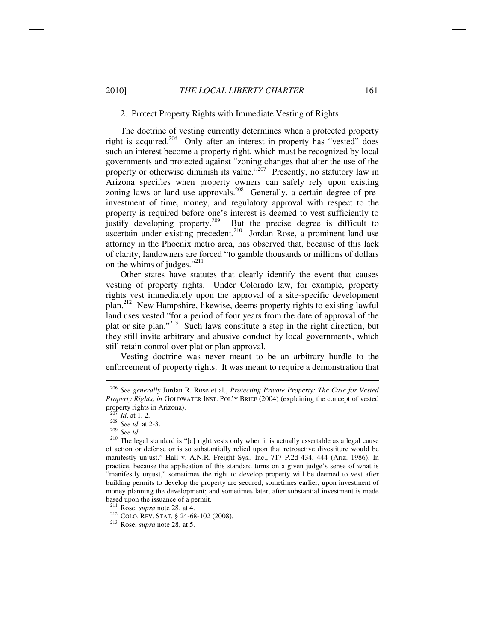# 2. Protect Property Rights with Immediate Vesting of Rights

The doctrine of vesting currently determines when a protected property right is acquired.<sup>206</sup> Only after an interest in property has "vested" does such an interest become a property right, which must be recognized by local governments and protected against "zoning changes that alter the use of the property or otherwise diminish its value."<sup>207</sup> Presently, no statutory law in Arizona specifies when property owners can safely rely upon existing zoning laws or land use approvals.<sup>208</sup> Generally, a certain degree of preinvestment of time, money, and regulatory approval with respect to the property is required before one's interest is deemed to vest sufficiently to justify developing property.209 But the precise degree is difficult to ascertain under existing precedent.<sup>210</sup> Jordan Rose, a prominent land use attorney in the Phoenix metro area, has observed that, because of this lack of clarity, landowners are forced "to gamble thousands or millions of dollars on the whims of judges."<sup>211</sup>

Other states have statutes that clearly identify the event that causes vesting of property rights. Under Colorado law, for example, property rights vest immediately upon the approval of a site-specific development plan.212 New Hampshire, likewise, deems property rights to existing lawful land uses vested "for a period of four years from the date of approval of the plat or site plan."213 Such laws constitute a step in the right direction, but they still invite arbitrary and abusive conduct by local governments, which still retain control over plat or plan approval.

Vesting doctrine was never meant to be an arbitrary hurdle to the enforcement of property rights. It was meant to require a demonstration that

<sup>206</sup> *See generally* Jordan R. Rose et al., *Protecting Private Property: The Case for Vested Property Rights, in* GOLDWATER INST. POL'Y BRIEF (2004) (explaining the concept of vested property rights in Arizona).<br> $207 \times 10^{-4} \text{ m}$ 

<sup>207</sup> *Id*. at 1, 2. 208 *See id*. at 2-3. 209 *See id*. 210 The legal standard is "[a] right vests only when it is actually assertable as a legal cause of action or defense or is so substantially relied upon that retroactive divestiture would be manifestly unjust." Hall v. A.N.R. Freight Sys., Inc., 717 P.2d 434, 444 (Ariz. 1986). In practice, because the application of this standard turns on a given judge's sense of what is "manifestly unjust," sometimes the right to develop property will be deemed to vest after building permits to develop the property are secured; sometimes earlier, upon investment of money planning the development; and sometimes later, after substantial investment is made based upon the issuance of a permit.<br><sup>211</sup> Rose, *supra* note 28, at 4.

<sup>&</sup>lt;sup>212</sup> COLO. REV. STAT. § 24-68-102 (2008).<br><sup>213</sup> Rose, *supra* note 28, at 5.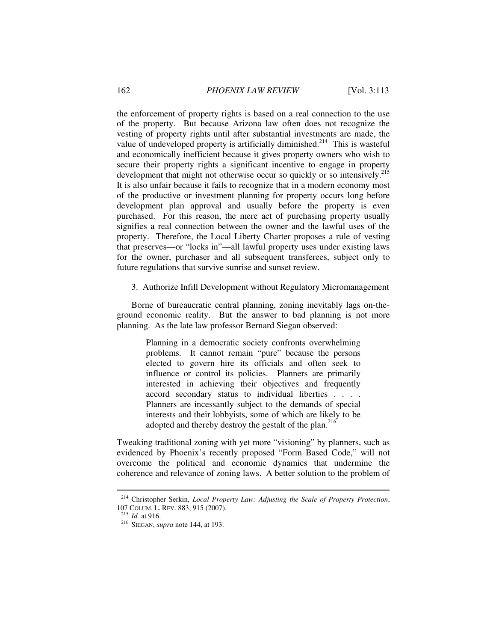the enforcement of property rights is based on a real connection to the use of the property. But because Arizona law often does not recognize the vesting of property rights until after substantial investments are made, the value of undeveloped property is artificially diminished.<sup>214</sup> This is wasteful and economically inefficient because it gives property owners who wish to secure their property rights a significant incentive to engage in property development that might not otherwise occur so quickly or so intensively.<sup>215</sup> It is also unfair because it fails to recognize that in a modern economy most of the productive or investment planning for property occurs long before development plan approval and usually before the property is even purchased. For this reason, the mere act of purchasing property usually signifies a real connection between the owner and the lawful uses of the property. Therefore, the Local Liberty Charter proposes a rule of vesting that preserves—or "locks in"—all lawful property uses under existing laws for the owner, purchaser and all subsequent transferees, subject only to future regulations that survive sunrise and sunset review.

3. Authorize Infill Development without Regulatory Micromanagement

Borne of bureaucratic central planning, zoning inevitably lags on-theground economic reality. But the answer to bad planning is not more planning. As the late law professor Bernard Siegan observed:

> Planning in a democratic society confronts overwhelming problems. It cannot remain "pure" because the persons elected to govern hire its officials and often seek to influence or control its policies. Planners are primarily interested in achieving their objectives and frequently accord secondary status to individual liberties . . . . Planners are incessantly subject to the demands of special interests and their lobbyists, some of which are likely to be adopted and thereby destroy the gestalt of the plan.<sup>216</sup>

Tweaking traditional zoning with yet more "visioning" by planners, such as evidenced by Phoenix's recently proposed "Form Based Code," will not overcome the political and economic dynamics that undermine the coherence and relevance of zoning laws. A better solution to the problem of

<sup>&</sup>lt;sup>214</sup> Christopher Serkin, *Local Property Law: Adjusting the Scale of Property Protection*, 107 COLUM L. REV. 883, 915 (2007).

<sup>&</sup>lt;sup>215</sup> *Id.* at 916.<br><sup>216</sup> SIEGAN, *supra* note 144, at 193.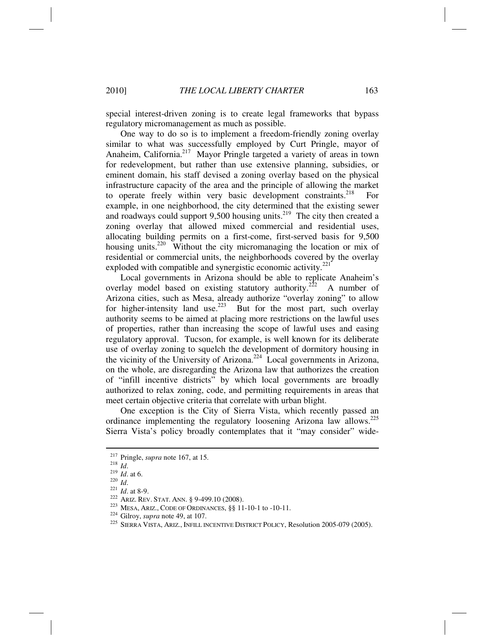special interest-driven zoning is to create legal frameworks that bypass regulatory micromanagement as much as possible.

One way to do so is to implement a freedom-friendly zoning overlay similar to what was successfully employed by Curt Pringle, mayor of Anaheim, California.<sup>217</sup> Mayor Pringle targeted a variety of areas in town for redevelopment, but rather than use extensive planning, subsidies, or eminent domain, his staff devised a zoning overlay based on the physical infrastructure capacity of the area and the principle of allowing the market to operate freely within very basic development constraints.<sup>218</sup> For example, in one neighborhood, the city determined that the existing sewer and roadways could support  $9,500$  housing units.<sup>219</sup> The city then created a zoning overlay that allowed mixed commercial and residential uses, allocating building permits on a first-come, first-served basis for 9,500 housing units.<sup>220</sup> Without the city micromanaging the location or mix of residential or commercial units, the neighborhoods covered by the overlay exploded with compatible and synergistic economic activity. $^{221}$ 

Local governments in Arizona should be able to replicate Anaheim's overlay model based on existing statutory authority.<sup>222</sup> A number of Arizona cities, such as Mesa, already authorize "overlay zoning" to allow for higher-intensity land use.<sup>223</sup> But for the most part, such overlay authority seems to be aimed at placing more restrictions on the lawful uses of properties, rather than increasing the scope of lawful uses and easing regulatory approval. Tucson, for example, is well known for its deliberate use of overlay zoning to squelch the development of dormitory housing in the vicinity of the University of Arizona.<sup>224</sup> Local governments in Arizona, on the whole, are disregarding the Arizona law that authorizes the creation of "infill incentive districts" by which local governments are broadly authorized to relax zoning, code, and permitting requirements in areas that meet certain objective criteria that correlate with urban blight.

One exception is the City of Sierra Vista, which recently passed an ordinance implementing the regulatory loosening Arizona law allows.<sup>225</sup> Sierra Vista's policy broadly contemplates that it "may consider" wide-

<sup>&</sup>lt;sup>217</sup> Pringle, *supra* note 167, at 15.<br>
<sup>218</sup> *Id.*<br>
<sup>219</sup> *Id.* at 6.<br>
<sup>221</sup> *Id.* at 8-9.<br>
<sup>222</sup> ARIZ. REV. STAT. ANN. § 9-499.10 (2008).<br>
<sup>223</sup> MESA, ARIZ., CODE OF ORDINANCES, §§ 11-10-1 to -10-11.<br>
<sup>224</sup> Gilroy, *su*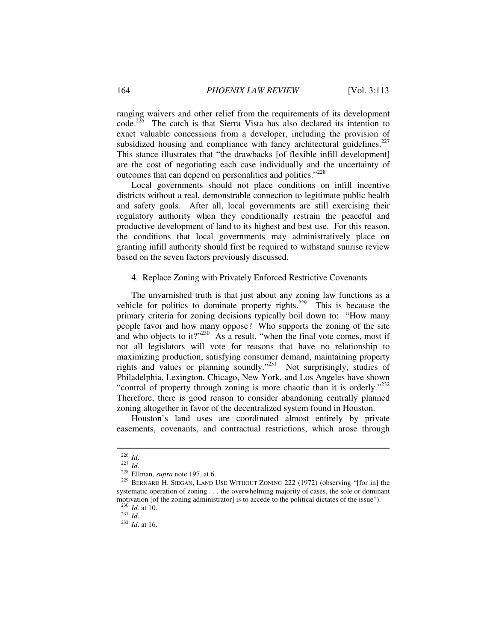ranging waivers and other relief from the requirements of its development  $code<sup>226</sup>$  The catch is that Sierra Vista has also declared its intention to exact valuable concessions from a developer, including the provision of subsidized housing and compliance with fancy architectural guidelines.<sup>227</sup> This stance illustrates that "the drawbacks [of flexible infill development] are the cost of negotiating each case individually and the uncertainty of outcomes that can depend on personalities and politics."<sup>228</sup>

Local governments should not place conditions on infill incentive districts without a real, demonstrable connection to legitimate public health and safety goals. After all, local governments are still exercising their regulatory authority when they conditionally restrain the peaceful and productive development of land to its highest and best use. For this reason, the conditions that local governments may administratively place on granting infill authority should first be required to withstand sunrise review based on the seven factors previously discussed.

### 4. Replace Zoning with Privately Enforced Restrictive Covenants

The unvarnished truth is that just about any zoning law functions as a vehicle for politics to dominate property rights.<sup>229</sup> This is because the primary criteria for zoning decisions typically boil down to: "How many people favor and how many oppose? Who supports the zoning of the site and who objects to it?" $^{230}$  As a result, "when the final vote comes, most if not all legislators will vote for reasons that have no relationship to maximizing production, satisfying consumer demand, maintaining property rights and values or planning soundly."<sup>231</sup> Not surprisingly, studies of Philadelphia, Lexington, Chicago, New York, and Los Angeles have shown "control of property through zoning is more chaotic than it is orderly."<sup>232</sup> Therefore, there is good reason to consider abandoning centrally planned zoning altogether in favor of the decentralized system found in Houston.

Houston's land uses are coordinated almost entirely by private easements, covenants, and contractual restrictions, which arose through

<sup>&</sup>lt;sup>226</sup> *Id.* <sup>227</sup> *Id.* 227 *Id.* 228 Ellman, *supra* note 197, at 6. 229 CONING 222 (1972) (observing "[for in] the <sup>229</sup> BERNARD H. SIEGAN, LAND USE WITHOUT ZONING 222 (1972) (observing "[for in] the systematic operation of zoning . . . the overwhelming majority of cases, the sole or dominant motivation [of the zoning administrator] is to accede to the political dictates of the issue").<br> $^{230}$  *Id.* at 10.

<sup>230</sup> *Id*. at 10. 231 *Id*. <sup>232</sup> *Id*. at 16.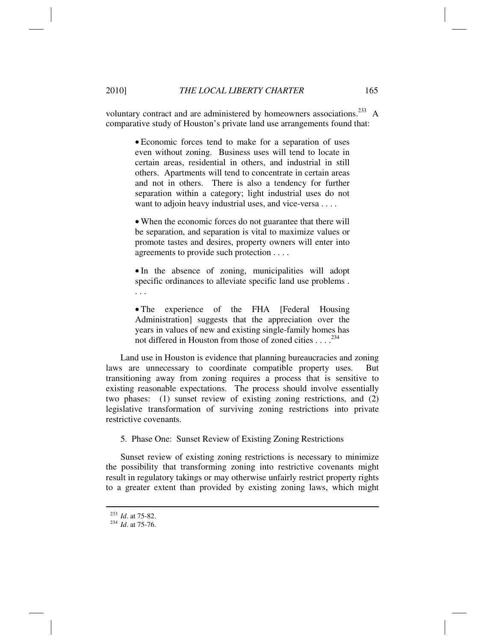voluntary contract and are administered by homeowners associations.<sup>233</sup> A comparative study of Houston's private land use arrangements found that:

> • Economic forces tend to make for a separation of uses even without zoning. Business uses will tend to locate in certain areas, residential in others, and industrial in still others. Apartments will tend to concentrate in certain areas and not in others. There is also a tendency for further separation within a category; light industrial uses do not want to adjoin heavy industrial uses, and vice-versa . . . .

> • When the economic forces do not guarantee that there will be separation, and separation is vital to maximize values or promote tastes and desires, property owners will enter into agreements to provide such protection . . . .

> • In the absence of zoning, municipalities will adopt specific ordinances to alleviate specific land use problems . . . .

> • The experience of the FHA [Federal Housing Administration] suggests that the appreciation over the years in values of new and existing single-family homes has not differed in Houston from those of zoned cities  $\ldots$ <sup>234</sup>

Land use in Houston is evidence that planning bureaucracies and zoning laws are unnecessary to coordinate compatible property uses. But transitioning away from zoning requires a process that is sensitive to existing reasonable expectations. The process should involve essentially two phases: (1) sunset review of existing zoning restrictions, and (2) legislative transformation of surviving zoning restrictions into private restrictive covenants.

5. Phase One: Sunset Review of Existing Zoning Restrictions

Sunset review of existing zoning restrictions is necessary to minimize the possibility that transforming zoning into restrictive covenants might result in regulatory takings or may otherwise unfairly restrict property rights to a greater extent than provided by existing zoning laws, which might

<sup>233</sup> *Id*. at 75-82. 234 *Id*. at 75-76.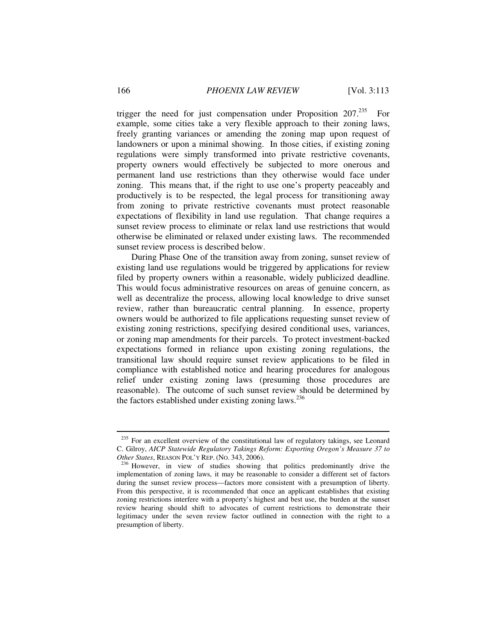trigger the need for just compensation under Proposition  $207<sup>235</sup>$  For example, some cities take a very flexible approach to their zoning laws, freely granting variances or amending the zoning map upon request of landowners or upon a minimal showing. In those cities, if existing zoning regulations were simply transformed into private restrictive covenants, property owners would effectively be subjected to more onerous and permanent land use restrictions than they otherwise would face under zoning. This means that, if the right to use one's property peaceably and productively is to be respected, the legal process for transitioning away from zoning to private restrictive covenants must protect reasonable expectations of flexibility in land use regulation. That change requires a sunset review process to eliminate or relax land use restrictions that would otherwise be eliminated or relaxed under existing laws. The recommended sunset review process is described below.

During Phase One of the transition away from zoning, sunset review of existing land use regulations would be triggered by applications for review filed by property owners within a reasonable, widely publicized deadline. This would focus administrative resources on areas of genuine concern, as well as decentralize the process, allowing local knowledge to drive sunset review, rather than bureaucratic central planning. In essence, property owners would be authorized to file applications requesting sunset review of existing zoning restrictions, specifying desired conditional uses, variances, or zoning map amendments for their parcels. To protect investment-backed expectations formed in reliance upon existing zoning regulations, the transitional law should require sunset review applications to be filed in compliance with established notice and hearing procedures for analogous relief under existing zoning laws (presuming those procedures are reasonable). The outcome of such sunset review should be determined by the factors established under existing zoning laws. $^{236}$ 

 $235$  For an excellent overview of the constitutional law of regulatory takings, see Leonard C. Gilroy, *AICP Statewide Regulatory Takings Reform: Exporting Oregon's Measure 37 to Other States*, REASON POL'Y REP. (NO. 343, 2006).<br><sup>236</sup> However, in view of studies showing that politics predominantly drive the

implementation of zoning laws, it may be reasonable to consider a different set of factors during the sunset review process—factors more consistent with a presumption of liberty. From this perspective, it is recommended that once an applicant establishes that existing zoning restrictions interfere with a property's highest and best use, the burden at the sunset review hearing should shift to advocates of current restrictions to demonstrate their legitimacy under the seven review factor outlined in connection with the right to a presumption of liberty.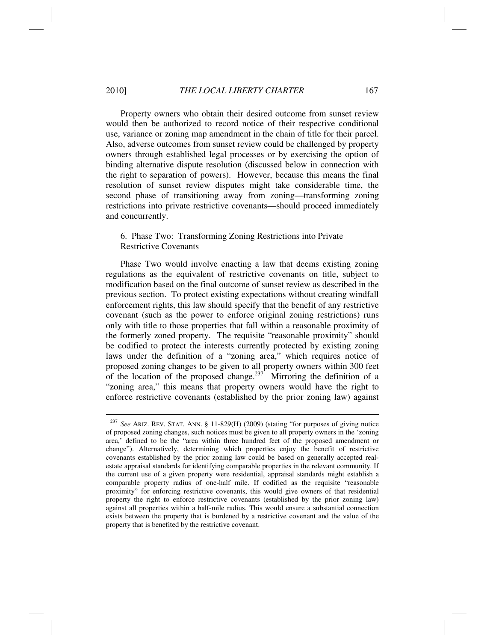Property owners who obtain their desired outcome from sunset review would then be authorized to record notice of their respective conditional use, variance or zoning map amendment in the chain of title for their parcel. Also, adverse outcomes from sunset review could be challenged by property owners through established legal processes or by exercising the option of binding alternative dispute resolution (discussed below in connection with the right to separation of powers). However, because this means the final resolution of sunset review disputes might take considerable time, the second phase of transitioning away from zoning—transforming zoning restrictions into private restrictive covenants—should proceed immediately and concurrently.

# 6. Phase Two: Transforming Zoning Restrictions into Private Restrictive Covenants

Phase Two would involve enacting a law that deems existing zoning regulations as the equivalent of restrictive covenants on title, subject to modification based on the final outcome of sunset review as described in the previous section. To protect existing expectations without creating windfall enforcement rights, this law should specify that the benefit of any restrictive covenant (such as the power to enforce original zoning restrictions) runs only with title to those properties that fall within a reasonable proximity of the formerly zoned property. The requisite "reasonable proximity" should be codified to protect the interests currently protected by existing zoning laws under the definition of a "zoning area," which requires notice of proposed zoning changes to be given to all property owners within 300 feet of the location of the proposed change.<sup>237</sup> Mirroring the definition of a "zoning area," this means that property owners would have the right to enforce restrictive covenants (established by the prior zoning law) against

<sup>237</sup> *See* ARIZ. REV. STAT. ANN. § 11-829(H) (2009) (stating "for purposes of giving notice of proposed zoning changes, such notices must be given to all property owners in the 'zoning area,' defined to be the "area within three hundred feet of the proposed amendment or change"). Alternatively, determining which properties enjoy the benefit of restrictive covenants established by the prior zoning law could be based on generally accepted realestate appraisal standards for identifying comparable properties in the relevant community. If the current use of a given property were residential, appraisal standards might establish a comparable property radius of one-half mile. If codified as the requisite "reasonable proximity" for enforcing restrictive covenants, this would give owners of that residential property the right to enforce restrictive covenants (established by the prior zoning law) against all properties within a half-mile radius. This would ensure a substantial connection exists between the property that is burdened by a restrictive covenant and the value of the property that is benefited by the restrictive covenant.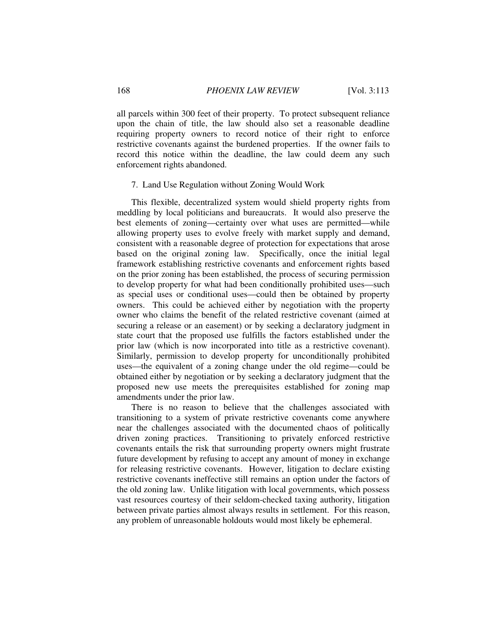all parcels within 300 feet of their property. To protect subsequent reliance upon the chain of title, the law should also set a reasonable deadline requiring property owners to record notice of their right to enforce restrictive covenants against the burdened properties. If the owner fails to record this notice within the deadline, the law could deem any such enforcement rights abandoned.

### 7. Land Use Regulation without Zoning Would Work

This flexible, decentralized system would shield property rights from meddling by local politicians and bureaucrats. It would also preserve the best elements of zoning—certainty over what uses are permitted—while allowing property uses to evolve freely with market supply and demand, consistent with a reasonable degree of protection for expectations that arose based on the original zoning law. Specifically, once the initial legal framework establishing restrictive covenants and enforcement rights based on the prior zoning has been established, the process of securing permission to develop property for what had been conditionally prohibited uses—such as special uses or conditional uses—could then be obtained by property owners. This could be achieved either by negotiation with the property owner who claims the benefit of the related restrictive covenant (aimed at securing a release or an easement) or by seeking a declaratory judgment in state court that the proposed use fulfills the factors established under the prior law (which is now incorporated into title as a restrictive covenant). Similarly, permission to develop property for unconditionally prohibited uses—the equivalent of a zoning change under the old regime—could be obtained either by negotiation or by seeking a declaratory judgment that the proposed new use meets the prerequisites established for zoning map amendments under the prior law.

There is no reason to believe that the challenges associated with transitioning to a system of private restrictive covenants come anywhere near the challenges associated with the documented chaos of politically driven zoning practices. Transitioning to privately enforced restrictive covenants entails the risk that surrounding property owners might frustrate future development by refusing to accept any amount of money in exchange for releasing restrictive covenants. However, litigation to declare existing restrictive covenants ineffective still remains an option under the factors of the old zoning law. Unlike litigation with local governments, which possess vast resources courtesy of their seldom-checked taxing authority, litigation between private parties almost always results in settlement. For this reason, any problem of unreasonable holdouts would most likely be ephemeral.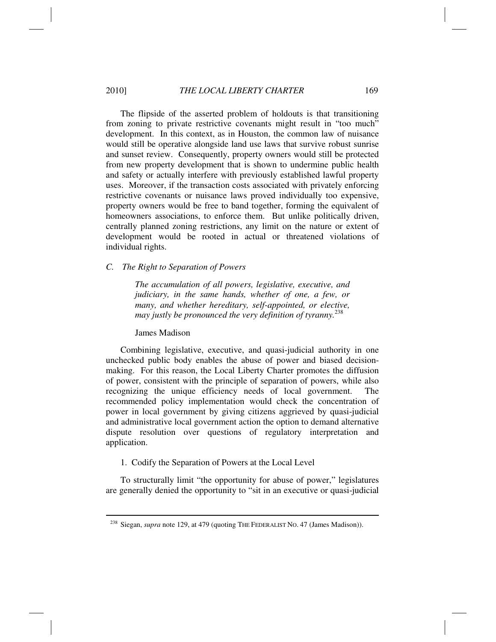The flipside of the asserted problem of holdouts is that transitioning from zoning to private restrictive covenants might result in "too much" development. In this context, as in Houston, the common law of nuisance would still be operative alongside land use laws that survive robust sunrise and sunset review. Consequently, property owners would still be protected from new property development that is shown to undermine public health and safety or actually interfere with previously established lawful property uses. Moreover, if the transaction costs associated with privately enforcing restrictive covenants or nuisance laws proved individually too expensive, property owners would be free to band together, forming the equivalent of homeowners associations, to enforce them. But unlike politically driven, centrally planned zoning restrictions, any limit on the nature or extent of development would be rooted in actual or threatened violations of individual rights.

# *C. The Right to Separation of Powers*

*The accumulation of all powers, legislative, executive, and judiciary, in the same hands, whether of one, a few, or many, and whether hereditary, self-appointed, or elective, may justly be pronounced the very definition of tyranny.*<sup>238</sup>

James Madison

Combining legislative, executive, and quasi-judicial authority in one unchecked public body enables the abuse of power and biased decisionmaking. For this reason, the Local Liberty Charter promotes the diffusion of power, consistent with the principle of separation of powers, while also recognizing the unique efficiency needs of local government. recommended policy implementation would check the concentration of power in local government by giving citizens aggrieved by quasi-judicial and administrative local government action the option to demand alternative dispute resolution over questions of regulatory interpretation and application.

### 1. Codify the Separation of Powers at the Local Level

To structurally limit "the opportunity for abuse of power," legislatures are generally denied the opportunity to "sit in an executive or quasi-judicial

<sup>&</sup>lt;sup>238</sup> Siegan, *supra* note 129, at 479 (quoting THE FEDERALIST NO. 47 (James Madison)).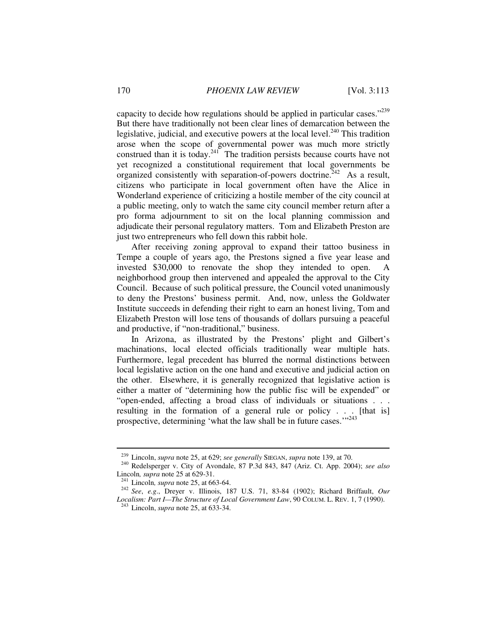capacity to decide how regulations should be applied in particular cases.<sup> $239$ </sup> But there have traditionally not been clear lines of demarcation between the legislative, judicial, and executive powers at the local level. $^{240}$  This tradition arose when the scope of governmental power was much more strictly construed than it is today.<sup>241</sup> The tradition persists because courts have not yet recognized a constitutional requirement that local governments be organized consistently with separation-of-powers doctrine.<sup> $242$ </sup> As a result, citizens who participate in local government often have the Alice in Wonderland experience of criticizing a hostile member of the city council at a public meeting, only to watch the same city council member return after a pro forma adjournment to sit on the local planning commission and adjudicate their personal regulatory matters. Tom and Elizabeth Preston are just two entrepreneurs who fell down this rabbit hole.

After receiving zoning approval to expand their tattoo business in Tempe a couple of years ago, the Prestons signed a five year lease and invested \$30,000 to renovate the shop they intended to open. neighborhood group then intervened and appealed the approval to the City Council. Because of such political pressure, the Council voted unanimously to deny the Prestons' business permit. And, now, unless the Goldwater Institute succeeds in defending their right to earn an honest living, Tom and Elizabeth Preston will lose tens of thousands of dollars pursuing a peaceful and productive, if "non-traditional," business.

In Arizona, as illustrated by the Prestons' plight and Gilbert's machinations, local elected officials traditionally wear multiple hats. Furthermore, legal precedent has blurred the normal distinctions between local legislative action on the one hand and executive and judicial action on the other. Elsewhere, it is generally recognized that legislative action is either a matter of "determining how the public fisc will be expended" or "open-ended, affecting a broad class of individuals or situations . . . resulting in the formation of a general rule or policy . . . [that is] prospective, determining 'what the law shall be in future cases.'"<sup>243</sup>

<sup>&</sup>lt;sup>239</sup> Lincoln, *supra* note 25, at 629; *see generally* SIEGAN, *supra* note 139, at 70.<br><sup>240</sup> Redelsperger v. City of Avondale, 87 P.3d 843, 847 (Ariz. Ct. App. 2004); *see also*<br>Lincoln, *supra* note 25 at 629-31.

<sup>&</sup>lt;sup>241</sup> Lincoln, *supra* note 25, at 663-64.<br><sup>242</sup> See, *e.g.*, Dreyer v. Illinois, 187 U.S. 71, 83-84 (1902); Richard Briffault, *Our Localism: Part I—The Structure of Local Government Law*, 90 COLUM. L. REV. 1, 7 (1990). 243 Lincoln, *supra* note 25, at 633-34.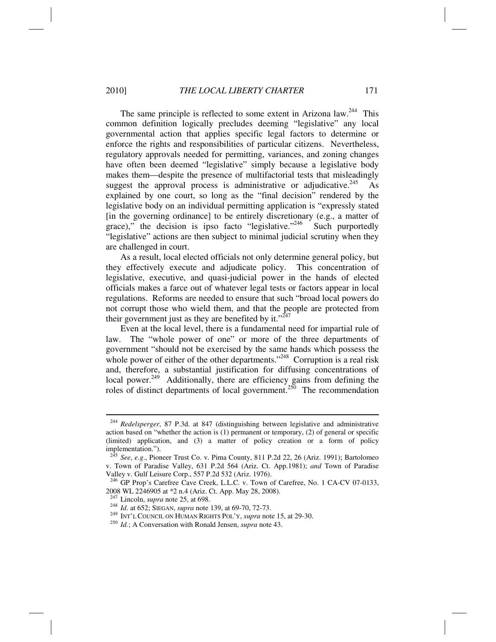The same principle is reflected to some extent in Arizona law.<sup>244</sup> This common definition logically precludes deeming "legislative" any local governmental action that applies specific legal factors to determine or enforce the rights and responsibilities of particular citizens. Nevertheless, regulatory approvals needed for permitting, variances, and zoning changes have often been deemed "legislative" simply because a legislative body makes them—despite the presence of multifactorial tests that misleadingly suggest the approval process is administrative or adjudicative.<sup>245</sup> As explained by one court, so long as the "final decision" rendered by the legislative body on an individual permitting application is "expressly stated [in the governing ordinance] to be entirely discretionary (e.g., a matter of grace)," the decision is ipso facto "legislative."<sup>246</sup> Such purportedly "legislative" actions are then subject to minimal judicial scrutiny when they are challenged in court.

As a result, local elected officials not only determine general policy, but they effectively execute and adjudicate policy. This concentration of legislative, executive, and quasi-judicial power in the hands of elected officials makes a farce out of whatever legal tests or factors appear in local regulations. Reforms are needed to ensure that such "broad local powers do not corrupt those who wield them, and that the people are protected from their government just as they are benefited by it."<sup>247</sup>

Even at the local level, there is a fundamental need for impartial rule of law. The "whole power of one" or more of the three departments of government "should not be exercised by the same hands which possess the whole power of either of the other departments."<sup>248</sup> Corruption is a real risk and, therefore, a substantial justification for diffusing concentrations of local power.<sup>249</sup> Additionally, there are efficiency gains from defining the roles of distinct departments of local government.<sup>250</sup> The recommendation

<sup>244</sup> *Redelsperger*, 87 P.3d. at 847 (distinguishing between legislative and administrative action based on "whether the action is (1) permanent or temporary, (2) of general or specific (limited) application, and (3) a matter of policy creation or a form of policy implementation.").

<sup>245</sup> *See*, *e.g*., Pioneer Trust Co. v. Pima County, 811 P.2d 22, 26 (Ariz. 1991); Bartolomeo v. Town of Paradise Valley, 631 P.2d 564 (Ariz. Ct. App.1981); *and* Town of Paradise Valley v. Gulf Leisure Corp., 557 P.2d 532 (Ariz. 1976).

<sup>&</sup>lt;sup>246</sup> GP Prop's Carefree Cave Creek, L.L.C. v. Town of Carefree, No. 1 CA-CV 07-0133, 2008 WL 2246905 at \*2 n.4 (Ariz. Ct. App. May 28, 2008).<br><sup>247</sup> Lincoln, *supra* note 25, at 698.

<sup>&</sup>lt;sup>248</sup> *Id.* at 652; SIEGAN, *supra* note 139, at 69-70, 72-73.<br><sup>249</sup> INT'L COUNCIL ON HUMAN RIGHTS POL'Y, *supra* note 15, at 29-30.<br><sup>250</sup> *Id.*; A Conversation with Ronald Jensen, *supra* note 43.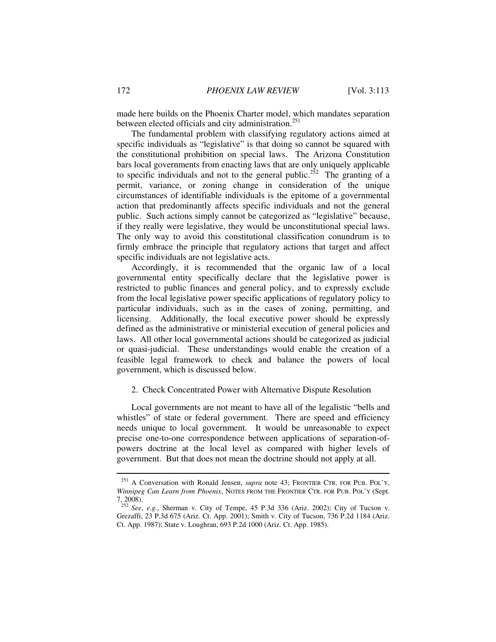made here builds on the Phoenix Charter model, which mandates separation between elected officials and city administration.<sup>251</sup>

The fundamental problem with classifying regulatory actions aimed at specific individuals as "legislative" is that doing so cannot be squared with the constitutional prohibition on special laws. The Arizona Constitution bars local governments from enacting laws that are only uniquely applicable to specific individuals and not to the general public.<sup>252</sup> The granting of a permit, variance, or zoning change in consideration of the unique circumstances of identifiable individuals is the epitome of a governmental action that predominantly affects specific individuals and not the general public. Such actions simply cannot be categorized as "legislative" because, if they really were legislative, they would be unconstitutional special laws. The only way to avoid this constitutional classification conundrum is to firmly embrace the principle that regulatory actions that target and affect specific individuals are not legislative acts.

Accordingly, it is recommended that the organic law of a local governmental entity specifically declare that the legislative power is restricted to public finances and general policy, and to expressly exclude from the local legislative power specific applications of regulatory policy to particular individuals, such as in the cases of zoning, permitting, and licensing. Additionally, the local executive power should be expressly defined as the administrative or ministerial execution of general policies and laws. All other local governmental actions should be categorized as judicial or quasi-judicial. These understandings would enable the creation of a feasible legal framework to check and balance the powers of local government, which is discussed below.

# 2. Check Concentrated Power with Alternative Dispute Resolution

Local governments are not meant to have all of the legalistic "bells and whistles" of state or federal government. There are speed and efficiency needs unique to local government. It would be unreasonable to expect precise one-to-one correspondence between applications of separation-ofpowers doctrine at the local level as compared with higher levels of government. But that does not mean the doctrine should not apply at all.

<sup>251</sup> A Conversation with Ronald Jensen, *supra* note 43; FRONTIER CTR. FOR PUB. POL'Y, *Winnipeg Can Learn from Phoenix*, NOTES FROM THE FRONTIER CTR. FOR PUB. POL'Y (Sept. 7, 2008).

<sup>252</sup> *See*, *e.g.*, Sherman v. City of Tempe, 45 P.3d 336 (Ariz. 2002); City of Tucson v. Grezaffi, 23 P.3d 675 (Ariz. Ct. App. 2001); Smith v. City of Tucson, 736 P.2d 1184 (Ariz. Ct. App. 1987); State v. Loughran, 693 P.2d 1000 (Ariz. Ct. App. 1985).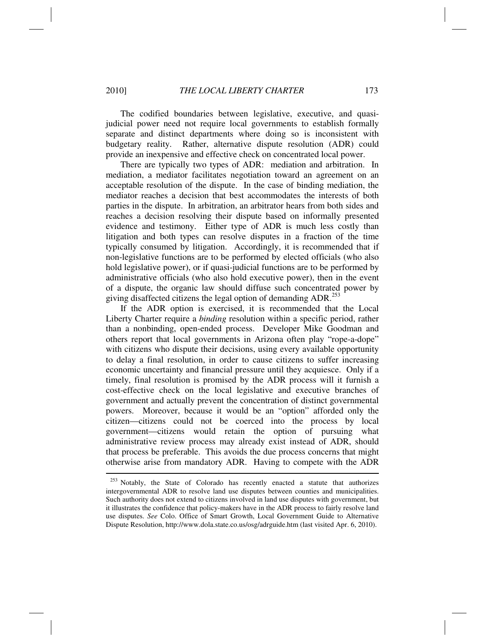The codified boundaries between legislative, executive, and quasijudicial power need not require local governments to establish formally separate and distinct departments where doing so is inconsistent with budgetary reality. Rather, alternative dispute resolution (ADR) could provide an inexpensive and effective check on concentrated local power.

There are typically two types of ADR: mediation and arbitration. In mediation, a mediator facilitates negotiation toward an agreement on an acceptable resolution of the dispute. In the case of binding mediation, the mediator reaches a decision that best accommodates the interests of both parties in the dispute. In arbitration, an arbitrator hears from both sides and reaches a decision resolving their dispute based on informally presented evidence and testimony. Either type of ADR is much less costly than litigation and both types can resolve disputes in a fraction of the time typically consumed by litigation. Accordingly, it is recommended that if non-legislative functions are to be performed by elected officials (who also hold legislative power), or if quasi-judicial functions are to be performed by administrative officials (who also hold executive power), then in the event of a dispute, the organic law should diffuse such concentrated power by giving disaffected citizens the legal option of demanding  $ADR$ <sup>253</sup>

If the ADR option is exercised, it is recommended that the Local Liberty Charter require a *binding* resolution within a specific period, rather than a nonbinding, open-ended process. Developer Mike Goodman and others report that local governments in Arizona often play "rope-a-dope" with citizens who dispute their decisions, using every available opportunity to delay a final resolution, in order to cause citizens to suffer increasing economic uncertainty and financial pressure until they acquiesce. Only if a timely, final resolution is promised by the ADR process will it furnish a cost-effective check on the local legislative and executive branches of government and actually prevent the concentration of distinct governmental powers. Moreover, because it would be an "option" afforded only the citizen—citizens could not be coerced into the process by local government—citizens would retain the option of pursuing what administrative review process may already exist instead of ADR, should that process be preferable. This avoids the due process concerns that might otherwise arise from mandatory ADR. Having to compete with the ADR

<sup>&</sup>lt;sup>253</sup> Notably, the State of Colorado has recently enacted a statute that authorizes intergovernmental ADR to resolve land use disputes between counties and municipalities. Such authority does not extend to citizens involved in land use disputes with government, but it illustrates the confidence that policy-makers have in the ADR process to fairly resolve land use disputes. *See* Colo. Office of Smart Growth, Local Government Guide to Alternative Dispute Resolution, http://www.dola.state.co.us/osg/adrguide.htm (last visited Apr. 6, 2010).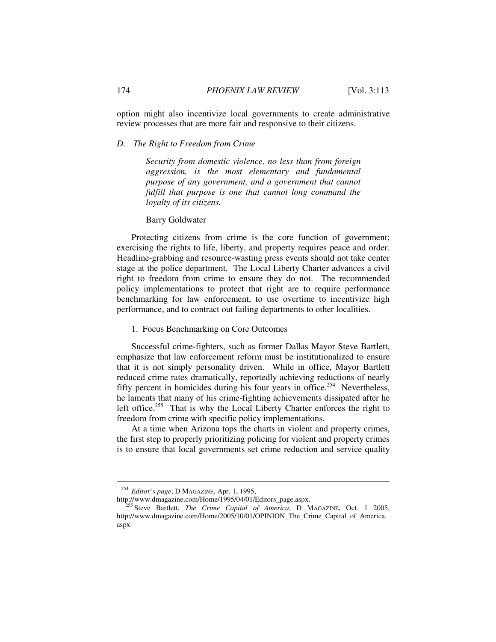option might also incentivize local governments to create administrative review processes that are more fair and responsive to their citizens.

# *D. The Right to Freedom from Crime*

*Security from domestic violence, no less than from foreign aggression, is the most elementary and fundamental purpose of any government, and a government that cannot fulfill that purpose is one that cannot long command the loyalty of its citizens.* 

# Barry Goldwater

Protecting citizens from crime is the core function of government; exercising the rights to life, liberty, and property requires peace and order. Headline-grabbing and resource-wasting press events should not take center stage at the police department. The Local Liberty Charter advances a civil right to freedom from crime to ensure they do not. The recommended policy implementations to protect that right are to require performance benchmarking for law enforcement, to use overtime to incentivize high performance, and to contract out failing departments to other localities.

1. Focus Benchmarking on Core Outcomes

Successful crime-fighters, such as former Dallas Mayor Steve Bartlett, emphasize that law enforcement reform must be institutionalized to ensure that it is not simply personality driven. While in office, Mayor Bartlett reduced crime rates dramatically, reportedly achieving reductions of nearly fifty percent in homicides during his four years in office.<sup>254</sup> Nevertheless, he laments that many of his crime-fighting achievements dissipated after he left office.<sup>255</sup> That is why the Local Liberty Charter enforces the right to freedom from crime with specific policy implementations.

At a time when Arizona tops the charts in violent and property crimes, the first step to properly prioritizing policing for violent and property crimes is to ensure that local governments set crime reduction and service quality

<sup>&</sup>lt;sup>254</sup> Editor's page, D MAGAZINE, Apr. 1, 1995,<br>http://www.dmagazine.com/Home/1995/04/01/Editors\_page.aspx.

<sup>&</sup>lt;sup>255</sup> Steve Bartlett, *The Crime Capital of America*, D MAGAZINE, Oct. 1 2005, http://www.dmagazine.com/Home/2005/10/01/OPINION\_The\_Crime\_Capital\_of\_America. aspx.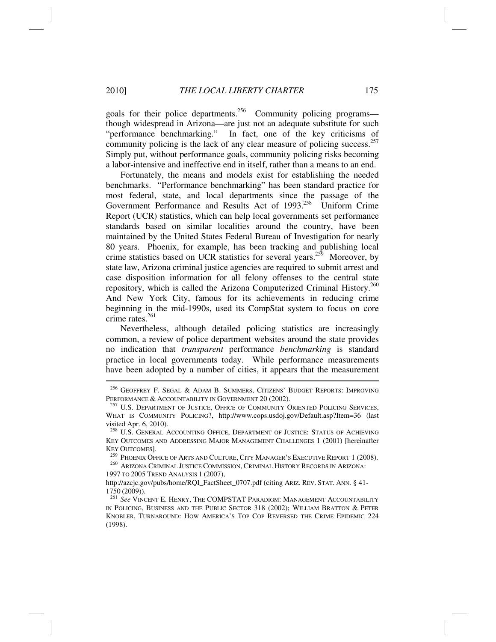goals for their police departments.<sup>256</sup> Community policing programs though widespread in Arizona—are just not an adequate substitute for such "performance benchmarking." In fact, one of the key criticisms of community policing is the lack of any clear measure of policing success.<sup>257</sup> Simply put, without performance goals, community policing risks becoming a labor-intensive and ineffective end in itself, rather than a means to an end.

Fortunately, the means and models exist for establishing the needed benchmarks. "Performance benchmarking" has been standard practice for most federal, state, and local departments since the passage of the Government Performance and Results Act of 1993.<sup>258</sup> Uniform Crime Report (UCR) statistics, which can help local governments set performance standards based on similar localities around the country, have been maintained by the United States Federal Bureau of Investigation for nearly 80 years. Phoenix, for example, has been tracking and publishing local crime statistics based on UCR statistics for several years.<sup>259</sup> Moreover, by state law, Arizona criminal justice agencies are required to submit arrest and case disposition information for all felony offenses to the central state repository, which is called the Arizona Computerized Criminal History.<sup>260</sup> And New York City, famous for its achievements in reducing crime beginning in the mid-1990s, used its CompStat system to focus on core crime rates. $261$ 

Nevertheless, although detailed policing statistics are increasingly common, a review of police department websites around the state provides no indication that *transparent* performance *benchmarking* is standard practice in local governments today. While performance measurements have been adopted by a number of cities, it appears that the measurement

<sup>256</sup> GEOFFREY F. SEGAL & ADAM B. SUMMERS, CITIZENS' BUDGET REPORTS: IMPROVING PERFORMANCE & ACCOUNTABILITY IN GOVERNMENT 20 (2002). <sup>257</sup> U.S. DEPARTMENT OF JUSTICE, OFFICE OF COMMUNITY ORIENTED POLICING SERVICES,

WHAT IS COMMUNITY POLICING?, http://www.cops.usdoj.gov/Default.asp?Item=36 (last visited Apr. 6, 2010).

<sup>258</sup> U.S. GENERAL ACCOUNTING OFFICE, DEPARTMENT OF JUSTICE: STATUS OF ACHIEVING KEY OUTCOMES AND ADDRESSING MAJOR MANAGEMENT CHALLENGES 1 (2001) [hereinafter

KEY OUTCOMES].<br><sup>259</sup> PHOENIX OFFICE OF ARTS AND CULTURE, CITY MANAGER'S EXECUTIVE REPORT 1 (2008).<br><sup>260</sup> ARIZONA CRIMINAL JUSTICE COMMISSION, CRIMINAL HISTORY RECORDS IN ARIZONA:

<sup>1997</sup> TO 2005 TREND ANALYSIS 1 (2007),

http://azcjc.gov/pubs/home/RQI\_FactSheet\_0707.pdf (citing ARIZ. REV. STAT. ANN. § 41- 1750 (2009)).

<sup>261</sup> *See* VINCENT E. HENRY, THE COMPSTAT PARADIGM: MANAGEMENT ACCOUNTABILITY IN POLICING, BUSINESS AND THE PUBLIC SECTOR 318 (2002); WILLIAM BRATTON & PETER KNOBLER, TURNAROUND: HOW AMERICA'S TOP COP REVERSED THE CRIME EPIDEMIC 224 (1998).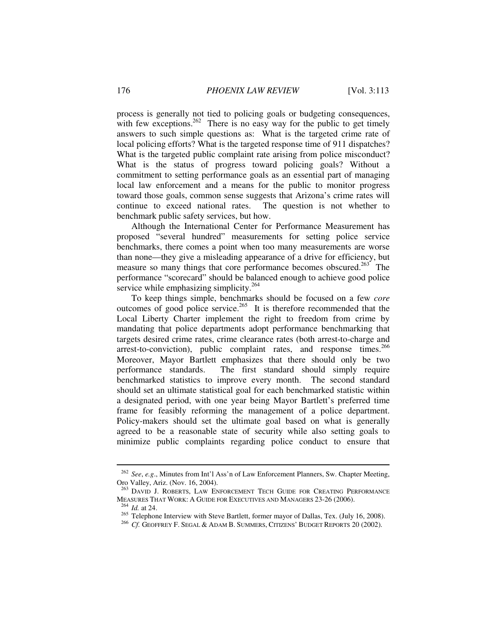process is generally not tied to policing goals or budgeting consequences, with few exceptions.<sup>262</sup> There is no easy way for the public to get timely answers to such simple questions as: What is the targeted crime rate of local policing efforts? What is the targeted response time of 911 dispatches? What is the targeted public complaint rate arising from police misconduct? What is the status of progress toward policing goals? Without a commitment to setting performance goals as an essential part of managing local law enforcement and a means for the public to monitor progress toward those goals, common sense suggests that Arizona's crime rates will continue to exceed national rates. The question is not whether to benchmark public safety services, but how.

Although the International Center for Performance Measurement has proposed "several hundred" measurements for setting police service benchmarks, there comes a point when too many measurements are worse than none—they give a misleading appearance of a drive for efficiency, but measure so many things that core performance becomes obscured.<sup>263</sup> The performance "scorecard" should be balanced enough to achieve good police service while emphasizing simplicity.<sup>264</sup>

To keep things simple, benchmarks should be focused on a few *core*  outcomes of good police service.265 It is therefore recommended that the Local Liberty Charter implement the right to freedom from crime by mandating that police departments adopt performance benchmarking that targets desired crime rates, crime clearance rates (both arrest-to-charge and arrest-to-conviction), public complaint rates, and response times.  $266$ Moreover, Mayor Bartlett emphasizes that there should only be two performance standards. The first standard should simply require benchmarked statistics to improve every month. The second standard should set an ultimate statistical goal for each benchmarked statistic within a designated period, with one year being Mayor Bartlett's preferred time frame for feasibly reforming the management of a police department. Policy-makers should set the ultimate goal based on what is generally agreed to be a reasonable state of security while also setting goals to minimize public complaints regarding police conduct to ensure that

<sup>262</sup> *See*, *e.g*., Minutes from Int'l Ass'n of Law Enforcement Planners, Sw. Chapter Meeting, Oro Valley, Ariz. (Nov. 16, 2004).

 $^{263}$  David J. ROBERTS, LAW ENFORCEMENT TECH GUIDE FOR CREATING PERFORMANCE MEASURES THAT WORK: A GUIDE FOR EXECUTIVES AND MANAGERS 23-26 (2006).

<sup>&</sup>lt;sup>264</sup> *Id.* at 24.<br><sup>265</sup> Telephone Interview with Steve Bartlett, former mayor of Dallas, Tex. (July 16, 2008).<br><sup>266</sup> *Cf.* GEOFFREY F. SEGAL & ADAM B. SUMMERS, CITIZENS' BUDGET REPORTS 20 (2002).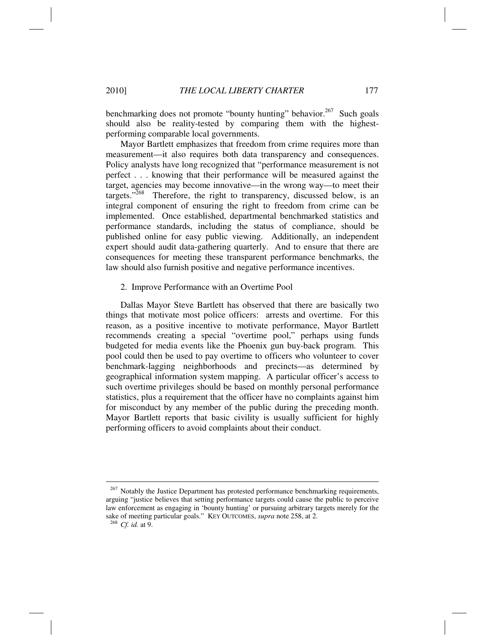benchmarking does not promote "bounty hunting" behavior.<sup>267</sup> Such goals should also be reality-tested by comparing them with the highestperforming comparable local governments.

Mayor Bartlett emphasizes that freedom from crime requires more than measurement—it also requires both data transparency and consequences. Policy analysts have long recognized that "performance measurement is not perfect . . . knowing that their performance will be measured against the target, agencies may become innovative—in the wrong way—to meet their targets."<sup>268</sup> Therefore, the right to transparency, discussed below, is an integral component of ensuring the right to freedom from crime can be implemented. Once established, departmental benchmarked statistics and performance standards, including the status of compliance, should be published online for easy public viewing. Additionally, an independent expert should audit data-gathering quarterly. And to ensure that there are consequences for meeting these transparent performance benchmarks, the law should also furnish positive and negative performance incentives.

## 2. Improve Performance with an Overtime Pool

Dallas Mayor Steve Bartlett has observed that there are basically two things that motivate most police officers: arrests and overtime. For this reason, as a positive incentive to motivate performance, Mayor Bartlett recommends creating a special "overtime pool," perhaps using funds budgeted for media events like the Phoenix gun buy-back program. This pool could then be used to pay overtime to officers who volunteer to cover benchmark-lagging neighborhoods and precincts—as determined by geographical information system mapping. A particular officer's access to such overtime privileges should be based on monthly personal performance statistics, plus a requirement that the officer have no complaints against him for misconduct by any member of the public during the preceding month. Mayor Bartlett reports that basic civility is usually sufficient for highly performing officers to avoid complaints about their conduct.

 $267$  Notably the Justice Department has protested performance benchmarking requirements, arguing "justice believes that setting performance targets could cause the public to perceive law enforcement as engaging in 'bounty hunting' or pursuing arbitrary targets merely for the sake of meeting particular goals." KEY OUTCOMES, *supra* note 258, at 2. 268 *Cf. id.* at 9.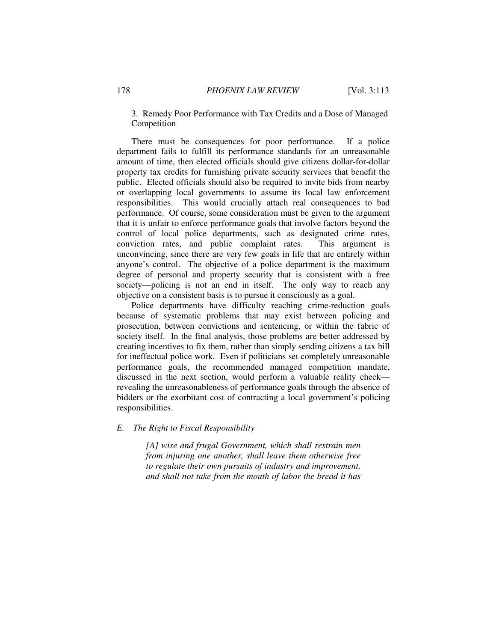# 3. Remedy Poor Performance with Tax Credits and a Dose of Managed Competition

There must be consequences for poor performance. If a police department fails to fulfill its performance standards for an unreasonable amount of time, then elected officials should give citizens dollar-for-dollar property tax credits for furnishing private security services that benefit the public. Elected officials should also be required to invite bids from nearby or overlapping local governments to assume its local law enforcement responsibilities. This would crucially attach real consequences to bad performance. Of course, some consideration must be given to the argument that it is unfair to enforce performance goals that involve factors beyond the control of local police departments, such as designated crime rates, conviction rates, and public complaint rates. This argument is unconvincing, since there are very few goals in life that are entirely within anyone's control. The objective of a police department is the maximum degree of personal and property security that is consistent with a free society—policing is not an end in itself. The only way to reach any objective on a consistent basis is to pursue it consciously as a goal.

Police departments have difficulty reaching crime-reduction goals because of systematic problems that may exist between policing and prosecution, between convictions and sentencing, or within the fabric of society itself. In the final analysis, those problems are better addressed by creating incentives to fix them, rather than simply sending citizens a tax bill for ineffectual police work. Even if politicians set completely unreasonable performance goals, the recommended managed competition mandate, discussed in the next section, would perform a valuable reality check revealing the unreasonableness of performance goals through the absence of bidders or the exorbitant cost of contracting a local government's policing responsibilities.

# *E. The Right to Fiscal Responsibility*

*[A] wise and frugal Government, which shall restrain men from injuring one another, shall leave them otherwise free to regulate their own pursuits of industry and improvement, and shall not take from the mouth of labor the bread it has*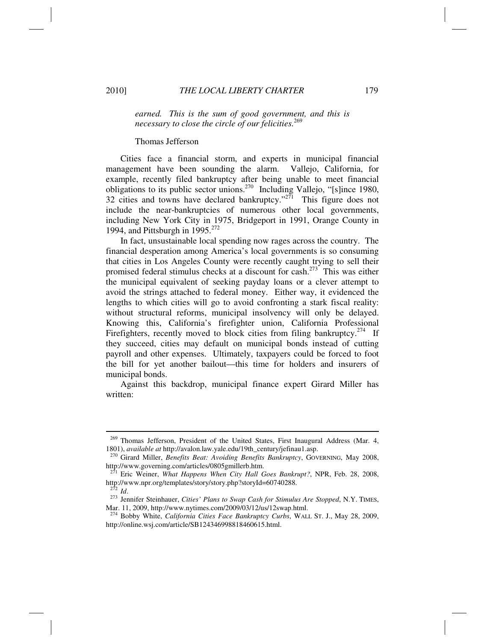*earned. This is the sum of good government, and this is necessary to close the circle of our felicities.*<sup>269</sup>

#### Thomas Jefferson

Cities face a financial storm, and experts in municipal financial management have been sounding the alarm. Vallejo, California, for example, recently filed bankruptcy after being unable to meet financial obligations to its public sector unions.270 Including Vallejo, "[s]ince 1980, 32 cities and towns have declared bankruptcy."<sup>271</sup> This figure does not include the near-bankruptcies of numerous other local governments, including New York City in 1975, Bridgeport in 1991, Orange County in 1994, and Pittsburgh in 1995. $272$ 

In fact, unsustainable local spending now rages across the country. The financial desperation among America's local governments is so consuming that cities in Los Angeles County were recently caught trying to sell their promised federal stimulus checks at a discount for cash.273 This was either the municipal equivalent of seeking payday loans or a clever attempt to avoid the strings attached to federal money. Either way, it evidenced the lengths to which cities will go to avoid confronting a stark fiscal reality: without structural reforms, municipal insolvency will only be delayed. Knowing this, California's firefighter union, California Professional Firefighters, recently moved to block cities from filing bankruptcy.<sup>274</sup> If they succeed, cities may default on municipal bonds instead of cutting payroll and other expenses. Ultimately, taxpayers could be forced to foot the bill for yet another bailout—this time for holders and insurers of municipal bonds.

Against this backdrop, municipal finance expert Girard Miller has written:

<sup>269</sup> Thomas Jefferson, President of the United States, First Inaugural Address (Mar. 4, 1801), *available at* http://avalon.law.yale.edu/19th\_century/jefinau1.asp. 270 Girard Miller, *Benefits Beat: Avoiding Benefits Bankruptcy*, GOVERNING, May 2008,

http://www.governing.com/articles/0805gmillerb.htm.

<sup>271</sup> Eric Weiner, *What Happens When City Hall Goes Bankrupt?*, NPR, Feb. 28, 2008, http://www.npr.org/templates/story/story.php?storyId=60740288. 272 *Id*. 273 Jennifer Steinhauer, *Cities' Plans to Swap Cash for Stimulus Are Stopped*, N.Y. TIMES,

Mar. 11, 2009, http://www.nytimes.com/2009/03/12/us/12swap.html.

<sup>274</sup> Bobby White, *California Cities Face Bankruptcy Curbs*, WALL ST. J., May 28, 2009, http://online.wsj.com/article/SB124346998818460615.html.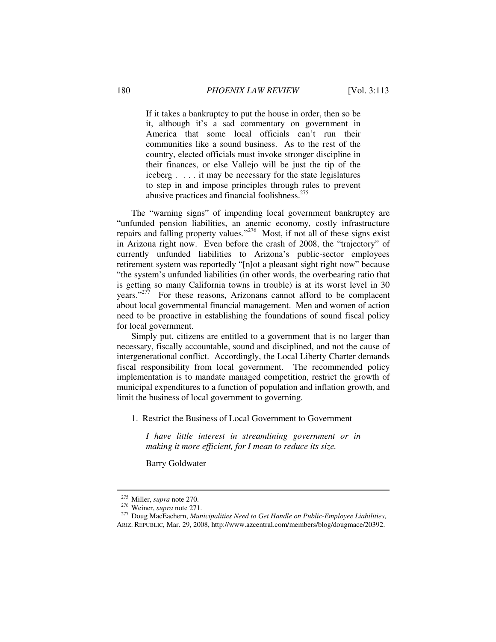If it takes a bankruptcy to put the house in order, then so be it, although it's a sad commentary on government in America that some local officials can't run their communities like a sound business. As to the rest of the country, elected officials must invoke stronger discipline in their finances, or else Vallejo will be just the tip of the iceberg . . . . it may be necessary for the state legislatures to step in and impose principles through rules to prevent abusive practices and financial foolishness.<sup>275</sup>

The "warning signs" of impending local government bankruptcy are "unfunded pension liabilities, an anemic economy, costly infrastructure repairs and falling property values."<sup>276</sup> Most, if not all of these signs exist in Arizona right now. Even before the crash of 2008, the "trajectory" of currently unfunded liabilities to Arizona's public-sector employees retirement system was reportedly "[n]ot a pleasant sight right now" because "the system's unfunded liabilities (in other words, the overbearing ratio that is getting so many California towns in trouble) is at its worst level in 30 years." $277$  For these reasons, Arizonans cannot afford to be complacent about local governmental financial management. Men and women of action need to be proactive in establishing the foundations of sound fiscal policy for local government.

Simply put, citizens are entitled to a government that is no larger than necessary, fiscally accountable, sound and disciplined, and not the cause of intergenerational conflict. Accordingly, the Local Liberty Charter demands fiscal responsibility from local government. The recommended policy implementation is to mandate managed competition, restrict the growth of municipal expenditures to a function of population and inflation growth, and limit the business of local government to governing.

1. Restrict the Business of Local Government to Government

*I have little interest in streamlining government or in making it more efficient, for I mean to reduce its size.* 

Barry Goldwater

<sup>275</sup> Miller, *supra* note 270. 276 Weiner, *supra* note 271. 277 Doug MacEachern, *Municipalities Need to Get Handle on Public-Employee Liabilities*, ARIZ. REPUBLIC, Mar. 29, 2008, http://www.azcentral.com/members/blog/dougmace/20392.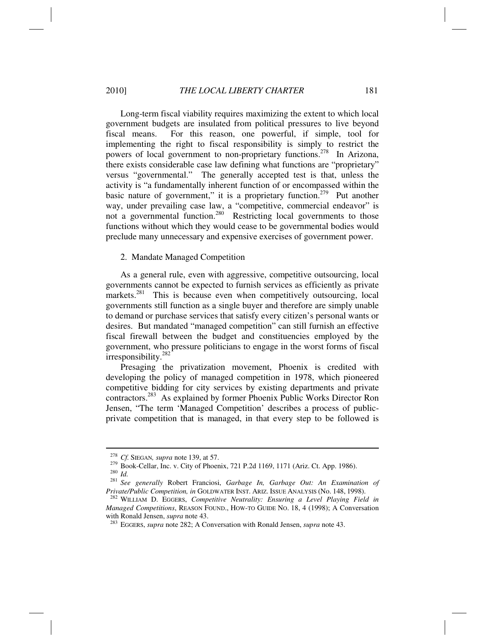Long-term fiscal viability requires maximizing the extent to which local government budgets are insulated from political pressures to live beyond fiscal means. For this reason, one powerful, if simple, tool for implementing the right to fiscal responsibility is simply to restrict the powers of local government to non-proprietary functions.<sup>278</sup> In Arizona, there exists considerable case law defining what functions are "proprietary" versus "governmental." The generally accepted test is that, unless the activity is "a fundamentally inherent function of or encompassed within the basic nature of government," it is a proprietary function.<sup> $279$ </sup> Put another way, under prevailing case law, a "competitive, commercial endeavor" is not a governmental function.<sup>280</sup> Restricting local governments to those functions without which they would cease to be governmental bodies would preclude many unnecessary and expensive exercises of government power.

#### 2. Mandate Managed Competition

As a general rule, even with aggressive, competitive outsourcing, local governments cannot be expected to furnish services as efficiently as private markets.<sup>281</sup> This is because even when competitively outsourcing, local governments still function as a single buyer and therefore are simply unable to demand or purchase services that satisfy every citizen's personal wants or desires. But mandated "managed competition" can still furnish an effective fiscal firewall between the budget and constituencies employed by the government, who pressure politicians to engage in the worst forms of fiscal irresponsibility.<sup>282</sup>

Presaging the privatization movement, Phoenix is credited with developing the policy of managed competition in 1978, which pioneered competitive bidding for city services by existing departments and private contractors.283 As explained by former Phoenix Public Works Director Ron Jensen, "The term 'Managed Competition' describes a process of publicprivate competition that is managed, in that every step to be followed is

<sup>&</sup>lt;sup>278</sup> Cf. SIEGAN, *supra* note 139, at 57.<br><sup>279</sup> Book-Cellar, Inc. v. City of Phoenix, 721 P.2d 1169, 1171 (Ariz. Ct. App. 1986).<br><sup>280</sup> Id.<br><sup>281</sup> See generally Robert Franciosi, *Garbage In, Garbage Out: An Examination of* 

*Private/Public Competition, in* GOLDWATER INST. ARIZ. ISSUE ANALYSIS (No. 148, 1998). 282 WILLIAM D. EGGERS, *Competitive Neutrality: Ensuring a Level Playing Field in* 

*Managed Competitions*, REASON FOUND., HOW-TO GUIDE NO. 18, 4 (1998); A Conversation with Ronald Jensen, *supra* note 43.

<sup>&</sup>lt;sup>283</sup> EGGERS, *supra* note 282; A Conversation with Ronald Jensen, *supra* note 43.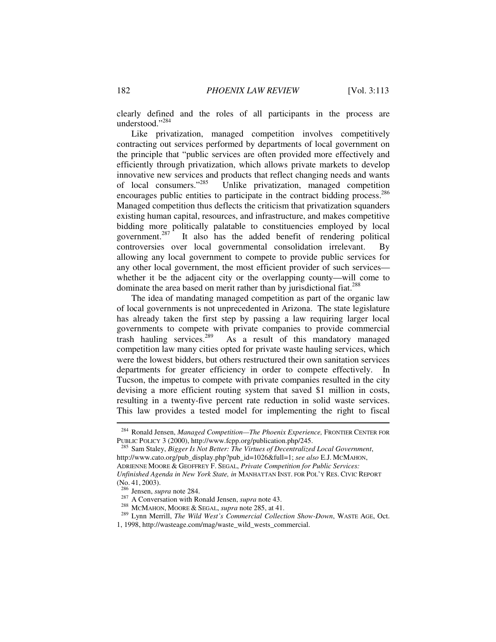clearly defined and the roles of all participants in the process are understood."<sup>284</sup>

Like privatization, managed competition involves competitively contracting out services performed by departments of local government on the principle that "public services are often provided more effectively and efficiently through privatization, which allows private markets to develop innovative new services and products that reflect changing needs and wants of local consumers."<sup>285</sup> Unlike privatization, managed competition Unlike privatization, managed competition encourages public entities to participate in the contract bidding process.<sup>286</sup> Managed competition thus deflects the criticism that privatization squanders existing human capital, resources, and infrastructure, and makes competitive bidding more politically palatable to constituencies employed by local government.<sup>287</sup> It also has the added benefit of rendering political It also has the added benefit of rendering political controversies over local governmental consolidation irrelevant. By allowing any local government to compete to provide public services for any other local government, the most efficient provider of such services whether it be the adjacent city or the overlapping county—will come to dominate the area based on merit rather than by jurisdictional fiat.<sup>288</sup>

The idea of mandating managed competition as part of the organic law of local governments is not unprecedented in Arizona. The state legislature has already taken the first step by passing a law requiring larger local governments to compete with private companies to provide commercial trash hauling services.<sup>289</sup> As a result of this mandatory managed As a result of this mandatory managed competition law many cities opted for private waste hauling services, which were the lowest bidders, but others restructured their own sanitation services departments for greater efficiency in order to compete effectively. Tucson, the impetus to compete with private companies resulted in the city devising a more efficient routing system that saved \$1 million in costs, resulting in a twenty-five percent rate reduction in solid waste services. This law provides a tested model for implementing the right to fiscal

<sup>&</sup>lt;sup>284</sup> Ronald Jensen, *Managed Competition—The Phoenix Experience*, FRONTIER CENTER FOR PUBLIC POLICY 3 (2000), http://www.fcpp.org/publication.php/245.

<sup>&</sup>lt;sup>285</sup> Sam Staley, *Bigger Is Not Better: The Virtues of Decentralized Local Government*, http://www.cato.org/pub\_display.php?pub\_id=1026&full=1; *see also* E.J. MCMAHON, ADRIENNE MOORE & GEOFFREY F. SEGAL, *Private Competition for Public Services: Unfinished Agenda in New York State, in* MANHATTAN INST. FOR POL'Y RES. CIVIC REPORT

<sup>(</sup>No. 41, 2003).<br><sup>286</sup> Jensen, *supra* note 284.

<sup>287</sup> A Conversation with Ronald Jensen, *supra* note 43.<br><sup>288</sup> MCMAHON, MOORE & SEGAL, *supra* note 285, at 41.<br><sup>289</sup> Lynn Merrill, *The Wild West's Commercial Collection Show-Down*, WASTE AGE, Oct.

<sup>1, 1998,</sup> http://wasteage.com/mag/waste\_wild\_wests\_commercial.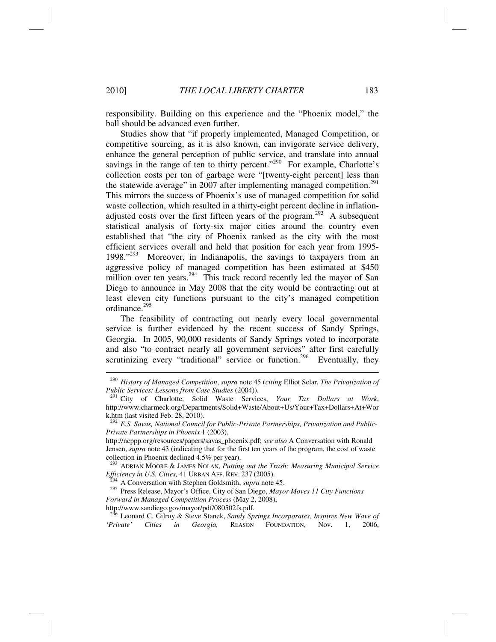responsibility. Building on this experience and the "Phoenix model," the ball should be advanced even further.

Studies show that "if properly implemented, Managed Competition, or competitive sourcing, as it is also known, can invigorate service delivery, enhance the general perception of public service, and translate into annual savings in the range of ten to thirty percent."<sup>290</sup> For example, Charlotte's collection costs per ton of garbage were "[twenty-eight percent] less than the statewide average" in 2007 after implementing managed competition.<sup>291</sup> This mirrors the success of Phoenix's use of managed competition for solid waste collection, which resulted in a thirty-eight percent decline in inflationadjusted costs over the first fifteen years of the program.<sup>292</sup> A subsequent statistical analysis of forty-six major cities around the country even established that "the city of Phoenix ranked as the city with the most efficient services overall and held that position for each year from 1995-<br>1998.<sup>1998</sup> Moreover, in Indianapolis, the savings to taxpayers from an Moreover, in Indianapolis, the savings to taxpayers from an aggressive policy of managed competition has been estimated at \$450 million over ten years.<sup>294</sup> This track record recently led the mayor of San Diego to announce in May 2008 that the city would be contracting out at least eleven city functions pursuant to the city's managed competition ordinance.<sup>295</sup>

The feasibility of contracting out nearly every local governmental service is further evidenced by the recent success of Sandy Springs, Georgia. In 2005, 90,000 residents of Sandy Springs voted to incorporate and also "to contract nearly all government services" after first carefully scrutinizing every "traditional" service or function.<sup>296</sup> Eventually, they

<sup>290</sup> *History of Managed Competition*, *supra* note 45 (*citing* Elliot Sclar, *The Privatization of* 

<sup>&</sup>lt;sup>291</sup> City of Charlotte, Solid Waste Services, *Your Tax Dollars at Work*, http://www.charmeck.org/Departments/Solid+Waste/About+Us/Your+Tax+Dollars+At+Wor k.htm (last visited Feb. 28, 2010).

<sup>292</sup> *E.S. Savas, National Council for Public-Private Partnerships, Privatization and Public-Private Partnerships in Phoenix* 1 (2003),

http://ncppp.org/resources/papers/savas\_phoenix.pdf; *see also* A Conversation with Ronald Jensen, *supra* note 43 (indicating that for the first ten years of the program, the cost of waste collection in Phoenix declined 4.5% per year).

<sup>&</sup>lt;sup>293</sup> ADRIAN MOORE & JAMES NOLAN, *Putting out the Trash: Measuring Municipal Service Efficiency in U.S. Cities, 41 URBAN AFF. REV. 237 (2005).* 

<sup>&</sup>lt;sup>294</sup> A Conversation with Stephen Goldsmith, *supra* note 45. <sup>295</sup> Press Release, Mayor's Office, City of San Diego, *Mayor Moves 11 City Functions Forward in Managed Competition Process* (May 2, 2008),

http://www.sandiego.gov/mayor/pdf/080502fs.pdf.

<sup>296</sup> Leonard C. Gilroy & Steve Stanek, *Sandy Springs Incorporates, Inspires New Wave of 'Private' Cities in Georgia,* REASON FOUNDATION, Nov. 1, 2006,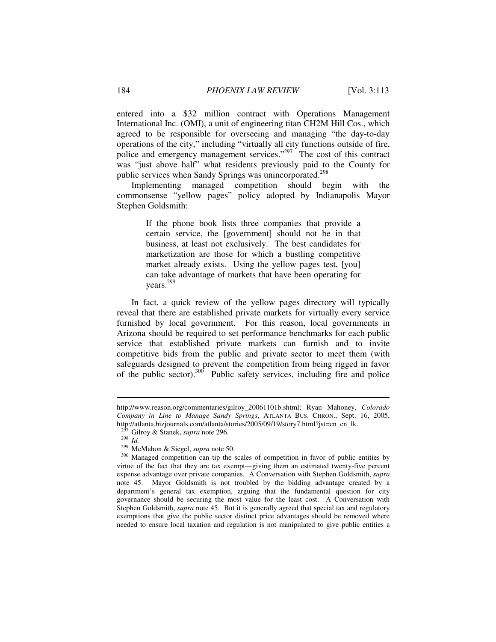entered into a \$32 million contract with Operations Management International Inc. (OMI), a unit of engineering titan CH2M Hill Cos., which agreed to be responsible for overseeing and managing "the day-to-day operations of the city," including "virtually all city functions outside of fire, police and emergency management services."<sup>297</sup> The cost of this contract was "just above half" what residents previously paid to the County for public services when Sandy Springs was unincorporated.<sup>298</sup>

Implementing managed competition should begin with the commonsense "yellow pages" policy adopted by Indianapolis Mayor Stephen Goldsmith:

> If the phone book lists three companies that provide a certain service, the [government] should not be in that business, at least not exclusively. The best candidates for marketization are those for which a bustling competitive market already exists. Using the yellow pages test, [you] can take advantage of markets that have been operating for years.299

In fact, a quick review of the yellow pages directory will typically reveal that there are established private markets for virtually every service furnished by local government. For this reason, local governments in Arizona should be required to set performance benchmarks for each public service that established private markets can furnish and to invite competitive bids from the public and private sector to meet them (with safeguards designed to prevent the competition from being rigged in favor of the public sector).300 Public safety services, including fire and police

http://www.reason.org/commentaries/gilroy\_20061101b.shtml; Ryan Mahoney, *Colorado Company in Line to Manage Sandy Springs*, ATLANTA BUS. CHRON., Sept. 16, 2005, http://atlanta.bizjournals.com/atlanta/stories/2005/09/19/story7.html?jst=cn\_cn\_lk.<br><sup>297</sup> Gilroy & Stanek, *supra* note 296.

<sup>298</sup> Id.<br><sup>299</sup> McMahon & Siegel, *supra* note 50.<br><sup>309</sup> Managed competition can tip the scales of competition in favor of public entities by<br><sup>300</sup> Managed competition can tip the scales of competition in favor of public ent virtue of the fact that they are tax exempt—giving them an estimated twenty-five percent expense advantage over private companies. A Conversation with Stephen Goldsmith, *supra*  note 45. Mayor Goldsmith is not troubled by the bidding advantage created by a department's general tax exemption, arguing that the fundamental question for city governance should be securing the most value for the least cost. A Conversation with Stephen Goldsmith, *supra* note 45. But it is generally agreed that special tax and regulatory exemptions that give the public sector distinct price advantages should be removed where needed to ensure local taxation and regulation is not manipulated to give public entities a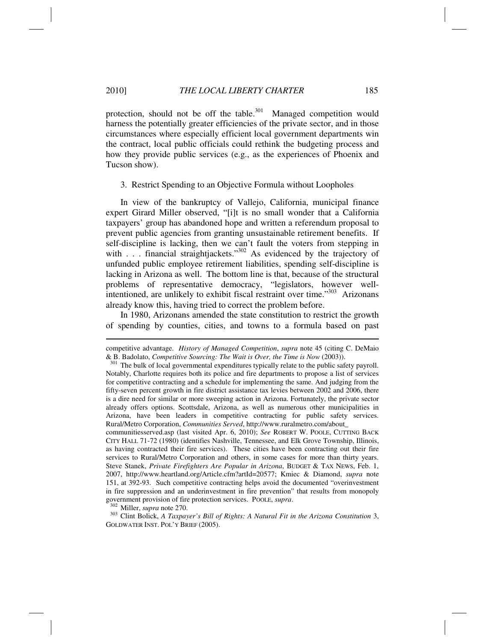protection, should not be off the table. $301$  Managed competition would harness the potentially greater efficiencies of the private sector, and in those circumstances where especially efficient local government departments win the contract, local public officials could rethink the budgeting process and how they provide public services (e.g., as the experiences of Phoenix and Tucson show).

3. Restrict Spending to an Objective Formula without Loopholes

In view of the bankruptcy of Vallejo, California, municipal finance expert Girard Miller observed, "[i]t is no small wonder that a California taxpayers' group has abandoned hope and written a referendum proposal to prevent public agencies from granting unsustainable retirement benefits. If self-discipline is lacking, then we can't fault the voters from stepping in with  $\ldots$ . financial straightjackets."<sup>302</sup> As evidenced by the trajectory of unfunded public employee retirement liabilities, spending self-discipline is lacking in Arizona as well. The bottom line is that, because of the structural problems of representative democracy, "legislators, however wellintentioned, are unlikely to exhibit fiscal restraint over time."<sup>303</sup> Arizonans already know this, having tried to correct the problem before.

In 1980, Arizonans amended the state constitution to restrict the growth of spending by counties, cities, and towns to a formula based on past

communitiesserved.asp (last visited Apr. 6, 2010); *See* ROBERT W. POOLE, CUTTING BACK CITY HALL 71-72 (1980) (identifies Nashville, Tennessee, and Elk Grove Township, Illinois, as having contracted their fire services). These cities have been contracting out their fire services to Rural/Metro Corporation and others, in some cases for more than thirty years. Steve Stanek, *Private Firefighters Are Popular in Arizona*, BUDGET & TAX NEWS, Feb. 1, 2007, http://www.heartland.org/Article.cfm?artId=20577; Kmiec & Diamond, *supra* note 151, at 392-93. Such competitive contracting helps avoid the documented "overinvestment in fire suppression and an underinvestment in fire prevention" that results from monopoly government provision of fire protection services. POOLE, *supra*.<br><sup>302</sup> Miller, *supra* note 270.<br><sup>303</sup> Clint Bolick, *A Taxpayer's Bill of Rights: A Natural Fit in the Arizona Constitution* 3,

GOLDWATER INST. POL'Y BRIEF (2005).

competitive advantage. *History of Managed Competition*, *supra* note 45 (citing C. DeMaio & B. Badolato, *Competitive Sourcing: The Wait is Over, the Time is Now* (2003)). 301 The bulk of local governmental expenditures typically relate to the public safety payroll.

Notably, Charlotte requires both its police and fire departments to propose a list of services for competitive contracting and a schedule for implementing the same. And judging from the fifty-seven percent growth in fire district assistance tax levies between 2002 and 2006, there is a dire need for similar or more sweeping action in Arizona. Fortunately, the private sector already offers options. Scottsdale, Arizona, as well as numerous other municipalities in Arizona, have been leaders in competitive contracting for public safety services. Rural/Metro Corporation, *Communities Served*, http://www.ruralmetro.com/about\_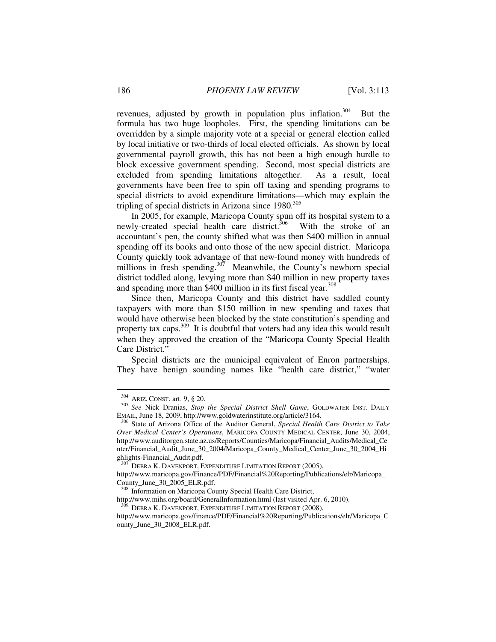revenues, adjusted by growth in population plus inflation.<sup>304</sup> But the formula has two huge loopholes. First, the spending limitations can be overridden by a simple majority vote at a special or general election called by local initiative or two-thirds of local elected officials. As shown by local governmental payroll growth, this has not been a high enough hurdle to block excessive government spending. Second, most special districts are excluded from spending limitations altogether. As a result, local governments have been free to spin off taxing and spending programs to special districts to avoid expenditure limitations—which may explain the tripling of special districts in Arizona since 1980.<sup>305</sup>

In 2005, for example, Maricopa County spun off its hospital system to a newly-created special health care district.<sup>306</sup> With the stroke of an accountant's pen, the county shifted what was then \$400 million in annual spending off its books and onto those of the new special district. Maricopa County quickly took advantage of that new-found money with hundreds of millions in fresh spending.<sup>307</sup> Meanwhile, the County's newborn special district toddled along, levying more than \$40 million in new property taxes and spending more than \$400 million in its first fiscal year.<sup>308</sup>

Since then, Maricopa County and this district have saddled county taxpayers with more than \$150 million in new spending and taxes that would have otherwise been blocked by the state constitution's spending and property tax caps.<sup>309</sup> It is doubtful that voters had any idea this would result when they approved the creation of the "Maricopa County Special Health Care District."

Special districts are the municipal equivalent of Enron partnerships. They have benign sounding names like "health care district," "water

<sup>&</sup>lt;sup>304</sup> ARIZ. CONST. art. 9, § 20.<br><sup>305</sup> *See* Nick Dranias, *Stop the Special District Shell Game*, GOLDWATER INST. DAILY EMAIL, June 18, 2009, http://www.goldwaterinstitute.org/article/3164. 306 State of Arizona Office of the Auditor General, *Special Health Care District to Take* 

*Over Medical Center's Operations*, MARICOPA COUNTY MEDICAL CENTER, June 30, 2004, http://www.auditorgen.state.az.us/Reports/Counties/Maricopa/Financial\_Audits/Medical\_Ce nter/Financial\_Audit\_June\_30\_2004/Maricopa\_County\_Medical\_Center\_June\_30\_2004\_Hi ghlights-Financial\_Audit.pdf.

DEBRA K. DAVENPORT, EXPENDITURE LIMITATION REPORT (2005),

http://www.maricopa.gov/Finance/PDF/Financial%20Reporting/Publications/elr/Maricopa\_ County\_June\_30\_2005\_ELR.pdf.

<sup>308</sup> Information on Maricopa County Special Health Care District,

http://www.mihs.org/board/GeneralInformation.html (last visited Apr. 6, 2010). DEBRA K. DAVENPORT, EXPENDITURE LIMITATION REPORT (2008),

http://www.maricopa.gov/finance/PDF/Financial%20Reporting/Publications/elr/Maricopa\_C ounty\_June\_30\_2008\_ELR.pdf.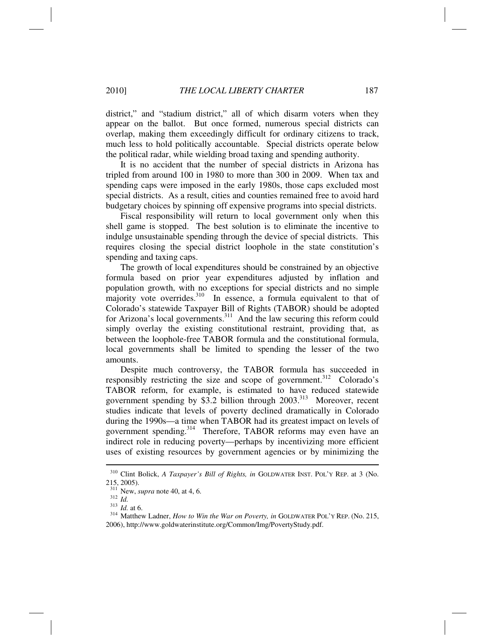district," and "stadium district," all of which disarm voters when they appear on the ballot. But once formed, numerous special districts can overlap, making them exceedingly difficult for ordinary citizens to track, much less to hold politically accountable. Special districts operate below the political radar, while wielding broad taxing and spending authority.

It is no accident that the number of special districts in Arizona has tripled from around 100 in 1980 to more than 300 in 2009. When tax and spending caps were imposed in the early 1980s, those caps excluded most special districts. As a result, cities and counties remained free to avoid hard budgetary choices by spinning off expensive programs into special districts.

Fiscal responsibility will return to local government only when this shell game is stopped. The best solution is to eliminate the incentive to indulge unsustainable spending through the device of special districts. This requires closing the special district loophole in the state constitution's spending and taxing caps.

The growth of local expenditures should be constrained by an objective formula based on prior year expenditures adjusted by inflation and population growth, with no exceptions for special districts and no simple majority vote overrides.<sup>310</sup> In essence, a formula equivalent to that of Colorado's statewide Taxpayer Bill of Rights (TABOR) should be adopted for Arizona's local governments.<sup>311</sup> And the law securing this reform could simply overlay the existing constitutional restraint, providing that, as between the loophole-free TABOR formula and the constitutional formula, local governments shall be limited to spending the lesser of the two amounts.

Despite much controversy, the TABOR formula has succeeded in responsibly restricting the size and scope of government.<sup>312</sup> Colorado's TABOR reform, for example, is estimated to have reduced statewide government spending by \$3.2 billion through 2003.<sup>313</sup> Moreover, recent studies indicate that levels of poverty declined dramatically in Colorado during the 1990s—a time when TABOR had its greatest impact on levels of government spending.<sup>314</sup> Therefore, TABOR reforms may even have an indirect role in reducing poverty—perhaps by incentivizing more efficient uses of existing resources by government agencies or by minimizing the

<sup>310</sup> Clint Bolick, *A Taxpayer's Bill of Rights, in* GOLDWATER INST. POL'Y REP. at 3 (No. 215, 2005).<br> $311$  New, *supra* note 40, at 4, 6.

<sup>312</sup> *Id.*<br><sup>312</sup> *Id.* at 6. <sup>314</sup> Matthew Ladner, *How to Win the War on Poverty, in* GOLDWATER POL'Y REP. (No. 215, <sup>314</sup> Matthew Ladner, *How to Win the War on Poverty, in* GOLDWATER POL'Y REP. (No. 215, 2006), http://www.goldwaterinstitute.org/Common/Img/PovertyStudy.pdf.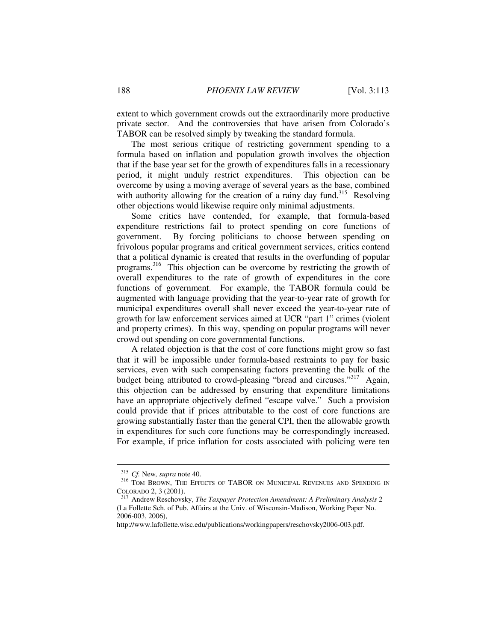extent to which government crowds out the extraordinarily more productive private sector. And the controversies that have arisen from Colorado's TABOR can be resolved simply by tweaking the standard formula.

The most serious critique of restricting government spending to a formula based on inflation and population growth involves the objection that if the base year set for the growth of expenditures falls in a recessionary period, it might unduly restrict expenditures. This objection can be overcome by using a moving average of several years as the base, combined with authority allowing for the creation of a rainy day fund.<sup>315</sup> Resolving other objections would likewise require only minimal adjustments.

Some critics have contended, for example, that formula-based expenditure restrictions fail to protect spending on core functions of government. By forcing politicians to choose between spending on frivolous popular programs and critical government services, critics contend that a political dynamic is created that results in the overfunding of popular programs.316 This objection can be overcome by restricting the growth of overall expenditures to the rate of growth of expenditures in the core functions of government. For example, the TABOR formula could be augmented with language providing that the year-to-year rate of growth for municipal expenditures overall shall never exceed the year-to-year rate of growth for law enforcement services aimed at UCR "part 1" crimes (violent and property crimes). In this way, spending on popular programs will never crowd out spending on core governmental functions.

A related objection is that the cost of core functions might grow so fast that it will be impossible under formula-based restraints to pay for basic services, even with such compensating factors preventing the bulk of the budget being attributed to crowd-pleasing "bread and circuses."<sup>317</sup> Again, this objection can be addressed by ensuring that expenditure limitations have an appropriate objectively defined "escape valve." Such a provision could provide that if prices attributable to the cost of core functions are growing substantially faster than the general CPI, then the allowable growth in expenditures for such core functions may be correspondingly increased. For example, if price inflation for costs associated with policing were ten

<sup>&</sup>lt;sup>315</sup> Cf. New, *supra* note 40.<br><sup>316</sup> TOM BROWN, THE EFFECTS OF TABOR ON MUNICIPAL REVENUES AND SPENDING IN COLORADO 2, 3 (2001).

<sup>&</sup>lt;sup>317</sup> Andrew Reschovsky, *The Taxpayer Protection Amendment: A Preliminary Analysis* 2 (La Follette Sch. of Pub. Affairs at the Univ. of Wisconsin-Madison, Working Paper No. 2006-003, 2006),

http://www.lafollette.wisc.edu/publications/workingpapers/reschovsky2006-003.pdf.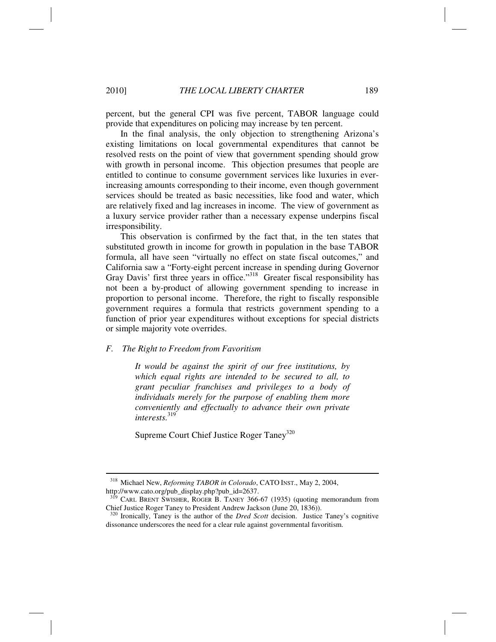percent, but the general CPI was five percent, TABOR language could provide that expenditures on policing may increase by ten percent.

In the final analysis, the only objection to strengthening Arizona's existing limitations on local governmental expenditures that cannot be resolved rests on the point of view that government spending should grow with growth in personal income. This objection presumes that people are entitled to continue to consume government services like luxuries in everincreasing amounts corresponding to their income, even though government services should be treated as basic necessities, like food and water, which are relatively fixed and lag increases in income. The view of government as a luxury service provider rather than a necessary expense underpins fiscal irresponsibility.

This observation is confirmed by the fact that, in the ten states that substituted growth in income for growth in population in the base TABOR formula, all have seen "virtually no effect on state fiscal outcomes," and California saw a "Forty-eight percent increase in spending during Governor Gray Davis' first three years in office."<sup>318</sup> Greater fiscal responsibility has not been a by-product of allowing government spending to increase in proportion to personal income. Therefore, the right to fiscally responsible government requires a formula that restricts government spending to a function of prior year expenditures without exceptions for special districts or simple majority vote overrides.

## *F. The Right to Freedom from Favoritism*

*It would be against the spirit of our free institutions, by which equal rights are intended to be secured to all, to grant peculiar franchises and privileges to a body of individuals merely for the purpose of enabling them more conveniently and effectually to advance their own private interests.*<sup>319</sup>

Supreme Court Chief Justice Roger Taney<sup>320</sup>

<sup>318</sup> Michael New, *Reforming TABOR in Colorado*, CATO INST., May 2, 2004, http://www.cato.org/pub\_display.php?pub\_id=2637.

<sup>&</sup>lt;sup>319</sup> CARL BRENT SWISHER, ROGER B. TANEY 366-67 (1935) (quoting memorandum from Chief Justice Roger Taney to President Andrew Jackson (June 20, 1836)).

<sup>320</sup> Ironically, Taney is the author of the *Dred Scott* decision. Justice Taney's cognitive dissonance underscores the need for a clear rule against governmental favoritism.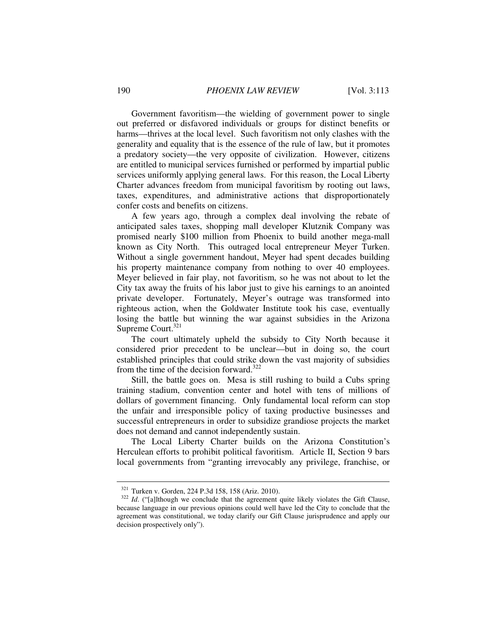Government favoritism—the wielding of government power to single out preferred or disfavored individuals or groups for distinct benefits or harms—thrives at the local level. Such favoritism not only clashes with the generality and equality that is the essence of the rule of law, but it promotes a predatory society—the very opposite of civilization. However, citizens are entitled to municipal services furnished or performed by impartial public services uniformly applying general laws. For this reason, the Local Liberty Charter advances freedom from municipal favoritism by rooting out laws, taxes, expenditures, and administrative actions that disproportionately confer costs and benefits on citizens.

A few years ago, through a complex deal involving the rebate of anticipated sales taxes, shopping mall developer Klutznik Company was promised nearly \$100 million from Phoenix to build another mega-mall known as City North. This outraged local entrepreneur Meyer Turken. Without a single government handout, Meyer had spent decades building his property maintenance company from nothing to over 40 employees. Meyer believed in fair play, not favoritism, so he was not about to let the City tax away the fruits of his labor just to give his earnings to an anointed private developer. Fortunately, Meyer's outrage was transformed into righteous action, when the Goldwater Institute took his case, eventually losing the battle but winning the war against subsidies in the Arizona Supreme Court.<sup>321</sup>

The court ultimately upheld the subsidy to City North because it considered prior precedent to be unclear—but in doing so, the court established principles that could strike down the vast majority of subsidies from the time of the decision forward. $322$ 

Still, the battle goes on. Mesa is still rushing to build a Cubs spring training stadium, convention center and hotel with tens of millions of dollars of government financing. Only fundamental local reform can stop the unfair and irresponsible policy of taxing productive businesses and successful entrepreneurs in order to subsidize grandiose projects the market does not demand and cannot independently sustain.

The Local Liberty Charter builds on the Arizona Constitution's Herculean efforts to prohibit political favoritism. Article II, Section 9 bars local governments from "granting irrevocably any privilege, franchise, or

<sup>&</sup>lt;sup>321</sup> Turken v. Gorden, 224 P.3d 158, 158 (Ariz. 2010).<br><sup>322</sup> *Id.* ("[a]lthough we conclude that the agreement quite likely violates the Gift Clause, because language in our previous opinions could well have led the City to conclude that the agreement was constitutional, we today clarify our Gift Clause jurisprudence and apply our decision prospectively only").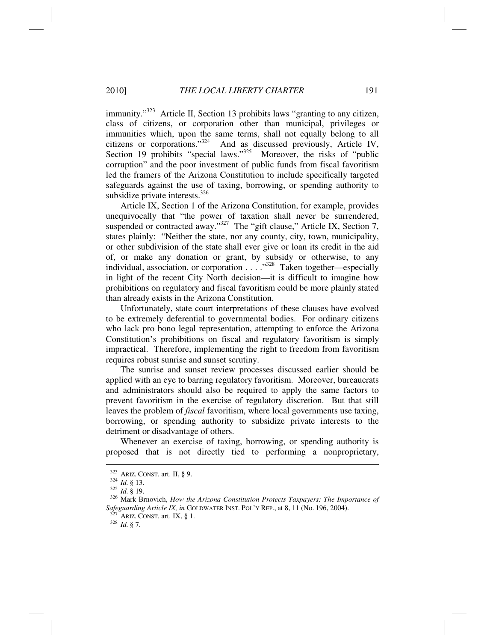immunity."<sup>323</sup> Article II, Section 13 prohibits laws "granting to any citizen, class of citizens, or corporation other than municipal, privileges or immunities which, upon the same terms, shall not equally belong to all citizens or corporations."324 And as discussed previously, Article IV, Section 19 prohibits "special laws."<sup>325</sup> Moreover, the risks of "public" corruption" and the poor investment of public funds from fiscal favoritism led the framers of the Arizona Constitution to include specifically targeted safeguards against the use of taxing, borrowing, or spending authority to subsidize private interests. $326$ 

Article IX, Section 1 of the Arizona Constitution, for example, provides unequivocally that "the power of taxation shall never be surrendered, suspended or contracted away."<sup>327</sup> The "gift clause," Article IX, Section 7, states plainly: "Neither the state, nor any county, city, town, municipality, or other subdivision of the state shall ever give or loan its credit in the aid of, or make any donation or grant, by subsidy or otherwise, to any individual, association, or corporation  $\ldots$   $\ldots$   $\frac{1}{328}$  Taken together—especially in light of the recent City North decision—it is difficult to imagine how prohibitions on regulatory and fiscal favoritism could be more plainly stated than already exists in the Arizona Constitution.

Unfortunately, state court interpretations of these clauses have evolved to be extremely deferential to governmental bodies. For ordinary citizens who lack pro bono legal representation, attempting to enforce the Arizona Constitution's prohibitions on fiscal and regulatory favoritism is simply impractical. Therefore, implementing the right to freedom from favoritism requires robust sunrise and sunset scrutiny.

The sunrise and sunset review processes discussed earlier should be applied with an eye to barring regulatory favoritism. Moreover, bureaucrats and administrators should also be required to apply the same factors to prevent favoritism in the exercise of regulatory discretion. But that still leaves the problem of *fiscal* favoritism, where local governments use taxing, borrowing, or spending authority to subsidize private interests to the detriment or disadvantage of others.

Whenever an exercise of taxing, borrowing, or spending authority is proposed that is not directly tied to performing a nonproprietary,

<sup>&</sup>lt;sup>323</sup> ARIZ. CONST. art. II, § 9.<br><sup>324</sup> *Id.* § 13.<br><sup>325</sup> *Id.* § 19.<br><sup>326</sup> Mark Brnovich, *How the Arizona Constitution Protects Taxpayers: The Importance of Safeguarding Article IX, in* GOLDWATER INST. POL'Y REP., at 8, 11 (No. 196, 2004). <sup>327</sup> ARIZ. CONST. art. IX, § 1. <sup>328</sup> *Id.* § 7.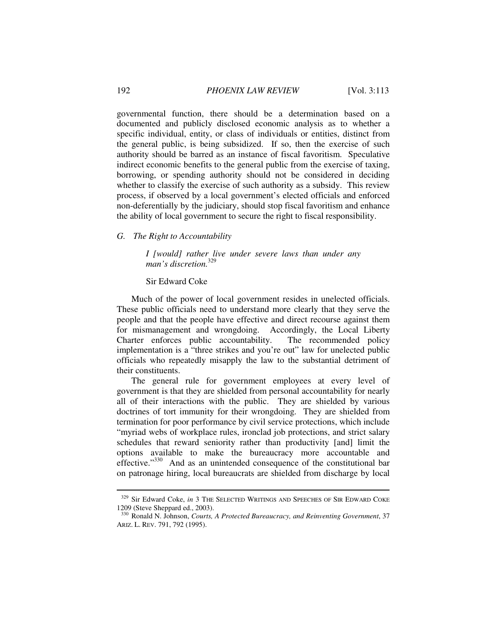governmental function, there should be a determination based on a documented and publicly disclosed economic analysis as to whether a specific individual, entity, or class of individuals or entities, distinct from the general public, is being subsidized. If so, then the exercise of such authority should be barred as an instance of fiscal favoritism. Speculative indirect economic benefits to the general public from the exercise of taxing, borrowing, or spending authority should not be considered in deciding whether to classify the exercise of such authority as a subsidy. This review process, if observed by a local government's elected officials and enforced non-deferentially by the judiciary, should stop fiscal favoritism and enhance the ability of local government to secure the right to fiscal responsibility.

## *G. The Right to Accountability*

*I [would] rather live under severe laws than under any man's discretion.*<sup>329</sup>

## Sir Edward Coke

Much of the power of local government resides in unelected officials. These public officials need to understand more clearly that they serve the people and that the people have effective and direct recourse against them for mismanagement and wrongdoing. Accordingly, the Local Liberty Charter enforces public accountability. The recommended policy implementation is a "three strikes and you're out" law for unelected public officials who repeatedly misapply the law to the substantial detriment of their constituents.

The general rule for government employees at every level of government is that they are shielded from personal accountability for nearly all of their interactions with the public. They are shielded by various doctrines of tort immunity for their wrongdoing. They are shielded from termination for poor performance by civil service protections, which include "myriad webs of workplace rules, ironclad job protections, and strict salary schedules that reward seniority rather than productivity [and] limit the options available to make the bureaucracy more accountable and effective."<sup>330</sup> And as an unintended consequence of the constitutional bar on patronage hiring, local bureaucrats are shielded from discharge by local

<sup>&</sup>lt;sup>329</sup> Sir Edward Coke, *in* 3 THE SELECTED WRITINGS AND SPEECHES OF SIR EDWARD COKE 1209 (Steve Sheppard ed., 2003).

<sup>330</sup> Ronald N. Johnson, *Courts, A Protected Bureaucracy, and Reinventing Government*, 37 ARIZ. L. REV. 791, 792 (1995).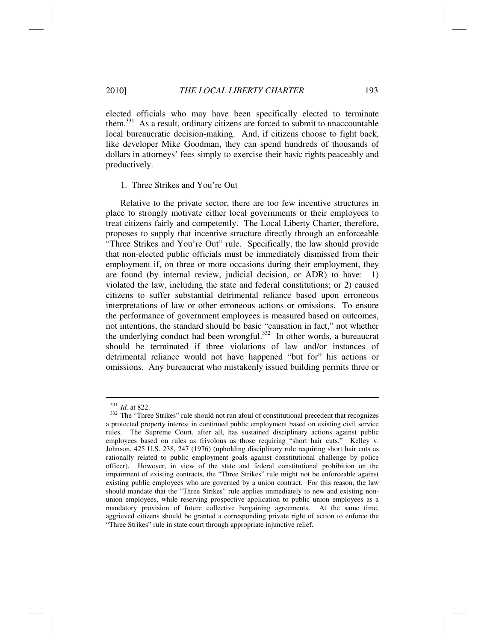elected officials who may have been specifically elected to terminate them.<sup>331</sup> As a result, ordinary citizens are forced to submit to unaccountable local bureaucratic decision-making. And, if citizens choose to fight back, like developer Mike Goodman, they can spend hundreds of thousands of dollars in attorneys' fees simply to exercise their basic rights peaceably and productively.

#### 1. Three Strikes and You're Out

Relative to the private sector, there are too few incentive structures in place to strongly motivate either local governments or their employees to treat citizens fairly and competently. The Local Liberty Charter, therefore, proposes to supply that incentive structure directly through an enforceable "Three Strikes and You're Out" rule. Specifically, the law should provide that non-elected public officials must be immediately dismissed from their employment if, on three or more occasions during their employment, they are found (by internal review, judicial decision, or ADR) to have: 1) violated the law, including the state and federal constitutions; or 2) caused citizens to suffer substantial detrimental reliance based upon erroneous interpretations of law or other erroneous actions or omissions. To ensure the performance of government employees is measured based on outcomes, not intentions, the standard should be basic "causation in fact," not whether the underlying conduct had been wrongful. $332$  In other words, a bureaucrat should be terminated if three violations of law and/or instances of detrimental reliance would not have happened "but for" his actions or omissions. Any bureaucrat who mistakenly issued building permits three or

<sup>&</sup>lt;sup>331</sup> *Id.* at 822. 332 The "Three Strikes" rule should not run afoul of constitutional precedent that recognizes a protected property interest in continued public employment based on existing civil service rules. The Supreme Court, after all, has sustained disciplinary actions against public employees based on rules as frivolous as those requiring "short hair cuts." Kelley v. Johnson, 425 U.S. 238, 247 (1976) (upholding disciplinary rule requiring short hair cuts as rationally related to public employment goals against constitutional challenge by police officer). However, in view of the state and federal constitutional prohibition on the impairment of existing contracts, the "Three Strikes" rule might not be enforceable against existing public employees who are governed by a union contract. For this reason, the law should mandate that the "Three Strikes" rule applies immediately to new and existing nonunion employees, while reserving prospective application to public union employees as a mandatory provision of future collective bargaining agreements. At the same time, aggrieved citizens should be granted a corresponding private right of action to enforce the "Three Strikes" rule in state court through appropriate injunctive relief.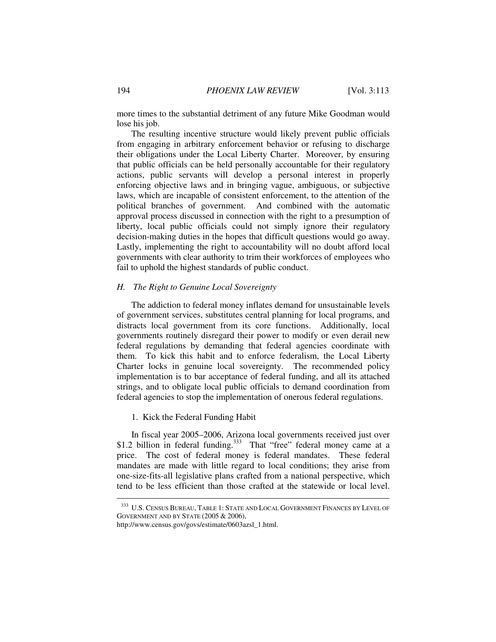more times to the substantial detriment of any future Mike Goodman would lose his job.

The resulting incentive structure would likely prevent public officials from engaging in arbitrary enforcement behavior or refusing to discharge their obligations under the Local Liberty Charter. Moreover, by ensuring that public officials can be held personally accountable for their regulatory actions, public servants will develop a personal interest in properly enforcing objective laws and in bringing vague, ambiguous, or subjective laws, which are incapable of consistent enforcement, to the attention of the political branches of government. And combined with the automatic approval process discussed in connection with the right to a presumption of liberty, local public officials could not simply ignore their regulatory decision-making duties in the hopes that difficult questions would go away. Lastly, implementing the right to accountability will no doubt afford local governments with clear authority to trim their workforces of employees who fail to uphold the highest standards of public conduct.

## *H. The Right to Genuine Local Sovereignty*

The addiction to federal money inflates demand for unsustainable levels of government services, substitutes central planning for local programs, and distracts local government from its core functions. Additionally, local governments routinely disregard their power to modify or even derail new federal regulations by demanding that federal agencies coordinate with them. To kick this habit and to enforce federalism, the Local Liberty Charter locks in genuine local sovereignty. The recommended policy implementation is to bar acceptance of federal funding, and all its attached strings, and to obligate local public officials to demand coordination from federal agencies to stop the implementation of onerous federal regulations.

#### 1. Kick the Federal Funding Habit

In fiscal year 2005–2006, Arizona local governments received just over \$1.2 billion in federal funding.<sup>333</sup> That "free" federal money came at a price. The cost of federal money is federal mandates. These federal mandates are made with little regard to local conditions; they arise from one-size-fits-all legislative plans crafted from a national perspective, which tend to be less efficient than those crafted at the statewide or local level.

<sup>333</sup> U.S. CENSUS BUREAU, TABLE 1: STATE AND LOCAL GOVERNMENT FINANCES BY LEVEL OF GOVERNMENT AND BY STATE (2005 & 2006),

http://www.census.gov/govs/estimate/0603azsl\_1.html.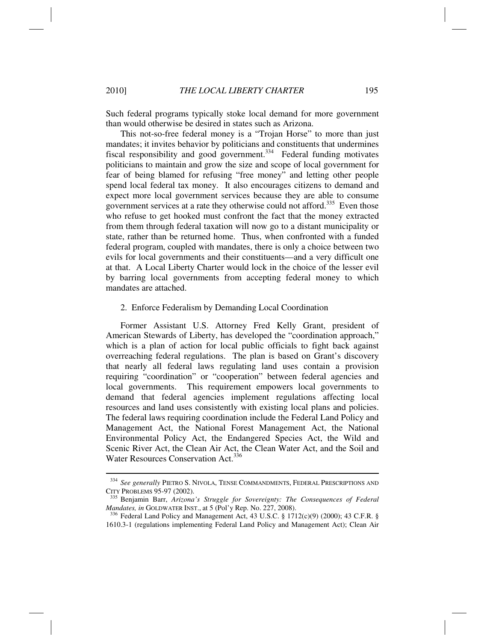Such federal programs typically stoke local demand for more government than would otherwise be desired in states such as Arizona.

This not-so-free federal money is a "Trojan Horse" to more than just mandates; it invites behavior by politicians and constituents that undermines fiscal responsibility and good government.<sup>334</sup> Federal funding motivates politicians to maintain and grow the size and scope of local government for fear of being blamed for refusing "free money" and letting other people spend local federal tax money. It also encourages citizens to demand and expect more local government services because they are able to consume government services at a rate they otherwise could not afford.<sup>335</sup> Even those who refuse to get hooked must confront the fact that the money extracted from them through federal taxation will now go to a distant municipality or state, rather than be returned home. Thus, when confronted with a funded federal program, coupled with mandates, there is only a choice between two evils for local governments and their constituents—and a very difficult one at that. A Local Liberty Charter would lock in the choice of the lesser evil by barring local governments from accepting federal money to which mandates are attached.

#### 2. Enforce Federalism by Demanding Local Coordination

Former Assistant U.S. Attorney Fred Kelly Grant, president of American Stewards of Liberty, has developed the "coordination approach," which is a plan of action for local public officials to fight back against overreaching federal regulations. The plan is based on Grant's discovery that nearly all federal laws regulating land uses contain a provision requiring "coordination" or "cooperation" between federal agencies and local governments. This requirement empowers local governments to demand that federal agencies implement regulations affecting local resources and land uses consistently with existing local plans and policies. The federal laws requiring coordination include the Federal Land Policy and Management Act, the National Forest Management Act, the National Environmental Policy Act, the Endangered Species Act, the Wild and Scenic River Act, the Clean Air Act, the Clean Water Act, and the Soil and Water Resources Conservation Act.<sup>336</sup>

<sup>334</sup> *See generally* PIETRO S. NIVOLA, TENSE COMMANDMENTS, FEDERAL PRESCRIPTIONS AND

CITY PROBLEMS 95-97 (2002).<br><sup>335</sup> Benjamin Barr, *Arizona's Struggle for Sovereignty: The Consequences of Federal Mandates, in GOLDWATER INST., at 5 (Pol'y Rep. No. 227, 2008).* 

<sup>&</sup>lt;sup>336</sup> Federal Land Policy and Management Act, 43 U.S.C. § 1712(c)(9) (2000); 43 C.F.R. § 1610.3-1 (regulations implementing Federal Land Policy and Management Act); Clean Air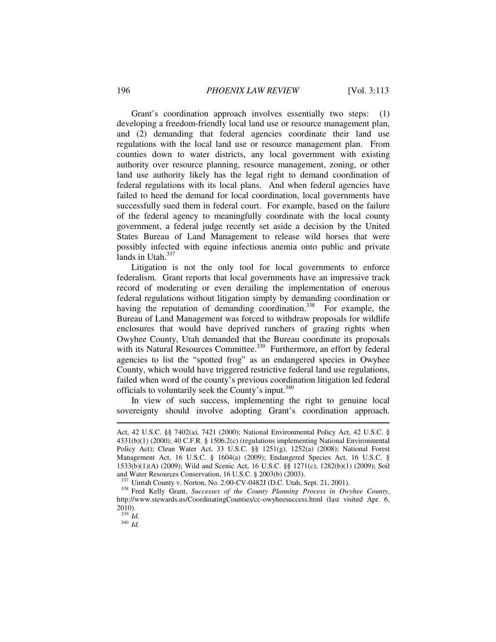Grant's coordination approach involves essentially two steps: (1) developing a freedom-friendly local land use or resource management plan, and (2) demanding that federal agencies coordinate their land use regulations with the local land use or resource management plan. From counties down to water districts, any local government with existing authority over resource planning, resource management, zoning, or other land use authority likely has the legal right to demand coordination of federal regulations with its local plans. And when federal agencies have failed to heed the demand for local coordination, local governments have successfully sued them in federal court. For example, based on the failure of the federal agency to meaningfully coordinate with the local county government, a federal judge recently set aside a decision by the United States Bureau of Land Management to release wild horses that were possibly infected with equine infectious anemia onto public and private lands in Utah. $337$ 

Litigation is not the only tool for local governments to enforce federalism. Grant reports that local governments have an impressive track record of moderating or even derailing the implementation of onerous federal regulations without litigation simply by demanding coordination or having the reputation of demanding coordination.<sup>338</sup> For example, the Bureau of Land Management was forced to withdraw proposals for wildlife enclosures that would have deprived ranchers of grazing rights when Owyhee County, Utah demanded that the Bureau coordinate its proposals with its Natural Resources Committee.<sup>339</sup> Furthermore, an effort by federal agencies to list the "spotted frog" as an endangered species in Owyhee County, which would have triggered restrictive federal land use regulations, failed when word of the county's previous coordination litigation led federal officials to voluntarily seek the County's input.<sup>340</sup>

In view of such success, implementing the right to genuine local sovereignty should involve adopting Grant's coordination approach.

Act, 42 U.S.C. §§ 7402(a), 7421 (2000); National Environmental Policy Act, 42 U.S.C. § 4331(b)(1) (2000); 40 C.F.R. § 1506.2(c) (regulations implementing National Environmental Policy Act); Clean Water Act, 33 U.S.C. §§ 1251(g), 1252(a) (2008); National Forest Management Act, 16 U.S.C. § 1604(a) (2009); Endangered Species Act, 16 U.S.C. § 1533(b)(1)(A) (2009); Wild and Scenic Act, 16 U.S.C. §§ 1271(c), 1282(b)(1) (2009); Soil and Water Resources Conservation, 16 U.S.C. § 2003(b) (2003).<br><sup>337</sup> Uintah County v. Norton, No. 2:00-CV-0482J (D.C. Utah, Sept. 21, 2001).

<sup>&</sup>lt;sup>338</sup> Fred Kelly Grant, Successes of the County Planning Process in Owyhee County, http://www.stewards.us/CoordinatingCounties/cc-owyheesuccess.html (last visited Apr. 6,  $\frac{2010}{339}$  *Id.* 

<sup>339</sup> *Id.* <sup>340</sup> *Id.*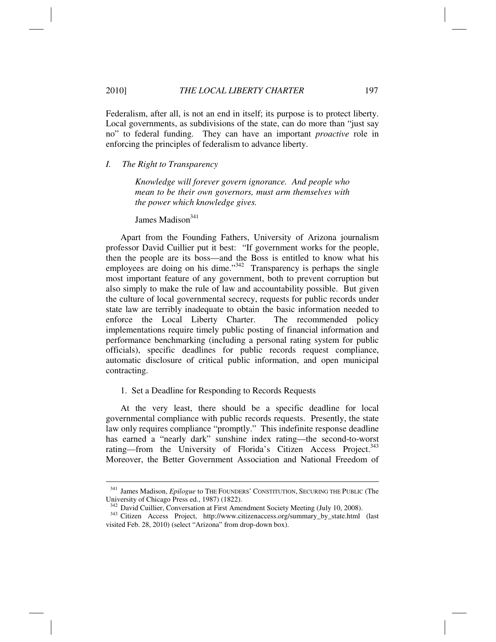Federalism, after all, is not an end in itself; its purpose is to protect liberty. Local governments, as subdivisions of the state, can do more than "just say no" to federal funding. They can have an important *proactive* role in enforcing the principles of federalism to advance liberty.

*I. The Right to Transparency* 

*Knowledge will forever govern ignorance. And people who mean to be their own governors, must arm themselves with the power which knowledge gives.* 

James Madison $341$ 

Apart from the Founding Fathers, University of Arizona journalism professor David Cuillier put it best: "If government works for the people, then the people are its boss—and the Boss is entitled to know what his employees are doing on his dime." $342$  Transparency is perhaps the single most important feature of any government, both to prevent corruption but also simply to make the rule of law and accountability possible. But given the culture of local governmental secrecy, requests for public records under state law are terribly inadequate to obtain the basic information needed to enforce the Local Liberty Charter. The recommended policy implementations require timely public posting of financial information and performance benchmarking (including a personal rating system for public officials), specific deadlines for public records request compliance, automatic disclosure of critical public information, and open municipal contracting.

#### 1. Set a Deadline for Responding to Records Requests

At the very least, there should be a specific deadline for local governmental compliance with public records requests. Presently, the state law only requires compliance "promptly." This indefinite response deadline has earned a "nearly dark" sunshine index rating—the second-to-worst rating—from the University of Florida's Citizen Access Project.<sup>343</sup> Moreover, the Better Government Association and National Freedom of

<sup>341</sup> James Madison, *Epilogue* to THE FOUNDERS' CONSTITUTION, SECURING THE PUBLIC (The University of Chicago Press ed., 1987) (1822).<br><sup>342</sup> David Cuillier, Conversation at First Amendment Society Meeting (July 10, 2008).

<sup>&</sup>lt;sup>343</sup> Citizen Access Project, http://www.citizenaccess.org/summary\_by\_state.html (last visited Feb. 28, 2010) (select "Arizona" from drop-down box).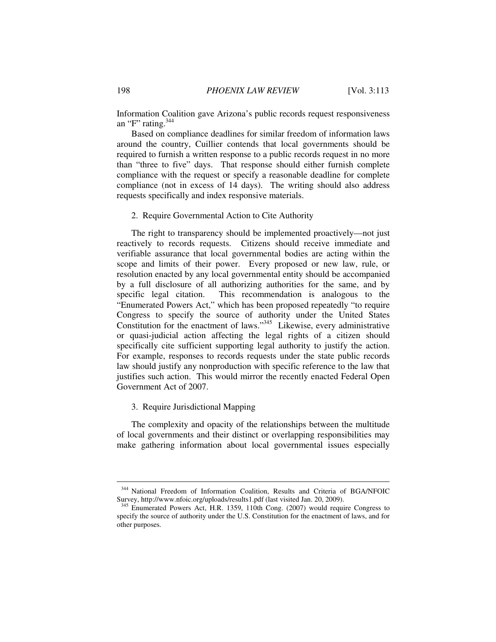Information Coalition gave Arizona's public records request responsiveness an "F" rating. $344$ 

Based on compliance deadlines for similar freedom of information laws around the country, Cuillier contends that local governments should be required to furnish a written response to a public records request in no more than "three to five" days. That response should either furnish complete compliance with the request or specify a reasonable deadline for complete compliance (not in excess of 14 days). The writing should also address requests specifically and index responsive materials.

## 2. Require Governmental Action to Cite Authority

The right to transparency should be implemented proactively—not just reactively to records requests. Citizens should receive immediate and verifiable assurance that local governmental bodies are acting within the scope and limits of their power. Every proposed or new law, rule, or resolution enacted by any local governmental entity should be accompanied by a full disclosure of all authorizing authorities for the same, and by specific legal citation. This recommendation is analogous to the "Enumerated Powers Act," which has been proposed repeatedly "to require Congress to specify the source of authority under the United States Constitution for the enactment of laws."<sup>345</sup> Likewise, every administrative or quasi-judicial action affecting the legal rights of a citizen should specifically cite sufficient supporting legal authority to justify the action. For example, responses to records requests under the state public records law should justify any nonproduction with specific reference to the law that justifies such action. This would mirror the recently enacted Federal Open Government Act of 2007.

# 3. Require Jurisdictional Mapping

The complexity and opacity of the relationships between the multitude of local governments and their distinct or overlapping responsibilities may make gathering information about local governmental issues especially

<sup>&</sup>lt;sup>344</sup> National Freedom of Information Coalition, Results and Criteria of BGA/NFOIC Survey, http://www.nfoic.org/uploads/results1.pdf (last visited Jan. 20, 2009).

<sup>345</sup> Enumerated Powers Act, H.R. 1359, 110th Cong. (2007) would require Congress to specify the source of authority under the U.S. Constitution for the enactment of laws, and for other purposes.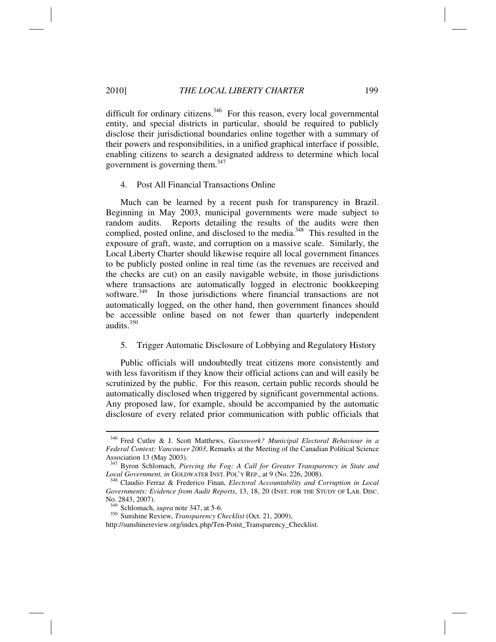difficult for ordinary citizens.<sup>346</sup> For this reason, every local governmental entity, and special districts in particular, should be required to publicly disclose their jurisdictional boundaries online together with a summary of their powers and responsibilities, in a unified graphical interface if possible, enabling citizens to search a designated address to determine which local government is governing them.<sup>347</sup>

#### 4. Post All Financial Transactions Online

Much can be learned by a recent push for transparency in Brazil. Beginning in May 2003, municipal governments were made subject to random audits. Reports detailing the results of the audits were then complied, posted online, and disclosed to the media.<sup>348</sup> This resulted in the exposure of graft, waste, and corruption on a massive scale. Similarly, the Local Liberty Charter should likewise require all local government finances to be publicly posted online in real time (as the revenues are received and the checks are cut) on an easily navigable website, in those jurisdictions where transactions are automatically logged in electronic bookkeeping software.<sup>349</sup> In those jurisdictions where financial transactions are not automatically logged, on the other hand, then government finances should be accessible online based on not fewer than quarterly independent audits.350

#### 5. Trigger Automatic Disclosure of Lobbying and Regulatory History

Public officials will undoubtedly treat citizens more consistently and with less favoritism if they know their official actions can and will easily be scrutinized by the public. For this reason, certain public records should be automatically disclosed when triggered by significant governmental actions. Any proposed law, for example, should be accompanied by the automatic disclosure of every related prior communication with public officials that

<sup>346</sup> Fred Cutler & J. Scott Matthews, *Guesswork? Municipal Electoral Behaviour in a Federal Context: Vancouver 2003*, Remarks at the Meeting of the Canadian Political Science Association 13 (May 2003).

<sup>347</sup> Byron Schlomach, *Piercing the Fog: A Call for Greater Transparency in State and Local Government, in* GOLDWATER INST. POL'Y REP., at 9 (No. 226, 2008). 348 Claudio Ferraz & Frederico Finan, *Electoral Accountability and Corruption in Local* 

*Governments: Evidence from Audit Reports*, 13, 18, 20 (INST. FOR THE STUDY OF LAB. DISC. No. 2843, 2007).<br><sup>349</sup> Schlomach, *supra* note 347, at 5-6.

<sup>&</sup>lt;sup>350</sup> Sunshine Review, *Transparency Checklist* (Oct. 21, 2009),

http://sunshinereview.org/index.php/Ten-Point\_Transparency\_Checklist.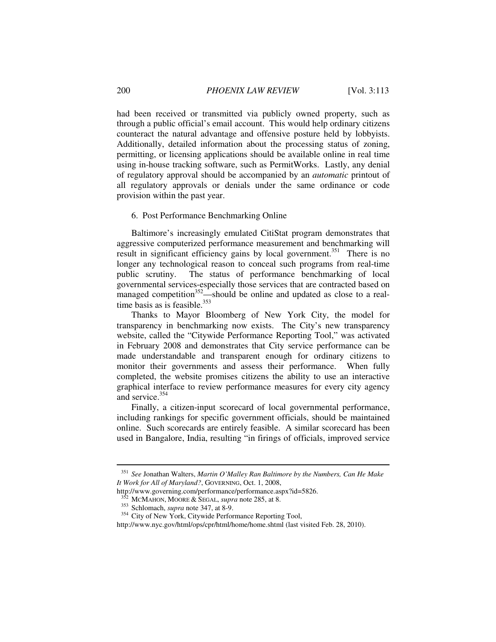had been received or transmitted via publicly owned property, such as through a public official's email account. This would help ordinary citizens counteract the natural advantage and offensive posture held by lobbyists. Additionally, detailed information about the processing status of zoning, permitting, or licensing applications should be available online in real time using in-house tracking software, such as PermitWorks. Lastly, any denial of regulatory approval should be accompanied by an *automatic* printout of all regulatory approvals or denials under the same ordinance or code provision within the past year.

## 6. Post Performance Benchmarking Online

Baltimore's increasingly emulated CitiStat program demonstrates that aggressive computerized performance measurement and benchmarking will result in significant efficiency gains by local government.<sup>351</sup> There is no longer any technological reason to conceal such programs from real-time public scrutiny. The status of performance benchmarking of local governmental services-especially those services that are contracted based on managed competition $352$ —should be online and updated as close to a realtime basis as is feasible. $353$ 

Thanks to Mayor Bloomberg of New York City, the model for transparency in benchmarking now exists. The City's new transparency website, called the "Citywide Performance Reporting Tool," was activated in February 2008 and demonstrates that City service performance can be made understandable and transparent enough for ordinary citizens to monitor their governments and assess their performance. When fully completed, the website promises citizens the ability to use an interactive graphical interface to review performance measures for every city agency and service.<sup>354</sup>

Finally, a citizen-input scorecard of local governmental performance, including rankings for specific government officials, should be maintained online. Such scorecards are entirely feasible. A similar scorecard has been used in Bangalore, India, resulting "in firings of officials, improved service

<sup>351</sup> *See* Jonathan Walters, *Martin O'Malley Ran Baltimore by the Numbers, Can He Make It Work for All of Maryland?*, GOVERNING, Oct. 1, 2008,

http://www.governing.com/performance/performance.aspx?id=5826.<br><sup>352</sup> MCMAHON, MOORE & SEGAL, *supra* note 285, at 8.

<sup>&</sup>lt;sup>353</sup> Schlomach, *supra* note 347, at 8-9.<br><sup>354</sup> City of New York, Citywide Performance Reporting Tool,

http://www.nyc.gov/html/ops/cpr/html/home/home.shtml (last visited Feb. 28, 2010).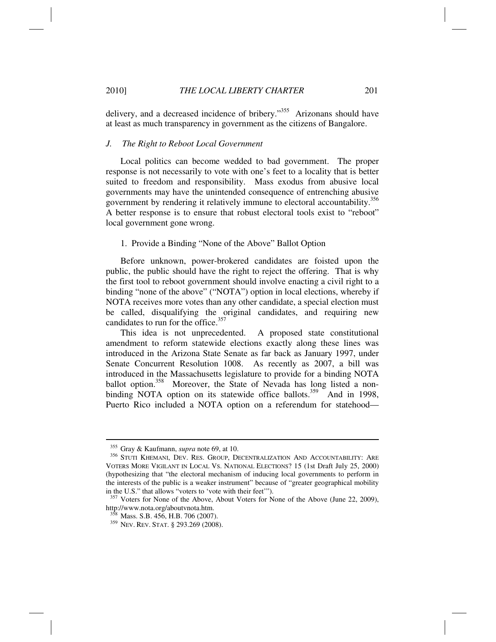delivery, and a decreased incidence of bribery."<sup>355</sup> Arizonans should have at least as much transparency in government as the citizens of Bangalore.

## *J. The Right to Reboot Local Government*

Local politics can become wedded to bad government. The proper response is not necessarily to vote with one's feet to a locality that is better suited to freedom and responsibility. Mass exodus from abusive local governments may have the unintended consequence of entrenching abusive government by rendering it relatively immune to electoral accountability.356 A better response is to ensure that robust electoral tools exist to "reboot" local government gone wrong.

#### 1. Provide a Binding "None of the Above" Ballot Option

Before unknown, power-brokered candidates are foisted upon the public, the public should have the right to reject the offering. That is why the first tool to reboot government should involve enacting a civil right to a binding "none of the above" ("NOTA") option in local elections, whereby if NOTA receives more votes than any other candidate, a special election must be called, disqualifying the original candidates, and requiring new candidates to run for the office.<sup>357</sup>

This idea is not unprecedented. A proposed state constitutional amendment to reform statewide elections exactly along these lines was introduced in the Arizona State Senate as far back as January 1997, under Senate Concurrent Resolution 1008. As recently as 2007, a bill was introduced in the Massachusetts legislature to provide for a binding NOTA ballot option.<sup>358</sup> Moreover, the State of Nevada has long listed a nonbinding NOTA option on its statewide office ballots.<sup>359</sup> And in 1998, Puerto Rico included a NOTA option on a referendum for statehood—

<sup>&</sup>lt;sup>355</sup> Gray & Kaufmann, *supra* note 69, at 10.<br><sup>356</sup> STUTI KHEMANI, DEV. RES. GROUP, DECENTRALIZATION AND ACCOUNTABILITY: ARE VOTERS MORE VIGILANT IN LOCAL VS. NATIONAL ELECTIONS? 15 (1st Draft July 25, 2000) (hypothesizing that "the electoral mechanism of inducing local governments to perform in the interests of the public is a weaker instrument" because of "greater geographical mobility in the U.S." that allows "voters to 'vote with their feet'").

<sup>357</sup> Voters for None of the Above, About Voters for None of the Above (June 22, 2009), http://www.nota.org/aboutvnota.htm.<br><sup>358</sup> Mass. S.B. 456, H.B. 706 (2007).

<sup>&</sup>lt;sup>359</sup> Nev. Rev. Stat. § 293.269 (2008).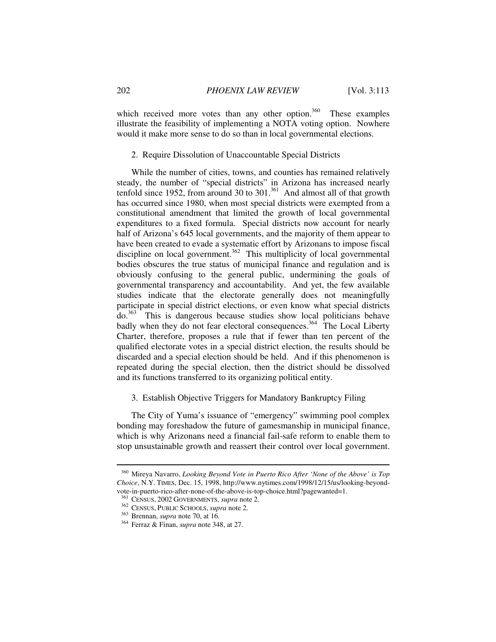which received more votes than any other option. $360$  These examples illustrate the feasibility of implementing a NOTA voting option. Nowhere would it make more sense to do so than in local governmental elections.

#### 2. Require Dissolution of Unaccountable Special Districts

While the number of cities, towns, and counties has remained relatively steady, the number of "special districts" in Arizona has increased nearly tenfold since 1952, from around 30 to  $301$ .<sup>361</sup> And almost all of that growth has occurred since 1980, when most special districts were exempted from a constitutional amendment that limited the growth of local governmental expenditures to a fixed formula. Special districts now account for nearly half of Arizona's 645 local governments, and the majority of them appear to have been created to evade a systematic effort by Arizonans to impose fiscal discipline on local government.<sup>362</sup> This multiplicity of local governmental bodies obscures the true status of municipal finance and regulation and is obviously confusing to the general public, undermining the goals of governmental transparency and accountability. And yet, the few available studies indicate that the electorate generally does not meaningfully participate in special district elections, or even know what special districts do.363 This is dangerous because studies show local politicians behave badly when they do not fear electoral consequences.<sup>364</sup> The Local Liberty Charter, therefore, proposes a rule that if fewer than ten percent of the qualified electorate votes in a special district election, the results should be discarded and a special election should be held. And if this phenomenon is repeated during the special election, then the district should be dissolved and its functions transferred to its organizing political entity.

# 3. Establish Objective Triggers for Mandatory Bankruptcy Filing

The City of Yuma's issuance of "emergency" swimming pool complex bonding may foreshadow the future of gamesmanship in municipal finance, which is why Arizonans need a financial fail-safe reform to enable them to stop unsustainable growth and reassert their control over local government.

<sup>360</sup> Mireya Navarro, *Looking Beyond Vote in Puerto Rico After 'None of the Above' is Top Choice*, N.Y. TIMES, Dec. 15, 1998, http://www.nytimes.com/1998/12/15/us/looking-beyondvote-in-puerto-rico-after-none-of-the-above-is-top-choice.html?pagewanted=1.<br><sup>361</sup> CENSUS, 2002 GOVERNMENTS, *supra* note 2.

<sup>&</sup>lt;sup>362</sup> CENSUS, PUBLIC SCHOOLS, *supra* note 2.<br><sup>363</sup> Brennan, *supra* note 70, at 16.<br><sup>364</sup> Ferraz & Finan, *supra* note 348, at 27.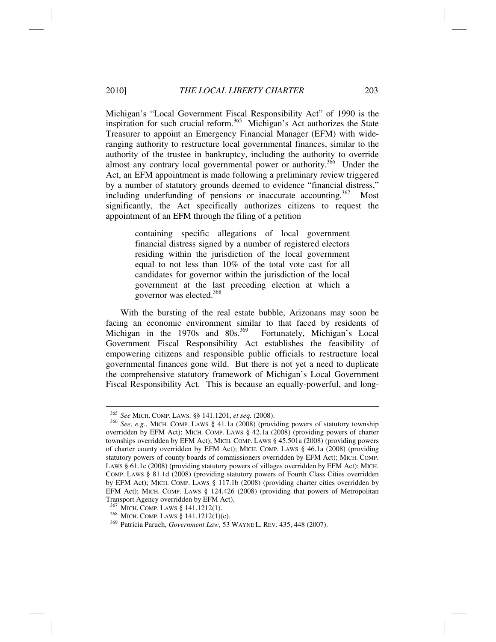Michigan's "Local Government Fiscal Responsibility Act" of 1990 is the inspiration for such crucial reform.<sup>365</sup> Michigan's Act authorizes the State Treasurer to appoint an Emergency Financial Manager (EFM) with wideranging authority to restructure local governmental finances, similar to the authority of the trustee in bankruptcy, including the authority to override almost any contrary local governmental power or authority.<sup>366</sup> Under the Act, an EFM appointment is made following a preliminary review triggered by a number of statutory grounds deemed to evidence "financial distress," including underfunding of pensions or inaccurate accounting.<sup>367</sup> Most significantly, the Act specifically authorizes citizens to request the appointment of an EFM through the filing of a petition

> containing specific allegations of local government financial distress signed by a number of registered electors residing within the jurisdiction of the local government equal to not less than 10% of the total vote cast for all candidates for governor within the jurisdiction of the local government at the last preceding election at which a governor was elected.368

With the bursting of the real estate bubble, Arizonans may soon be facing an economic environment similar to that faced by residents of Michigan in the 1970s and 80s.<sup>369</sup> Fortunately, Michigan's Local Government Fiscal Responsibility Act establishes the feasibility of empowering citizens and responsible public officials to restructure local governmental finances gone wild. But there is not yet a need to duplicate the comprehensive statutory framework of Michigan's Local Government Fiscal Responsibility Act. This is because an equally-powerful, and long-

<sup>365</sup> *See* MICH. COMP. LAWS. §§ 141.1201, *et seq.* (2008). 366 *See*, *e.g*., MICH. COMP. LAWS § 41.1a (2008) (providing powers of statutory township overridden by EFM Act); MICH. COMP. LAWS § 42.1a (2008) (providing powers of charter townships overridden by EFM Act); MICH. COMP. LAWS § 45.501a (2008) (providing powers of charter county overridden by EFM Act); MICH. COMP. LAWS § 46.1a (2008) (providing statutory powers of county boards of commissioners overridden by EFM Act); MICH. COMP. LAWS § 61.1c (2008) (providing statutory powers of villages overridden by EFM Act); MICH. COMP. LAWS § 81.1d (2008) (providing statutory powers of Fourth Class Cities overridden by EFM Act); MICH. COMP. LAWS § 117.1b (2008) (providing charter cities overridden by EFM Act); MICH. COMP. LAWS § 124.426 (2008) (providing that powers of Metropolitan Transport Agency overridden by EFM Act).<br><sup>367</sup> MICH. COMP. LAWS § 141.1212(1).

<sup>&</sup>lt;sup>368</sup> MICH. COMP. LAWS § 141.1212(1)(c).<br><sup>369</sup> Patricia Paruch, *Government Law*, 53 WAYNE L. REV. 435, 448 (2007).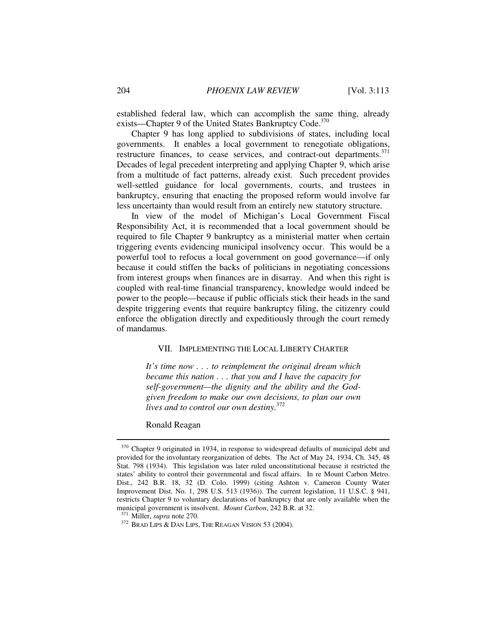established federal law, which can accomplish the same thing, already exists—Chapter 9 of the United States Bankruptcy Code.<sup>370</sup>

Chapter 9 has long applied to subdivisions of states, including local governments. It enables a local government to renegotiate obligations, restructure finances, to cease services, and contract-out departments.<sup>371</sup> Decades of legal precedent interpreting and applying Chapter 9, which arise from a multitude of fact patterns, already exist. Such precedent provides well-settled guidance for local governments, courts, and trustees in bankruptcy, ensuring that enacting the proposed reform would involve far less uncertainty than would result from an entirely new statutory structure.

In view of the model of Michigan's Local Government Fiscal Responsibility Act, it is recommended that a local government should be required to file Chapter 9 bankruptcy as a ministerial matter when certain triggering events evidencing municipal insolvency occur. This would be a powerful tool to refocus a local government on good governance—if only because it could stiffen the backs of politicians in negotiating concessions from interest groups when finances are in disarray. And when this right is coupled with real-time financial transparency, knowledge would indeed be power to the people—because if public officials stick their heads in the sand despite triggering events that require bankruptcy filing, the citizenry could enforce the obligation directly and expeditiously through the court remedy of mandamus.

## VII. IMPLEMENTING THE LOCAL LIBERTY CHARTER

*It's time now . . . to reimplement the original dream which became this nation . . . that you and I have the capacity for self-government—the dignity and the ability and the Godgiven freedom to make our own decisions, to plan our own lives and to control our own destiny.*<sup>372</sup>

Ronald Reagan

<sup>&</sup>lt;sup>370</sup> Chapter 9 originated in 1934, in response to widespread defaults of municipal debt and provided for the involuntary reorganization of debts. The Act of May 24, 1934, Ch. 345, 48 Stat. 798 (1934). This legislation was later ruled unconstitutional because it restricted the states' ability to control their governmental and fiscal affairs. In re Mount Carbon Metro. Dist., 242 B.R. 18, 32 (D. Colo. 1999) (citing Ashton v. Cameron County Water Improvement Dist. No. 1, 298 U.S. 513 (1936)). The current legislation, 11 U.S.C. § 941, restricts Chapter 9 to voluntary declarations of bankruptcy that are only available when the municipal government is insolvent. *Mount Carbon*, 242 B.R. at 32.

<sup>&</sup>lt;sup>371</sup> Miller, *supra* note 270.<br><sup>372</sup> Brad Lips & Dan Lips, The Reagan Vision 53 (2004).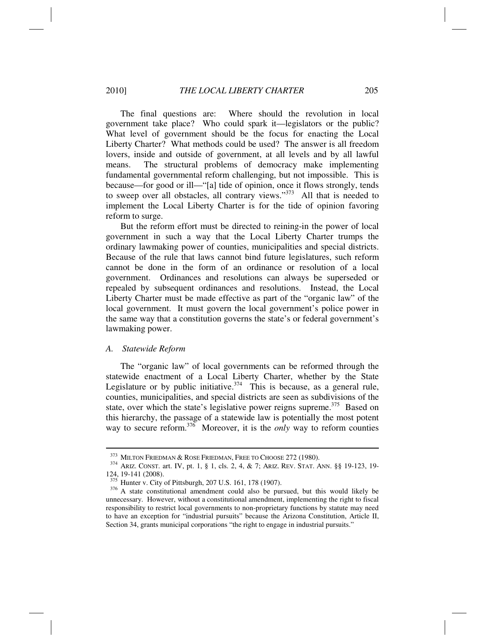The final questions are: Where should the revolution in local government take place? Who could spark it—legislators or the public? What level of government should be the focus for enacting the Local Liberty Charter? What methods could be used? The answer is all freedom lovers, inside and outside of government, at all levels and by all lawful means. The structural problems of democracy make implementing fundamental governmental reform challenging, but not impossible. This is because—for good or ill—"[a] tide of opinion, once it flows strongly, tends to sweep over all obstacles, all contrary views."<sup>373</sup> All that is needed to implement the Local Liberty Charter is for the tide of opinion favoring reform to surge.

But the reform effort must be directed to reining-in the power of local government in such a way that the Local Liberty Charter trumps the ordinary lawmaking power of counties, municipalities and special districts. Because of the rule that laws cannot bind future legislatures, such reform cannot be done in the form of an ordinance or resolution of a local government. Ordinances and resolutions can always be superseded or repealed by subsequent ordinances and resolutions. Instead, the Local Liberty Charter must be made effective as part of the "organic law" of the local government. It must govern the local government's police power in the same way that a constitution governs the state's or federal government's lawmaking power.

#### *A. Statewide Reform*

The "organic law" of local governments can be reformed through the statewide enactment of a Local Liberty Charter, whether by the State Legislature or by public initiative.<sup>374</sup> This is because, as a general rule, counties, municipalities, and special districts are seen as subdivisions of the state, over which the state's legislative power reigns supreme. $375$  Based on this hierarchy, the passage of a statewide law is potentially the most potent way to secure reform.<sup>376</sup> Moreover, it is the *only* way to reform counties

<sup>&</sup>lt;sup>373</sup> MILTON FRIEDMAN & ROSE FRIEDMAN, FREE TO CHOOSE 272 (1980).<br><sup>374</sup> ARIZ. CONST. art. IV, pt. 1, § 1, cls. 2, 4, & 7; ARIZ. REV. STAT. ANN. §§ 19-123, 19-124, 19-141 (2008).<br>
<sup>375</sup> Hunter v. City of Pittsburgh, 207 U.S. 161, 178 (1907).

<sup>&</sup>lt;sup>376</sup> A state constitutional amendment could also be pursued, but this would likely be unnecessary. However, without a constitutional amendment, implementing the right to fiscal responsibility to restrict local governments to non-proprietary functions by statute may need to have an exception for "industrial pursuits" because the Arizona Constitution, Article II, Section 34, grants municipal corporations "the right to engage in industrial pursuits."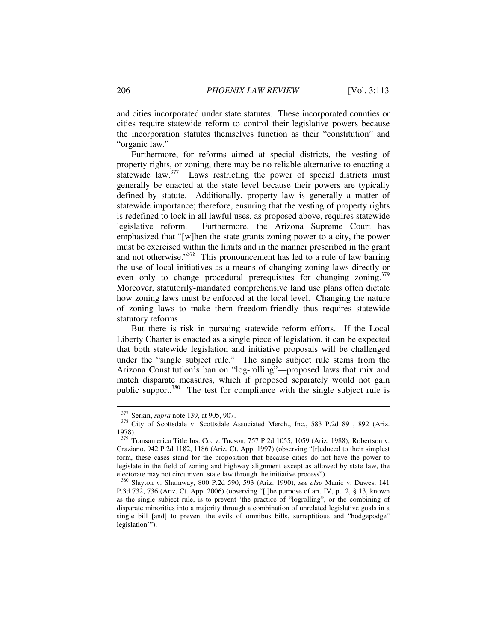and cities incorporated under state statutes. These incorporated counties or cities require statewide reform to control their legislative powers because the incorporation statutes themselves function as their "constitution" and "organic law."

Furthermore, for reforms aimed at special districts, the vesting of property rights, or zoning, there may be no reliable alternative to enacting a statewide law.<sup>377</sup> Laws restricting the power of special districts must generally be enacted at the state level because their powers are typically defined by statute. Additionally, property law is generally a matter of statewide importance; therefore, ensuring that the vesting of property rights is redefined to lock in all lawful uses, as proposed above, requires statewide legislative reform. Furthermore, the Arizona Supreme Court has emphasized that "[w]hen the state grants zoning power to a city, the power must be exercised within the limits and in the manner prescribed in the grant and not otherwise."378 This pronouncement has led to a rule of law barring the use of local initiatives as a means of changing zoning laws directly or even only to change procedural prerequisites for changing zoning.<sup>379</sup> Moreover, statutorily-mandated comprehensive land use plans often dictate how zoning laws must be enforced at the local level. Changing the nature of zoning laws to make them freedom-friendly thus requires statewide statutory reforms.

But there is risk in pursuing statewide reform efforts. If the Local Liberty Charter is enacted as a single piece of legislation, it can be expected that both statewide legislation and initiative proposals will be challenged under the "single subject rule." The single subject rule stems from the Arizona Constitution's ban on "log-rolling"—proposed laws that mix and match disparate measures, which if proposed separately would not gain public support.<sup>380</sup> The test for compliance with the single subject rule is

<sup>&</sup>lt;sup>377</sup> Serkin, *supra* note 139, at 905, 907.<br><sup>378</sup> City of Scottsdale v. Scottsdale Associated Merch., Inc., 583 P.2d 891, 892 (Ariz. 1978).

<sup>379</sup> Transamerica Title Ins. Co. v. Tucson, 757 P.2d 1055, 1059 (Ariz. 1988); Robertson v. Graziano, 942 P.2d 1182, 1186 (Ariz. Ct. App. 1997) (observing "[r]educed to their simplest form, these cases stand for the proposition that because cities do not have the power to legislate in the field of zoning and highway alignment except as allowed by state law, the electorate may not circumvent state law through the initiative process").

<sup>380</sup> Slayton v. Shumway, 800 P.2d 590, 593 (Ariz. 1990); *see also* Manic v. Dawes, 141 P.3d 732, 736 (Ariz. Ct. App. 2006) (observing "[t]he purpose of art. IV, pt. 2, § 13, known as the single subject rule, is to prevent 'the practice of "logrolling", or the combining of disparate minorities into a majority through a combination of unrelated legislative goals in a single bill [and] to prevent the evils of omnibus bills, surreptitious and "hodgepodge" legislation'").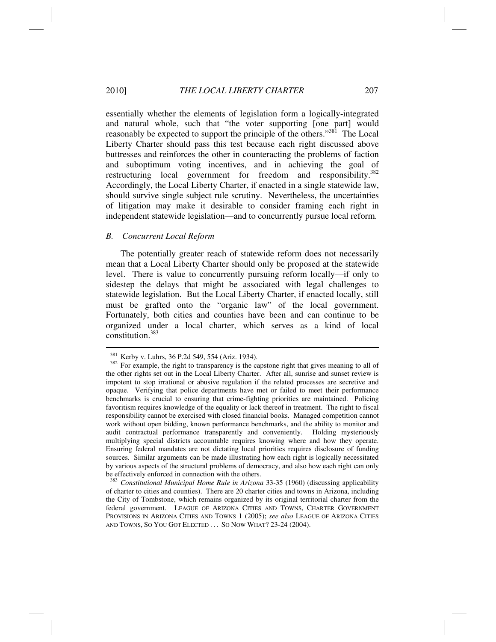essentially whether the elements of legislation form a logically-integrated and natural whole, such that "the voter supporting [one part] would reasonably be expected to support the principle of the others."<sup>381</sup> The Local Liberty Charter should pass this test because each right discussed above buttresses and reinforces the other in counteracting the problems of faction and suboptimum voting incentives, and in achieving the goal of restructuring local government for freedom and responsibility.<sup>382</sup> Accordingly, the Local Liberty Charter, if enacted in a single statewide law, should survive single subject rule scrutiny. Nevertheless, the uncertainties of litigation may make it desirable to consider framing each right in independent statewide legislation—and to concurrently pursue local reform.

# *B. Concurrent Local Reform*

The potentially greater reach of statewide reform does not necessarily mean that a Local Liberty Charter should only be proposed at the statewide level. There is value to concurrently pursuing reform locally—if only to sidestep the delays that might be associated with legal challenges to statewide legislation. But the Local Liberty Charter, if enacted locally, still must be grafted onto the "organic law" of the local government. Fortunately, both cities and counties have been and can continue to be organized under a local charter, which serves as a kind of local constitution.383

 $381$  Kerby v. Luhrs, 36 P.2d 549, 554 (Ariz. 1934).<br><sup>382</sup> For example, the right to transparency is the capstone right that gives meaning to all of the other rights set out in the Local Liberty Charter. After all, sunrise and sunset review is impotent to stop irrational or abusive regulation if the related processes are secretive and opaque. Verifying that police departments have met or failed to meet their performance benchmarks is crucial to ensuring that crime-fighting priorities are maintained. Policing favoritism requires knowledge of the equality or lack thereof in treatment. The right to fiscal responsibility cannot be exercised with closed financial books. Managed competition cannot work without open bidding, known performance benchmarks, and the ability to monitor and audit contractual performance transparently and conveniently. Holding mysteriously multiplying special districts accountable requires knowing where and how they operate. Ensuring federal mandates are not dictating local priorities requires disclosure of funding sources. Similar arguments can be made illustrating how each right is logically necessitated by various aspects of the structural problems of democracy, and also how each right can only be effectively enforced in connection with the others.

<sup>383</sup> *Constitutional Municipal Home Rule in Arizona* 33-35 (1960) (discussing applicability of charter to cities and counties). There are 20 charter cities and towns in Arizona, including the City of Tombstone, which remains organized by its original territorial charter from the federal government. LEAGUE OF ARIZONA CITIES AND TOWNS, CHARTER GOVERNMENT PROVISIONS IN ARIZONA CITIES AND TOWNS 1 (2005); *see also* LEAGUE OF ARIZONA CITIES AND TOWNS, SO YOU GOT ELECTED ... SO NOW WHAT? 23-24 (2004).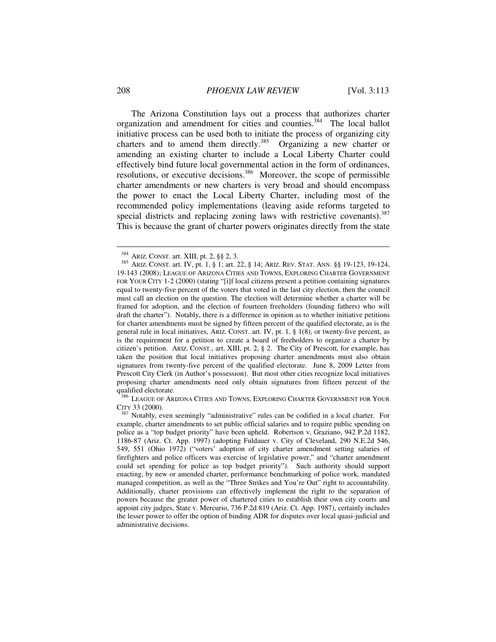The Arizona Constitution lays out a process that authorizes charter organization and amendment for cities and counties.<sup>384</sup> The local ballot initiative process can be used both to initiate the process of organizing city charters and to amend them directly.<sup>385</sup> Organizing a new charter or amending an existing charter to include a Local Liberty Charter could effectively bind future local governmental action in the form of ordinances, resolutions, or executive decisions.<sup>386</sup> Moreover, the scope of permissible charter amendments or new charters is very broad and should encompass the power to enact the Local Liberty Charter, including most of the recommended policy implementations (leaving aside reforms targeted to special districts and replacing zoning laws with restrictive covenants).  $387$ This is because the grant of charter powers originates directly from the state

386 LEAGUE OF ARIZONA CITIES AND TOWNS, EXPLORING CHARTER GOVERNMENT FOR YOUR

<sup>&</sup>lt;sup>384</sup> ARIZ. CONST. art. XIII, pt. 2, §§ 2, 3.<br><sup>385</sup> ARIZ. CONST. art. IV, pt. 1, § 1; art. 22, § 14; ARIZ. REV. STAT. ANN. §§ 19-123, 19-124, 19-143 (2008); LEAGUE OF ARIZONA CITIES AND TOWNS, EXPLORING CHARTER GOVERNMENT FOR YOUR CITY 1-2 (2000) (stating "[i]f local citizens present a petition containing signatures equal to twenty-five percent of the voters that voted in the last city election, then the council must call an election on the question. The election will determine whether a charter will be framed for adoption, and the election of fourteen freeholders (founding fathers) who will draft the charter"). Notably, there is a difference in opinion as to whether initiative petitions for charter amendments must be signed by fifteen percent of the qualified electorate, as is the general rule in local initiatives, ARIZ. CONST. art. IV, pt. 1, § 1(8), or twenty-five percent, as is the requirement for a petition to create a board of freeholders to organize a charter by citizen's petition. ARIZ. CONST., art. XIII, pt. 2, § 2. The City of Prescott, for example, has taken the position that local initiatives proposing charter amendments must also obtain signatures from twenty-five percent of the qualified electorate. June 8, 2009 Letter from Prescott City Clerk (in Author's possession). But most other cities recognize local initiatives proposing charter amendments need only obtain signatures from fifteen percent of the qualified electorate.

CITY 33 (2000). 387 Notably, even seemingly "administrative" rules can be codified in a local charter. For example, charter amendments to set public official salaries and to require public spending on police as a "top budget priority" have been upheld. Robertson v. Graziano, 942 P.2d 1182, 1186-87 (Ariz. Ct. App. 1997) (adopting Fuldauer v. City of Cleveland, 290 N.E.2d 546, 549, 551 (Ohio 1972) ("voters' adoption of city charter amendment setting salaries of firefighters and police officers was exercise of legislative power," and "charter amendment could set spending for police as top budget priority"). Such authority should support enacting, by new or amended charter, performance benchmarking of police work, mandated managed competition, as well as the "Three Strikes and You're Out" right to accountability. Additionally, charter provisions can effectively implement the right to the separation of powers because the greater power of chartered cities to establish their own city courts and appoint city judges, State v. Mercurio, 736 P.2d 819 (Ariz. Ct. App. 1987), certainly includes the lesser power to offer the option of binding ADR for disputes over local quasi-judicial and administrative decisions.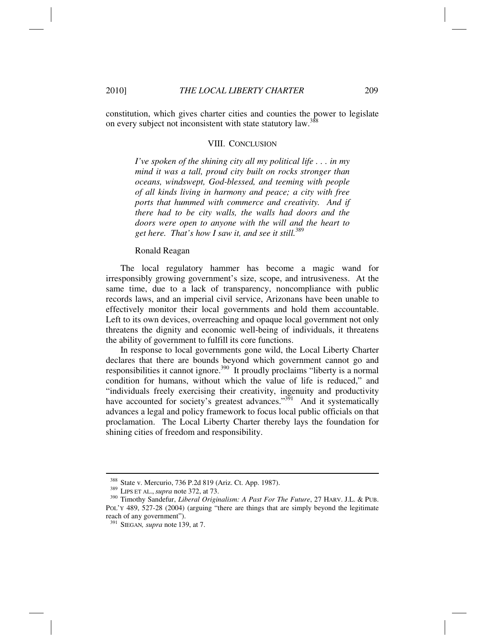constitution, which gives charter cities and counties the power to legislate on every subject not inconsistent with state statutory law.<sup>388</sup>

#### VIII. CONCLUSION

*I've spoken of the shining city all my political life . . . in my mind it was a tall, proud city built on rocks stronger than oceans, windswept, God-blessed, and teeming with people of all kinds living in harmony and peace; a city with free ports that hummed with commerce and creativity. And if there had to be city walls, the walls had doors and the doors were open to anyone with the will and the heart to get here. That's how I saw it, and see it still.*<sup>389</sup>

#### Ronald Reagan

The local regulatory hammer has become a magic wand for irresponsibly growing government's size, scope, and intrusiveness. At the same time, due to a lack of transparency, noncompliance with public records laws, and an imperial civil service, Arizonans have been unable to effectively monitor their local governments and hold them accountable. Left to its own devices, overreaching and opaque local government not only threatens the dignity and economic well-being of individuals, it threatens the ability of government to fulfill its core functions.

In response to local governments gone wild, the Local Liberty Charter declares that there are bounds beyond which government cannot go and responsibilities it cannot ignore.<sup>390</sup> It proudly proclaims "liberty is a normal condition for humans, without which the value of life is reduced," and "individuals freely exercising their creativity, ingenuity and productivity have accounted for society's greatest advances."<sup>391</sup> And it systematically advances a legal and policy framework to focus local public officials on that proclamation. The Local Liberty Charter thereby lays the foundation for shining cities of freedom and responsibility.

<sup>388</sup> State v. Mercurio, 736 P.2d 819 (Ariz. Ct. App. 1987). 389 LIPS ET AL., *supra* note 372, at 73. 390 Timothy Sandefur, *Liberal Originalism: A Past For The Future*, 27 HARV. J.L. & PUB. POL'Y 489, 527-28 (2004) (arguing "there are things that are simply beyond the legitimate reach of any government").

<sup>391</sup> SIEGAN*, supra* note 139, at 7.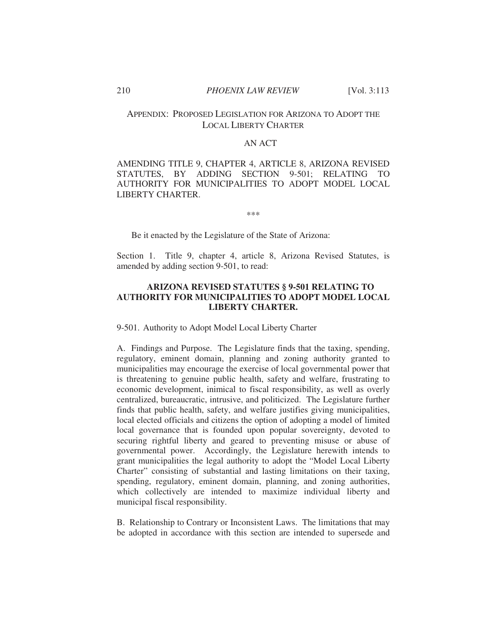# APPENDIX: PROPOSED LEGISLATION FOR ARIZONA TO ADOPT THE LOCAL LIBERTY CHARTER

# AN ACT

AMENDING TITLE 9, CHAPTER 4, ARTICLE 8, ARIZONA REVISED STATUTES, BY ADDING SECTION 9-501; RELATING TO AUTHORITY FOR MUNICIPALITIES TO ADOPT MODEL LOCAL LIBERTY CHARTER.

\*\*\*

Be it enacted by the Legislature of the State of Arizona:

Section 1. Title 9, chapter 4, article 8, Arizona Revised Statutes, is amended by adding section 9-501, to read:

# **ARIZONA REVISED STATUTES § 9-501 RELATING TO AUTHORITY FOR MUNICIPALITIES TO ADOPT MODEL LOCAL LIBERTY CHARTER.**

9-501. Authority to Adopt Model Local Liberty Charter

A. Findings and Purpose. The Legislature finds that the taxing, spending, regulatory, eminent domain, planning and zoning authority granted to municipalities may encourage the exercise of local governmental power that is threatening to genuine public health, safety and welfare, frustrating to economic development, inimical to fiscal responsibility, as well as overly centralized, bureaucratic, intrusive, and politicized. The Legislature further finds that public health, safety, and welfare justifies giving municipalities, local elected officials and citizens the option of adopting a model of limited local governance that is founded upon popular sovereignty, devoted to securing rightful liberty and geared to preventing misuse or abuse of governmental power. Accordingly, the Legislature herewith intends to grant municipalities the legal authority to adopt the "Model Local Liberty Charter" consisting of substantial and lasting limitations on their taxing, spending, regulatory, eminent domain, planning, and zoning authorities, which collectively are intended to maximize individual liberty and municipal fiscal responsibility.

B. Relationship to Contrary or Inconsistent Laws. The limitations that may be adopted in accordance with this section are intended to supersede and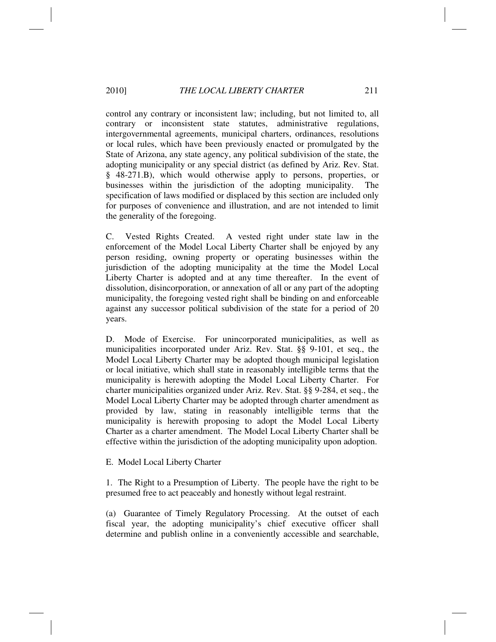control any contrary or inconsistent law; including, but not limited to, all contrary or inconsistent state statutes, administrative regulations, intergovernmental agreements, municipal charters, ordinances, resolutions or local rules, which have been previously enacted or promulgated by the State of Arizona, any state agency, any political subdivision of the state, the adopting municipality or any special district (as defined by Ariz. Rev. Stat. § 48-271.B), which would otherwise apply to persons, properties, or businesses within the jurisdiction of the adopting municipality. The specification of laws modified or displaced by this section are included only for purposes of convenience and illustration, and are not intended to limit the generality of the foregoing.

C. Vested Rights Created. A vested right under state law in the enforcement of the Model Local Liberty Charter shall be enjoyed by any person residing, owning property or operating businesses within the jurisdiction of the adopting municipality at the time the Model Local Liberty Charter is adopted and at any time thereafter. In the event of dissolution, disincorporation, or annexation of all or any part of the adopting municipality, the foregoing vested right shall be binding on and enforceable against any successor political subdivision of the state for a period of 20 years.

D. Mode of Exercise. For unincorporated municipalities, as well as municipalities incorporated under Ariz. Rev. Stat. §§ 9-101, et seq., the Model Local Liberty Charter may be adopted though municipal legislation or local initiative, which shall state in reasonably intelligible terms that the municipality is herewith adopting the Model Local Liberty Charter. For charter municipalities organized under Ariz. Rev. Stat. §§ 9-284, et seq., the Model Local Liberty Charter may be adopted through charter amendment as provided by law, stating in reasonably intelligible terms that the municipality is herewith proposing to adopt the Model Local Liberty Charter as a charter amendment. The Model Local Liberty Charter shall be effective within the jurisdiction of the adopting municipality upon adoption.

E. Model Local Liberty Charter

1. The Right to a Presumption of Liberty. The people have the right to be presumed free to act peaceably and honestly without legal restraint.

(a) Guarantee of Timely Regulatory Processing. At the outset of each fiscal year, the adopting municipality's chief executive officer shall determine and publish online in a conveniently accessible and searchable,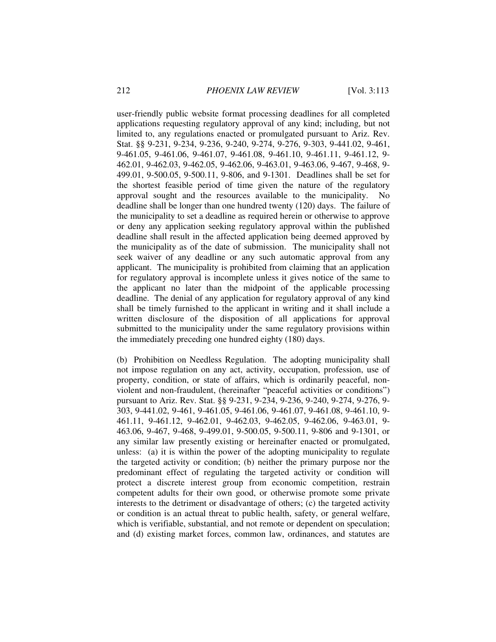user-friendly public website format processing deadlines for all completed applications requesting regulatory approval of any kind; including, but not limited to, any regulations enacted or promulgated pursuant to Ariz. Rev. Stat. §§ 9-231, 9-234, 9-236, 9-240, 9-274, 9-276, 9-303, 9-441.02, 9-461, 9-461.05, 9-461.06, 9-461.07, 9-461.08, 9-461.10, 9-461.11, 9-461.12, 9- 462.01, 9-462.03, 9-462.05, 9-462.06, 9-463.01, 9-463.06, 9-467, 9-468, 9- 499.01, 9-500.05, 9-500.11, 9-806, and 9-1301. Deadlines shall be set for the shortest feasible period of time given the nature of the regulatory approval sought and the resources available to the municipality. No deadline shall be longer than one hundred twenty (120) days. The failure of the municipality to set a deadline as required herein or otherwise to approve or deny any application seeking regulatory approval within the published deadline shall result in the affected application being deemed approved by the municipality as of the date of submission. The municipality shall not seek waiver of any deadline or any such automatic approval from any applicant. The municipality is prohibited from claiming that an application for regulatory approval is incomplete unless it gives notice of the same to the applicant no later than the midpoint of the applicable processing deadline. The denial of any application for regulatory approval of any kind shall be timely furnished to the applicant in writing and it shall include a written disclosure of the disposition of all applications for approval submitted to the municipality under the same regulatory provisions within the immediately preceding one hundred eighty (180) days.

(b) Prohibition on Needless Regulation. The adopting municipality shall not impose regulation on any act, activity, occupation, profession, use of property, condition, or state of affairs, which is ordinarily peaceful, nonviolent and non-fraudulent, (hereinafter "peaceful activities or conditions") pursuant to Ariz. Rev. Stat. §§ 9-231, 9-234, 9-236, 9-240, 9-274, 9-276, 9- 303, 9-441.02, 9-461, 9-461.05, 9-461.06, 9-461.07, 9-461.08, 9-461.10, 9- 461.11, 9-461.12, 9-462.01, 9-462.03, 9-462.05, 9-462.06, 9-463.01, 9- 463.06, 9-467, 9-468, 9-499.01, 9-500.05, 9-500.11, 9-806 and 9-1301, or any similar law presently existing or hereinafter enacted or promulgated, unless: (a) it is within the power of the adopting municipality to regulate the targeted activity or condition; (b) neither the primary purpose nor the predominant effect of regulating the targeted activity or condition will protect a discrete interest group from economic competition, restrain competent adults for their own good, or otherwise promote some private interests to the detriment or disadvantage of others; (c) the targeted activity or condition is an actual threat to public health, safety, or general welfare, which is verifiable, substantial, and not remote or dependent on speculation; and (d) existing market forces, common law, ordinances, and statutes are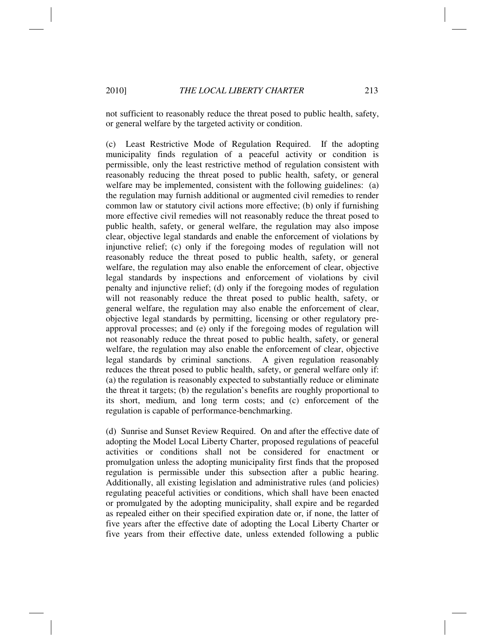not sufficient to reasonably reduce the threat posed to public health, safety, or general welfare by the targeted activity or condition.

(c) Least Restrictive Mode of Regulation Required. If the adopting municipality finds regulation of a peaceful activity or condition is permissible, only the least restrictive method of regulation consistent with reasonably reducing the threat posed to public health, safety, or general welfare may be implemented, consistent with the following guidelines: (a) the regulation may furnish additional or augmented civil remedies to render common law or statutory civil actions more effective; (b) only if furnishing more effective civil remedies will not reasonably reduce the threat posed to public health, safety, or general welfare, the regulation may also impose clear, objective legal standards and enable the enforcement of violations by injunctive relief; (c) only if the foregoing modes of regulation will not reasonably reduce the threat posed to public health, safety, or general welfare, the regulation may also enable the enforcement of clear, objective legal standards by inspections and enforcement of violations by civil penalty and injunctive relief; (d) only if the foregoing modes of regulation will not reasonably reduce the threat posed to public health, safety, or general welfare, the regulation may also enable the enforcement of clear, objective legal standards by permitting, licensing or other regulatory preapproval processes; and (e) only if the foregoing modes of regulation will not reasonably reduce the threat posed to public health, safety, or general welfare, the regulation may also enable the enforcement of clear, objective legal standards by criminal sanctions. A given regulation reasonably reduces the threat posed to public health, safety, or general welfare only if: (a) the regulation is reasonably expected to substantially reduce or eliminate the threat it targets; (b) the regulation's benefits are roughly proportional to its short, medium, and long term costs; and (c) enforcement of the regulation is capable of performance-benchmarking.

(d) Sunrise and Sunset Review Required. On and after the effective date of adopting the Model Local Liberty Charter, proposed regulations of peaceful activities or conditions shall not be considered for enactment or promulgation unless the adopting municipality first finds that the proposed regulation is permissible under this subsection after a public hearing. Additionally, all existing legislation and administrative rules (and policies) regulating peaceful activities or conditions, which shall have been enacted or promulgated by the adopting municipality, shall expire and be regarded as repealed either on their specified expiration date or, if none, the latter of five years after the effective date of adopting the Local Liberty Charter or five years from their effective date, unless extended following a public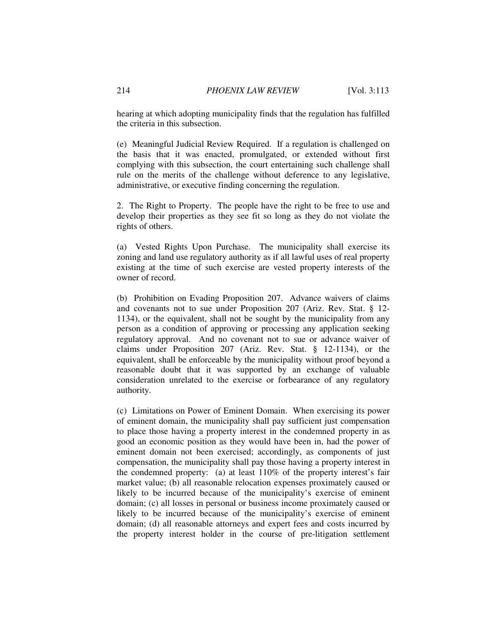hearing at which adopting municipality finds that the regulation has fulfilled the criteria in this subsection.

(e) Meaningful Judicial Review Required. If a regulation is challenged on the basis that it was enacted, promulgated, or extended without first complying with this subsection, the court entertaining such challenge shall rule on the merits of the challenge without deference to any legislative, administrative, or executive finding concerning the regulation.

2. The Right to Property. The people have the right to be free to use and develop their properties as they see fit so long as they do not violate the rights of others.

(a) Vested Rights Upon Purchase. The municipality shall exercise its zoning and land use regulatory authority as if all lawful uses of real property existing at the time of such exercise are vested property interests of the owner of record.

(b) Prohibition on Evading Proposition 207. Advance waivers of claims and covenants not to sue under Proposition 207 (Ariz. Rev. Stat. § 12- 1134), or the equivalent, shall not be sought by the municipality from any person as a condition of approving or processing any application seeking regulatory approval. And no covenant not to sue or advance waiver of claims under Proposition 207 (Ariz. Rev. Stat. § 12-1134), or the equivalent, shall be enforceable by the municipality without proof beyond a reasonable doubt that it was supported by an exchange of valuable consideration unrelated to the exercise or forbearance of any regulatory authority.

(c) Limitations on Power of Eminent Domain. When exercising its power of eminent domain, the municipality shall pay sufficient just compensation to place those having a property interest in the condemned property in as good an economic position as they would have been in, had the power of eminent domain not been exercised; accordingly, as components of just compensation, the municipality shall pay those having a property interest in the condemned property: (a) at least 110% of the property interest's fair market value; (b) all reasonable relocation expenses proximately caused or likely to be incurred because of the municipality's exercise of eminent domain; (c) all losses in personal or business income proximately caused or likely to be incurred because of the municipality's exercise of eminent domain; (d) all reasonable attorneys and expert fees and costs incurred by the property interest holder in the course of pre-litigation settlement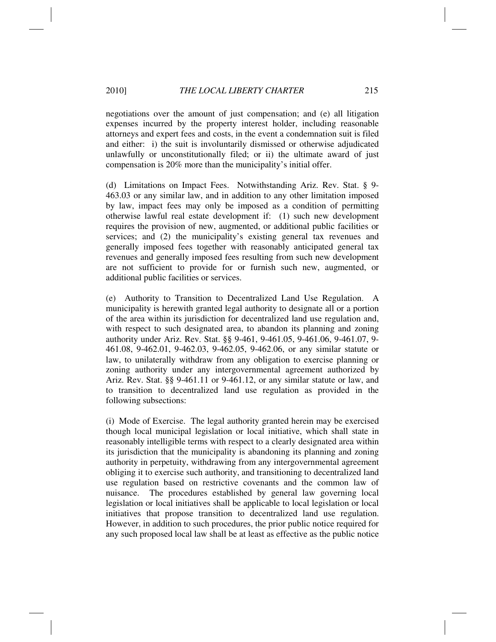negotiations over the amount of just compensation; and (e) all litigation expenses incurred by the property interest holder, including reasonable attorneys and expert fees and costs, in the event a condemnation suit is filed and either: i) the suit is involuntarily dismissed or otherwise adjudicated unlawfully or unconstitutionally filed; or ii) the ultimate award of just compensation is 20% more than the municipality's initial offer.

(d) Limitations on Impact Fees. Notwithstanding Ariz. Rev. Stat. § 9- 463.03 or any similar law, and in addition to any other limitation imposed by law, impact fees may only be imposed as a condition of permitting otherwise lawful real estate development if: (1) such new development requires the provision of new, augmented, or additional public facilities or services; and (2) the municipality's existing general tax revenues and generally imposed fees together with reasonably anticipated general tax revenues and generally imposed fees resulting from such new development are not sufficient to provide for or furnish such new, augmented, or additional public facilities or services.

(e) Authority to Transition to Decentralized Land Use Regulation. A municipality is herewith granted legal authority to designate all or a portion of the area within its jurisdiction for decentralized land use regulation and, with respect to such designated area, to abandon its planning and zoning authority under Ariz. Rev. Stat. §§ 9-461, 9-461.05, 9-461.06, 9-461.07, 9- 461.08, 9-462.01, 9-462.03, 9-462.05, 9-462.06, or any similar statute or law, to unilaterally withdraw from any obligation to exercise planning or zoning authority under any intergovernmental agreement authorized by Ariz. Rev. Stat. §§ 9-461.11 or 9-461.12, or any similar statute or law, and to transition to decentralized land use regulation as provided in the following subsections:

(i) Mode of Exercise. The legal authority granted herein may be exercised though local municipal legislation or local initiative, which shall state in reasonably intelligible terms with respect to a clearly designated area within its jurisdiction that the municipality is abandoning its planning and zoning authority in perpetuity, withdrawing from any intergovernmental agreement obliging it to exercise such authority, and transitioning to decentralized land use regulation based on restrictive covenants and the common law of nuisance. The procedures established by general law governing local legislation or local initiatives shall be applicable to local legislation or local initiatives that propose transition to decentralized land use regulation. However, in addition to such procedures, the prior public notice required for any such proposed local law shall be at least as effective as the public notice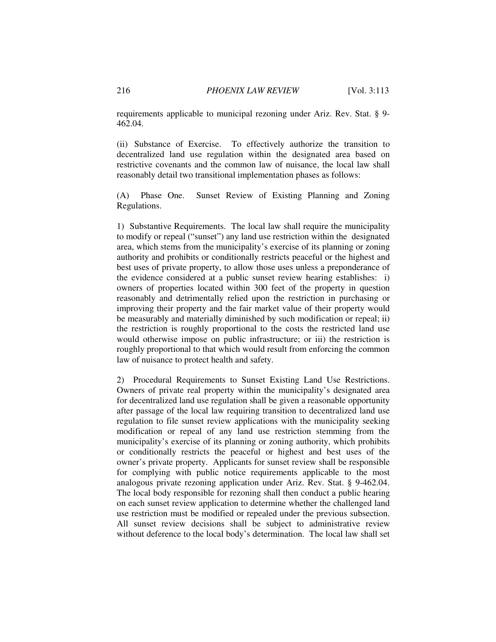requirements applicable to municipal rezoning under Ariz. Rev. Stat. § 9- 462.04.

(ii) Substance of Exercise. To effectively authorize the transition to decentralized land use regulation within the designated area based on restrictive covenants and the common law of nuisance, the local law shall reasonably detail two transitional implementation phases as follows:

(A) Phase One. Sunset Review of Existing Planning and Zoning Regulations.

1) Substantive Requirements. The local law shall require the municipality to modify or repeal ("sunset") any land use restriction within the designated area, which stems from the municipality's exercise of its planning or zoning authority and prohibits or conditionally restricts peaceful or the highest and best uses of private property, to allow those uses unless a preponderance of the evidence considered at a public sunset review hearing establishes: i) owners of properties located within 300 feet of the property in question reasonably and detrimentally relied upon the restriction in purchasing or improving their property and the fair market value of their property would be measurably and materially diminished by such modification or repeal; ii) the restriction is roughly proportional to the costs the restricted land use would otherwise impose on public infrastructure; or iii) the restriction is roughly proportional to that which would result from enforcing the common law of nuisance to protect health and safety.

2) Procedural Requirements to Sunset Existing Land Use Restrictions. Owners of private real property within the municipality's designated area for decentralized land use regulation shall be given a reasonable opportunity after passage of the local law requiring transition to decentralized land use regulation to file sunset review applications with the municipality seeking modification or repeal of any land use restriction stemming from the municipality's exercise of its planning or zoning authority, which prohibits or conditionally restricts the peaceful or highest and best uses of the owner's private property. Applicants for sunset review shall be responsible for complying with public notice requirements applicable to the most analogous private rezoning application under Ariz. Rev. Stat. § 9-462.04. The local body responsible for rezoning shall then conduct a public hearing on each sunset review application to determine whether the challenged land use restriction must be modified or repealed under the previous subsection. All sunset review decisions shall be subject to administrative review without deference to the local body's determination. The local law shall set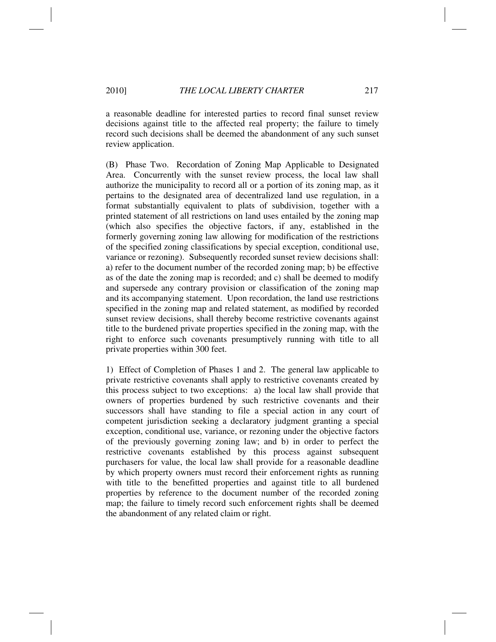a reasonable deadline for interested parties to record final sunset review decisions against title to the affected real property; the failure to timely record such decisions shall be deemed the abandonment of any such sunset review application.

(B) Phase Two. Recordation of Zoning Map Applicable to Designated Area. Concurrently with the sunset review process, the local law shall authorize the municipality to record all or a portion of its zoning map, as it pertains to the designated area of decentralized land use regulation, in a format substantially equivalent to plats of subdivision, together with a printed statement of all restrictions on land uses entailed by the zoning map (which also specifies the objective factors, if any, established in the formerly governing zoning law allowing for modification of the restrictions of the specified zoning classifications by special exception, conditional use, variance or rezoning). Subsequently recorded sunset review decisions shall: a) refer to the document number of the recorded zoning map; b) be effective as of the date the zoning map is recorded; and c) shall be deemed to modify and supersede any contrary provision or classification of the zoning map and its accompanying statement. Upon recordation, the land use restrictions specified in the zoning map and related statement, as modified by recorded sunset review decisions, shall thereby become restrictive covenants against title to the burdened private properties specified in the zoning map, with the right to enforce such covenants presumptively running with title to all private properties within 300 feet.

1) Effect of Completion of Phases 1 and 2. The general law applicable to private restrictive covenants shall apply to restrictive covenants created by this process subject to two exceptions: a) the local law shall provide that owners of properties burdened by such restrictive covenants and their successors shall have standing to file a special action in any court of competent jurisdiction seeking a declaratory judgment granting a special exception, conditional use, variance, or rezoning under the objective factors of the previously governing zoning law; and b) in order to perfect the restrictive covenants established by this process against subsequent purchasers for value, the local law shall provide for a reasonable deadline by which property owners must record their enforcement rights as running with title to the benefitted properties and against title to all burdened properties by reference to the document number of the recorded zoning map; the failure to timely record such enforcement rights shall be deemed the abandonment of any related claim or right.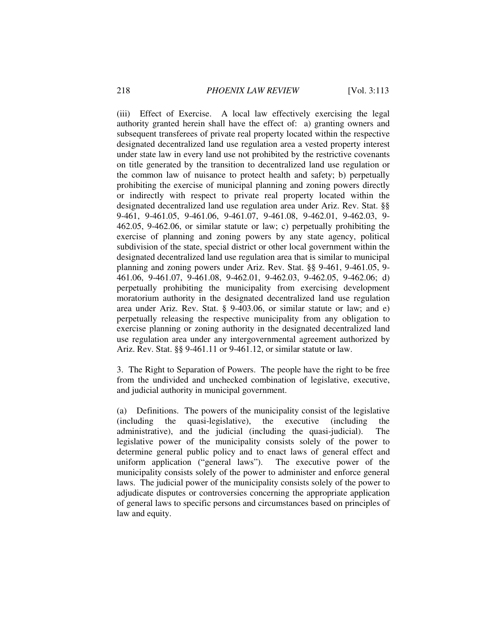(iii) Effect of Exercise. A local law effectively exercising the legal authority granted herein shall have the effect of: a) granting owners and subsequent transferees of private real property located within the respective designated decentralized land use regulation area a vested property interest under state law in every land use not prohibited by the restrictive covenants on title generated by the transition to decentralized land use regulation or the common law of nuisance to protect health and safety; b) perpetually prohibiting the exercise of municipal planning and zoning powers directly or indirectly with respect to private real property located within the designated decentralized land use regulation area under Ariz. Rev. Stat. §§ 9-461, 9-461.05, 9-461.06, 9-461.07, 9-461.08, 9-462.01, 9-462.03, 9- 462.05, 9-462.06, or similar statute or law; c) perpetually prohibiting the exercise of planning and zoning powers by any state agency, political subdivision of the state, special district or other local government within the designated decentralized land use regulation area that is similar to municipal planning and zoning powers under Ariz. Rev. Stat. §§ 9-461, 9-461.05, 9- 461.06, 9-461.07, 9-461.08, 9-462.01, 9-462.03, 9-462.05, 9-462.06; d) perpetually prohibiting the municipality from exercising development moratorium authority in the designated decentralized land use regulation area under Ariz. Rev. Stat. § 9-403.06, or similar statute or law; and e) perpetually releasing the respective municipality from any obligation to exercise planning or zoning authority in the designated decentralized land use regulation area under any intergovernmental agreement authorized by Ariz. Rev. Stat. §§ 9-461.11 or 9-461.12, or similar statute or law.

3. The Right to Separation of Powers. The people have the right to be free from the undivided and unchecked combination of legislative, executive, and judicial authority in municipal government.

(a) Definitions. The powers of the municipality consist of the legislative (including the quasi-legislative), the executive (including the administrative), and the judicial (including the quasi-judicial). The legislative power of the municipality consists solely of the power to determine general public policy and to enact laws of general effect and uniform application ("general laws"). The executive power of the municipality consists solely of the power to administer and enforce general laws. The judicial power of the municipality consists solely of the power to adjudicate disputes or controversies concerning the appropriate application of general laws to specific persons and circumstances based on principles of law and equity.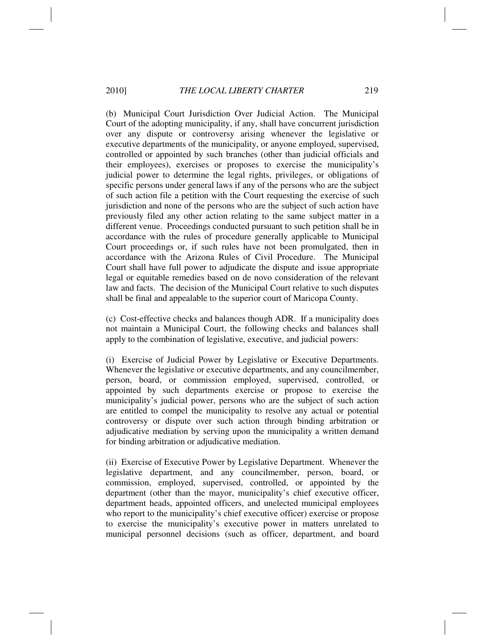(b) Municipal Court Jurisdiction Over Judicial Action. The Municipal Court of the adopting municipality, if any, shall have concurrent jurisdiction over any dispute or controversy arising whenever the legislative or executive departments of the municipality, or anyone employed, supervised, controlled or appointed by such branches (other than judicial officials and their employees), exercises or proposes to exercise the municipality's judicial power to determine the legal rights, privileges, or obligations of specific persons under general laws if any of the persons who are the subject of such action file a petition with the Court requesting the exercise of such jurisdiction and none of the persons who are the subject of such action have previously filed any other action relating to the same subject matter in a different venue. Proceedings conducted pursuant to such petition shall be in accordance with the rules of procedure generally applicable to Municipal Court proceedings or, if such rules have not been promulgated, then in accordance with the Arizona Rules of Civil Procedure. The Municipal Court shall have full power to adjudicate the dispute and issue appropriate legal or equitable remedies based on de novo consideration of the relevant law and facts. The decision of the Municipal Court relative to such disputes shall be final and appealable to the superior court of Maricopa County.

(c) Cost-effective checks and balances though ADR. If a municipality does not maintain a Municipal Court, the following checks and balances shall apply to the combination of legislative, executive, and judicial powers:

(i) Exercise of Judicial Power by Legislative or Executive Departments. Whenever the legislative or executive departments, and any councilmember, person, board, or commission employed, supervised, controlled, or appointed by such departments exercise or propose to exercise the municipality's judicial power, persons who are the subject of such action are entitled to compel the municipality to resolve any actual or potential controversy or dispute over such action through binding arbitration or adjudicative mediation by serving upon the municipality a written demand for binding arbitration or adjudicative mediation.

(ii) Exercise of Executive Power by Legislative Department. Whenever the legislative department, and any councilmember, person, board, or commission, employed, supervised, controlled, or appointed by the department (other than the mayor, municipality's chief executive officer, department heads, appointed officers, and unelected municipal employees who report to the municipality's chief executive officer) exercise or propose to exercise the municipality's executive power in matters unrelated to municipal personnel decisions (such as officer, department, and board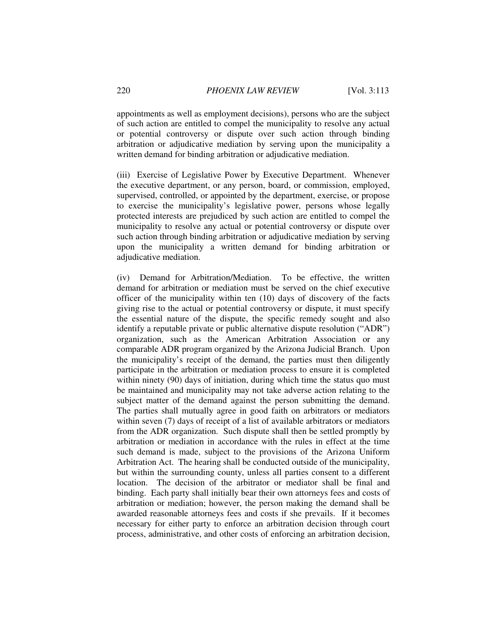appointments as well as employment decisions), persons who are the subject of such action are entitled to compel the municipality to resolve any actual or potential controversy or dispute over such action through binding arbitration or adjudicative mediation by serving upon the municipality a written demand for binding arbitration or adjudicative mediation.

(iii) Exercise of Legislative Power by Executive Department. Whenever the executive department, or any person, board, or commission, employed, supervised, controlled, or appointed by the department, exercise, or propose to exercise the municipality's legislative power, persons whose legally protected interests are prejudiced by such action are entitled to compel the municipality to resolve any actual or potential controversy or dispute over such action through binding arbitration or adjudicative mediation by serving upon the municipality a written demand for binding arbitration or adjudicative mediation.

(iv) Demand for Arbitration/Mediation. To be effective, the written demand for arbitration or mediation must be served on the chief executive officer of the municipality within ten (10) days of discovery of the facts giving rise to the actual or potential controversy or dispute, it must specify the essential nature of the dispute, the specific remedy sought and also identify a reputable private or public alternative dispute resolution ("ADR") organization, such as the American Arbitration Association or any comparable ADR program organized by the Arizona Judicial Branch. Upon the municipality's receipt of the demand, the parties must then diligently participate in the arbitration or mediation process to ensure it is completed within ninety (90) days of initiation, during which time the status quo must be maintained and municipality may not take adverse action relating to the subject matter of the demand against the person submitting the demand. The parties shall mutually agree in good faith on arbitrators or mediators within seven (7) days of receipt of a list of available arbitrators or mediators from the ADR organization. Such dispute shall then be settled promptly by arbitration or mediation in accordance with the rules in effect at the time such demand is made, subject to the provisions of the Arizona Uniform Arbitration Act. The hearing shall be conducted outside of the municipality, but within the surrounding county, unless all parties consent to a different location. The decision of the arbitrator or mediator shall be final and binding. Each party shall initially bear their own attorneys fees and costs of arbitration or mediation; however, the person making the demand shall be awarded reasonable attorneys fees and costs if she prevails. If it becomes necessary for either party to enforce an arbitration decision through court process, administrative, and other costs of enforcing an arbitration decision,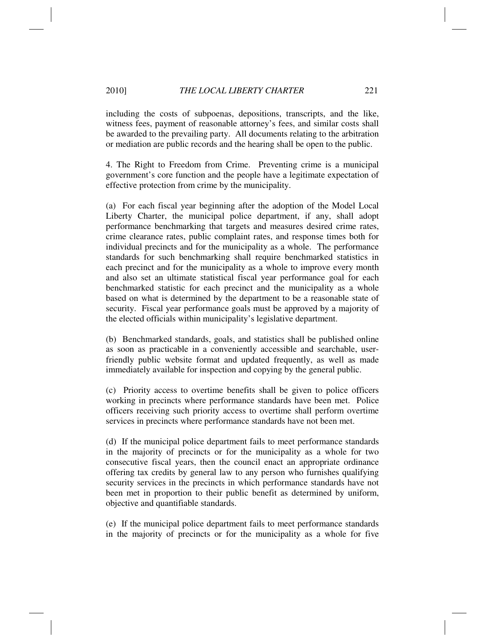## 2010] *THE LOCAL LIBERTY CHARTER* 221

including the costs of subpoenas, depositions, transcripts, and the like, witness fees, payment of reasonable attorney's fees, and similar costs shall be awarded to the prevailing party. All documents relating to the arbitration or mediation are public records and the hearing shall be open to the public.

4. The Right to Freedom from Crime. Preventing crime is a municipal government's core function and the people have a legitimate expectation of effective protection from crime by the municipality.

(a) For each fiscal year beginning after the adoption of the Model Local Liberty Charter, the municipal police department, if any, shall adopt performance benchmarking that targets and measures desired crime rates, crime clearance rates, public complaint rates, and response times both for individual precincts and for the municipality as a whole. The performance standards for such benchmarking shall require benchmarked statistics in each precinct and for the municipality as a whole to improve every month and also set an ultimate statistical fiscal year performance goal for each benchmarked statistic for each precinct and the municipality as a whole based on what is determined by the department to be a reasonable state of security. Fiscal year performance goals must be approved by a majority of the elected officials within municipality's legislative department.

(b) Benchmarked standards, goals, and statistics shall be published online as soon as practicable in a conveniently accessible and searchable, userfriendly public website format and updated frequently, as well as made immediately available for inspection and copying by the general public.

(c) Priority access to overtime benefits shall be given to police officers working in precincts where performance standards have been met. Police officers receiving such priority access to overtime shall perform overtime services in precincts where performance standards have not been met.

(d) If the municipal police department fails to meet performance standards in the majority of precincts or for the municipality as a whole for two consecutive fiscal years, then the council enact an appropriate ordinance offering tax credits by general law to any person who furnishes qualifying security services in the precincts in which performance standards have not been met in proportion to their public benefit as determined by uniform, objective and quantifiable standards.

(e) If the municipal police department fails to meet performance standards in the majority of precincts or for the municipality as a whole for five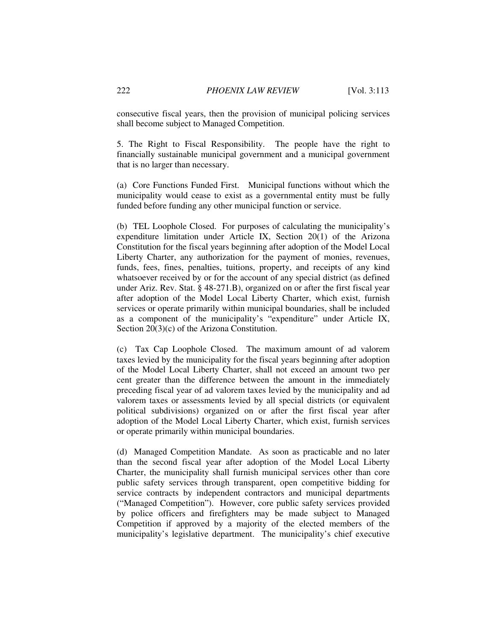consecutive fiscal years, then the provision of municipal policing services shall become subject to Managed Competition.

5. The Right to Fiscal Responsibility. The people have the right to financially sustainable municipal government and a municipal government that is no larger than necessary.

(a) Core Functions Funded First. Municipal functions without which the municipality would cease to exist as a governmental entity must be fully funded before funding any other municipal function or service.

(b) TEL Loophole Closed. For purposes of calculating the municipality's expenditure limitation under Article IX, Section 20(1) of the Arizona Constitution for the fiscal years beginning after adoption of the Model Local Liberty Charter, any authorization for the payment of monies, revenues, funds, fees, fines, penalties, tuitions, property, and receipts of any kind whatsoever received by or for the account of any special district (as defined under Ariz. Rev. Stat. § 48-271.B), organized on or after the first fiscal year after adoption of the Model Local Liberty Charter, which exist, furnish services or operate primarily within municipal boundaries, shall be included as a component of the municipality's "expenditure" under Article IX, Section 20(3)(c) of the Arizona Constitution.

(c) Tax Cap Loophole Closed. The maximum amount of ad valorem taxes levied by the municipality for the fiscal years beginning after adoption of the Model Local Liberty Charter, shall not exceed an amount two per cent greater than the difference between the amount in the immediately preceding fiscal year of ad valorem taxes levied by the municipality and ad valorem taxes or assessments levied by all special districts (or equivalent political subdivisions) organized on or after the first fiscal year after adoption of the Model Local Liberty Charter, which exist, furnish services or operate primarily within municipal boundaries.

(d) Managed Competition Mandate. As soon as practicable and no later than the second fiscal year after adoption of the Model Local Liberty Charter, the municipality shall furnish municipal services other than core public safety services through transparent, open competitive bidding for service contracts by independent contractors and municipal departments ("Managed Competition"). However, core public safety services provided by police officers and firefighters may be made subject to Managed Competition if approved by a majority of the elected members of the municipality's legislative department. The municipality's chief executive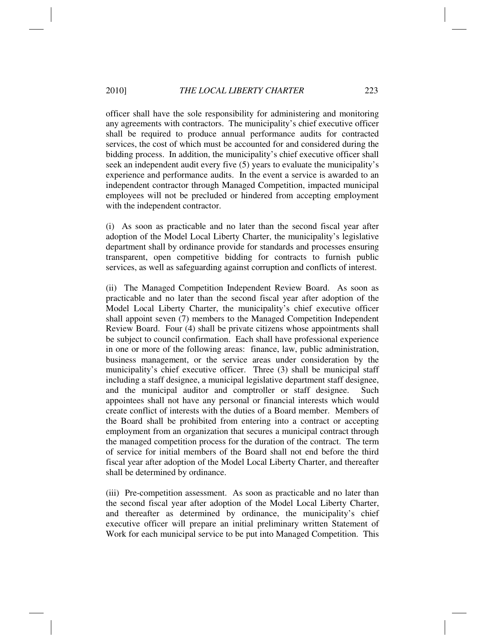## 2010] *THE LOCAL LIBERTY CHARTER* 223

officer shall have the sole responsibility for administering and monitoring any agreements with contractors. The municipality's chief executive officer shall be required to produce annual performance audits for contracted services, the cost of which must be accounted for and considered during the bidding process. In addition, the municipality's chief executive officer shall seek an independent audit every five (5) years to evaluate the municipality's experience and performance audits. In the event a service is awarded to an independent contractor through Managed Competition, impacted municipal employees will not be precluded or hindered from accepting employment with the independent contractor.

(i) As soon as practicable and no later than the second fiscal year after adoption of the Model Local Liberty Charter, the municipality's legislative department shall by ordinance provide for standards and processes ensuring transparent, open competitive bidding for contracts to furnish public services, as well as safeguarding against corruption and conflicts of interest.

(ii) The Managed Competition Independent Review Board. As soon as practicable and no later than the second fiscal year after adoption of the Model Local Liberty Charter, the municipality's chief executive officer shall appoint seven (7) members to the Managed Competition Independent Review Board. Four (4) shall be private citizens whose appointments shall be subject to council confirmation. Each shall have professional experience in one or more of the following areas: finance, law, public administration, business management, or the service areas under consideration by the municipality's chief executive officer. Three (3) shall be municipal staff including a staff designee, a municipal legislative department staff designee, and the municipal auditor and comptroller or staff designee. Such appointees shall not have any personal or financial interests which would create conflict of interests with the duties of a Board member. Members of the Board shall be prohibited from entering into a contract or accepting employment from an organization that secures a municipal contract through the managed competition process for the duration of the contract. The term of service for initial members of the Board shall not end before the third fiscal year after adoption of the Model Local Liberty Charter, and thereafter shall be determined by ordinance.

(iii) Pre-competition assessment. As soon as practicable and no later than the second fiscal year after adoption of the Model Local Liberty Charter, and thereafter as determined by ordinance, the municipality's chief executive officer will prepare an initial preliminary written Statement of Work for each municipal service to be put into Managed Competition. This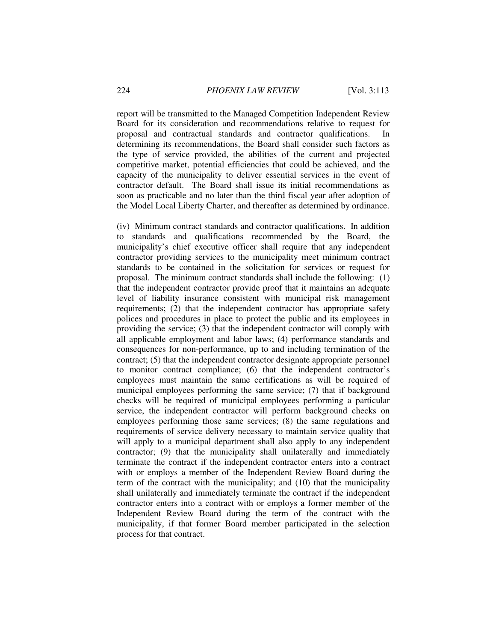report will be transmitted to the Managed Competition Independent Review Board for its consideration and recommendations relative to request for proposal and contractual standards and contractor qualifications. In determining its recommendations, the Board shall consider such factors as the type of service provided, the abilities of the current and projected competitive market, potential efficiencies that could be achieved, and the capacity of the municipality to deliver essential services in the event of contractor default. The Board shall issue its initial recommendations as soon as practicable and no later than the third fiscal year after adoption of the Model Local Liberty Charter, and thereafter as determined by ordinance.

(iv) Minimum contract standards and contractor qualifications. In addition to standards and qualifications recommended by the Board, the municipality's chief executive officer shall require that any independent contractor providing services to the municipality meet minimum contract standards to be contained in the solicitation for services or request for proposal. The minimum contract standards shall include the following: (1) that the independent contractor provide proof that it maintains an adequate level of liability insurance consistent with municipal risk management requirements; (2) that the independent contractor has appropriate safety polices and procedures in place to protect the public and its employees in providing the service; (3) that the independent contractor will comply with all applicable employment and labor laws; (4) performance standards and consequences for non-performance, up to and including termination of the contract; (5) that the independent contractor designate appropriate personnel to monitor contract compliance; (6) that the independent contractor's employees must maintain the same certifications as will be required of municipal employees performing the same service; (7) that if background checks will be required of municipal employees performing a particular service, the independent contractor will perform background checks on employees performing those same services; (8) the same regulations and requirements of service delivery necessary to maintain service quality that will apply to a municipal department shall also apply to any independent contractor; (9) that the municipality shall unilaterally and immediately terminate the contract if the independent contractor enters into a contract with or employs a member of the Independent Review Board during the term of the contract with the municipality; and (10) that the municipality shall unilaterally and immediately terminate the contract if the independent contractor enters into a contract with or employs a former member of the Independent Review Board during the term of the contract with the municipality, if that former Board member participated in the selection process for that contract.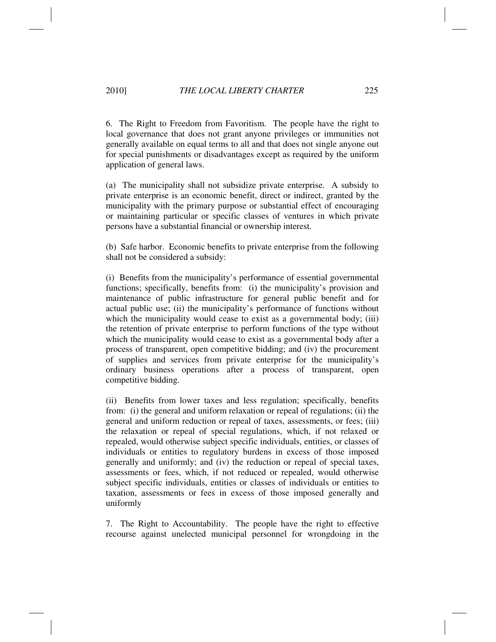6. The Right to Freedom from Favoritism. The people have the right to local governance that does not grant anyone privileges or immunities not generally available on equal terms to all and that does not single anyone out for special punishments or disadvantages except as required by the uniform application of general laws.

(a) The municipality shall not subsidize private enterprise. A subsidy to private enterprise is an economic benefit, direct or indirect, granted by the municipality with the primary purpose or substantial effect of encouraging or maintaining particular or specific classes of ventures in which private persons have a substantial financial or ownership interest.

(b) Safe harbor. Economic benefits to private enterprise from the following shall not be considered a subsidy:

(i) Benefits from the municipality's performance of essential governmental functions; specifically, benefits from: (i) the municipality's provision and maintenance of public infrastructure for general public benefit and for actual public use; (ii) the municipality's performance of functions without which the municipality would cease to exist as a governmental body; (iii) the retention of private enterprise to perform functions of the type without which the municipality would cease to exist as a governmental body after a process of transparent, open competitive bidding; and (iv) the procurement of supplies and services from private enterprise for the municipality's ordinary business operations after a process of transparent, open competitive bidding.

(ii) Benefits from lower taxes and less regulation; specifically, benefits from: (i) the general and uniform relaxation or repeal of regulations; (ii) the general and uniform reduction or repeal of taxes, assessments, or fees; (iii) the relaxation or repeal of special regulations, which, if not relaxed or repealed, would otherwise subject specific individuals, entities, or classes of individuals or entities to regulatory burdens in excess of those imposed generally and uniformly; and (iv) the reduction or repeal of special taxes, assessments or fees, which, if not reduced or repealed, would otherwise subject specific individuals, entities or classes of individuals or entities to taxation, assessments or fees in excess of those imposed generally and uniformly

7. The Right to Accountability. The people have the right to effective recourse against unelected municipal personnel for wrongdoing in the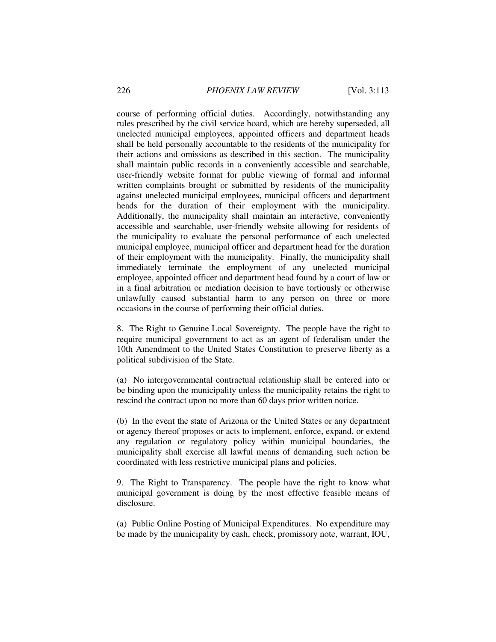course of performing official duties. Accordingly, notwithstanding any rules prescribed by the civil service board, which are hereby superseded, all unelected municipal employees, appointed officers and department heads shall be held personally accountable to the residents of the municipality for their actions and omissions as described in this section. The municipality shall maintain public records in a conveniently accessible and searchable, user-friendly website format for public viewing of formal and informal written complaints brought or submitted by residents of the municipality against unelected municipal employees, municipal officers and department heads for the duration of their employment with the municipality. Additionally, the municipality shall maintain an interactive, conveniently accessible and searchable, user-friendly website allowing for residents of the municipality to evaluate the personal performance of each unelected municipal employee, municipal officer and department head for the duration of their employment with the municipality. Finally, the municipality shall immediately terminate the employment of any unelected municipal employee, appointed officer and department head found by a court of law or in a final arbitration or mediation decision to have tortiously or otherwise unlawfully caused substantial harm to any person on three or more occasions in the course of performing their official duties.

8. The Right to Genuine Local Sovereignty. The people have the right to require municipal government to act as an agent of federalism under the 10th Amendment to the United States Constitution to preserve liberty as a political subdivision of the State.

(a) No intergovernmental contractual relationship shall be entered into or be binding upon the municipality unless the municipality retains the right to rescind the contract upon no more than 60 days prior written notice.

(b) In the event the state of Arizona or the United States or any department or agency thereof proposes or acts to implement, enforce, expand, or extend any regulation or regulatory policy within municipal boundaries, the municipality shall exercise all lawful means of demanding such action be coordinated with less restrictive municipal plans and policies.

9. The Right to Transparency. The people have the right to know what municipal government is doing by the most effective feasible means of disclosure.

(a) Public Online Posting of Municipal Expenditures. No expenditure may be made by the municipality by cash, check, promissory note, warrant, IOU,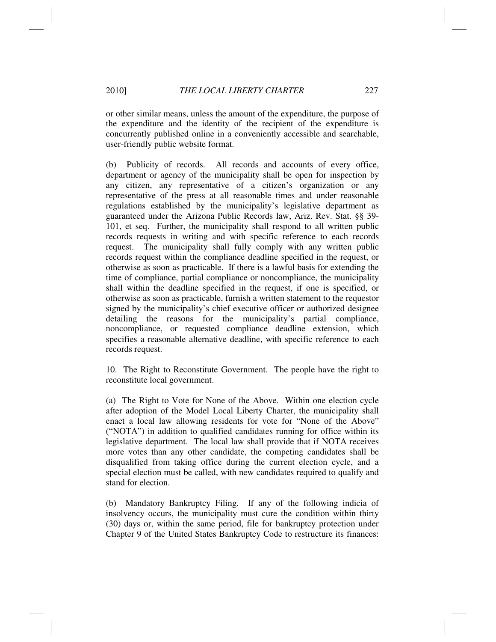or other similar means, unless the amount of the expenditure, the purpose of the expenditure and the identity of the recipient of the expenditure is concurrently published online in a conveniently accessible and searchable, user-friendly public website format.

(b) Publicity of records. All records and accounts of every office, department or agency of the municipality shall be open for inspection by any citizen, any representative of a citizen's organization or any representative of the press at all reasonable times and under reasonable regulations established by the municipality's legislative department as guaranteed under the Arizona Public Records law, Ariz. Rev. Stat. §§ 39- 101, et seq. Further, the municipality shall respond to all written public records requests in writing and with specific reference to each records request. The municipality shall fully comply with any written public records request within the compliance deadline specified in the request, or otherwise as soon as practicable. If there is a lawful basis for extending the time of compliance, partial compliance or noncompliance, the municipality shall within the deadline specified in the request, if one is specified, or otherwise as soon as practicable, furnish a written statement to the requestor signed by the municipality's chief executive officer or authorized designee detailing the reasons for the municipality's partial compliance, noncompliance, or requested compliance deadline extension, which specifies a reasonable alternative deadline, with specific reference to each records request.

10. The Right to Reconstitute Government. The people have the right to reconstitute local government.

(a) The Right to Vote for None of the Above. Within one election cycle after adoption of the Model Local Liberty Charter, the municipality shall enact a local law allowing residents for vote for "None of the Above" ("NOTA") in addition to qualified candidates running for office within its legislative department. The local law shall provide that if NOTA receives more votes than any other candidate, the competing candidates shall be disqualified from taking office during the current election cycle, and a special election must be called, with new candidates required to qualify and stand for election.

(b) Mandatory Bankruptcy Filing. If any of the following indicia of insolvency occurs, the municipality must cure the condition within thirty (30) days or, within the same period, file for bankruptcy protection under Chapter 9 of the United States Bankruptcy Code to restructure its finances: